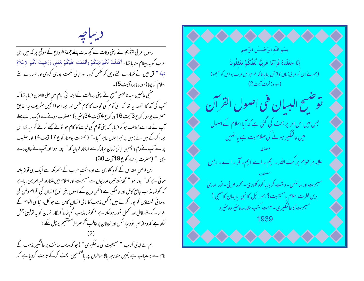ديباجه

رسول عربی ملٹی ایک ہے اپنی وفات سے کچھ مدت پہلے جمعۃ الوداع کے موقع پر مکہ میں اہل عرب كوبر ببيغام سنايا تيا۔أكْمَلْتُ لَكُمْ دِينَكُمْ وَأَثْمَمْتُ عَلَيْكُمْ نِعْمَتِي وَرَضِيتُ لَكُمُ الإِسْلاَمَ دینًا " آج میں نے تہارے لئے دین کو مکمل کردیا اور اپنی نعمت پوری کردی اور تہارے لئے اسلام کوچنا(سورہ مائدہ آیت5)۔

منسجی عالمین سبید ناعیسیٰ مسح نے اپنی رسالت کےا بتدا ئی ایام میں علی الاعلان فرما ماتھا کہ آپ کی آمد کا مقصد بہ نفا کہ بنی آدم کی نحات کا کام مکمل اور پورا ہو (انجیل سٹریف بہ مطابق حصرت یوحنار کوع 35یت 16 ور کوع 4آیت 34وغیرہ) مصلوب ہونے سے ایک رات پہلے آپ نے خدا سے مخاطب ہو کر فرمایا کہ بنی آدم کی نجات کا کام حو تونے مجھے کرنے کو دیا تھا اس پورا کرکے میں نے زمین پر تیر اجلال ظاہر کیا۔" (حصرت یوحنار کوع 17 آیت 4) اور صلیب پر سے آپ نے دم واپسین اپنی زبان مبارک سے ارشاد فرمایا کہ " پورا ہوا اور آپ نے جان دے دی۔" (حصرٰت یوحنار کوع19آیت30)۔

پس ارص مقدس کے کوہ کلوری سے اوردشت عرب کے شہر مکہ سے ایک ہی آواز بلند ہوتی ہے کہ" پوراہوا" گذشتہ تیرہ صدیوں سے مسیحیت اور اسلام میں متنازعہ فسے امریہی رہاہے کہ کو نسا مذہب جامع کامل اور عالمگیر ہے؟ کس دین کے اصول بنی پوٰع انسان کی اقوام وملل کی روحا فی اقتصاؤں کو پورا کرتے ہیں ؟ کس مذہب کا یا فی انسان کامل ہے حو کل دیںا کی اقوام کے افراد کے لئے کامل اور اٹھمل نمو نہ ہوسکتا ہے ؟ کو نسا مذہب ٹھم شدہ گنہگار انسان کو بہ توفیق بخش سکتاہے کہ وہ از سر نود نیا نفس اورشیطان پر غالب آکر صراط مستقیم پر چل سکے ؟

ہم نے اپنی کتاب " مسیحیت کی عالمگیری" (جو کہ ویب سائٹ پر عالمگیر مذہب کے نام سے دستیاب ہے )میں مندرجہ بالا سوالوں پر بالتفصیل بحث کرکے ثابت کردیا ہے کہ

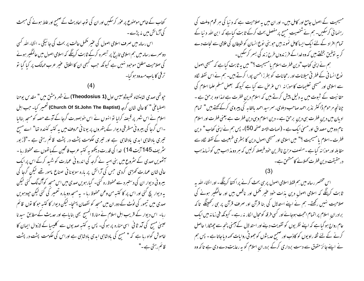کتاب کے خاص موصنوع پر عوْر کرسکیں اور ان کی توجہ احادیث کےصمیح اور غلط ہونے کی مبحث کی آزمائش میں یہ پڑے۔ اس رسالہ میں صرف اسلامی اصول کی عنیر مکمل حالت پر بحث کی جا سُیگی ۔ انشاء اللہ کسی دوسمرے رسالہ میں ہم اسلامی تاریخ پر تبصرہ کرکے ثابت کرینگے کہ اسلامی اصول میں عالمگیر ہونے کی صلاحیت مطلق موحود نہیں ہے کیونکہ حب کبھی ان کا اطلاق عنیر عرب ممالک پر کیا گیا تو ترقى كا باب مىدود ہوگيا-

جوتھی صدی شاہنشاہ تھیوڈوسیس اول **(Theodosius 1)** نے شہر دمشق میں " مقدس یوحنا اصطباعي " كاعالي شان گرجه (Church Of St.John The Baptist) تعمير كيا- جب ابل اسلام نے اس شہر پر قبصنہ کرلیا تو انہوں نے اس خوبصورت گرجا کے آدھے حصہ کو مسجد بنالیا ۔اس گرجا کی بیرونی مشرقی دیوار کے پتھروں پر یونا نی حروف میں بہ کتبہ کنندہ تھا" اے مسح تیری بادشاہی ایدی بادشاہی ہے اور تیری حکومت پشت در پشت قائم رہتی ہے ۔"(زبور سٹریف 145 آیت 14) خدا کی قدرت دیکھو یہ کتبہ عرب فاتحین کےباتھوں سے محفوظ رہا -اسٹھویں صدی کے س<sub>ٹر</sub>وع میں بنی امیہ نے گرص<sub>ے</sub> کی اندرو نی عمارت کو شہید کرکے اس پر ایک عالی شان عمارت کھڑی کردی جس کی آرائش پر بارہ سویونا فی صناع مامور تھے لیکن گرجا کی بیرو فی دیوار ان کی دستبرد سے محفوظ رہ گئی۔ گیارہویں صدی میں اس مسحد کوآگ لگ گئی لیکن په دیوار څچ گئي اور اس پر کا کتېه من وعن محفوظ رہا - په مسجد دوباره تعمیر کی گئي لیکن حپودہویں صدی میں تیمور کی لوُٹ کے دوران میں مسجد کو نقصان پہنچا۔ لیکن دیوار کا کتبہ حو کا نوں قائم ربا۔ اس دیوار کے قریب اہل اسلام نے منارۃ المسح بھی بنایاہے اور حدیث کے مطابق سید نا عیسیٰ مسح کی آمد ٹا فی اسی منارہ پر ہو گی۔ پس بہ کتبہ صدیوں سے کلیسا کے لازوال ایمان کا خاموش گواہ رہا ہے کہ " مسح کی بادشاہی ایدی بادشاہی ہے اوراس کی حکومت پشت در پشت قائم رہتی ہے۔" مسیحیت کے اصول جامع اور کامل ہیں۔ اور ان میں یہ صلاحیت ہے کہ د نیا کی ہر قوم وملت کی رہنمائی کرسکیں۔ ہم نے شخصیت مسح پرمفصل بحث کرکے ثابت کیاہے کہ ابن اللہ د نیا کے تمام افراد کے لئے ایک ایسا کامل نمونہ بیں حو بنی نوع انسان کوشیطان کی علامی سے نجات دے کر بہ توفیق بخشتے ہیں کہ وہ خدا کے فرزندوں طرح زند گی بسر کرسکیں۔ ہم نے اپنی کتاب "دین فطرت اسلام یامسیحیت ؟" میں یہ ثابت کیاہے کہ مسیحی اصول نوع انسا فی کے فطر قی میلانات اور رححانات کو بطرز احسن پورا کرتے بیں۔ ہم نے اس نقطہ نگاہ سے اسلامی اور مسیحی تعلیمات کا موزانہ اس عرِّض سے کیا ہے کیونکہ بعض مسلم علما اسلام کی

حقانیت کے شبوت میں بہ دلیل پیش کرتے ہیں کہ اسلام دین فطرت ہے لہذا وہ برحق ہے ۔ چنانچهِ مرحوم ڈاکٹر نذیر احمد صاحب دہلوی، سرسید احمد بالقاہہ کی پیروی کرکے کھتے بیں " تمام ادیان میں دین فطرت ہی دین برحق ہے - دین اسلام وہی دین فطرت ہے یعنی فطرت اور اسلام نام دوہیں مصداق اور مسمٰیٰ ایک ہے۔ (امہات الامتہ صفحہ 50)۔ پس ہم نے اپنی کتاب " دین فطرت ۔اسلام یا مسیحیت ؟" میں اسلامی اور مسیحی اصول دین کا بسٹری طبعیت کے نقطہ نگاہ سے مقابلہ اور موزانہ کیاہے۔منصف مزاج ناظرین خود فیصلہ کرلیں کہ ہر دومذاہب میں کو نسامذہب درحقیقت دین فطرت کھلانے کامشحق ہے۔

اس مختصر رسالہ میں ہم فقط اسلامی اصول پر ہی بحث کرنے پر اکتفا کرینگے۔اور انشاء اللہ یہ ثابت کرینگے کہ اسلامی اصول دین بذات خود عنیر مکمل اور ناقص ہیں اور عالمگیر ہونے کی صلاحیت ہنیں رکھتے۔ ہم نے اپنے استدلال کی بنا قرآن اور صرف قرآن پر ہی رکھینگے تاکہ برادران اسلام پر اتمام احجت ہوجائے اور کسی فرقہ کومحال الکار نہ رہے۔ کیونکہ فی زمانہ میں ایک عام رواج ہو گیا ہے کہ اپنے نظر یوں کو تقویت دینے اور استد لال کے آہنی پنجہ سے چھٹکارا حاصل کرنے کے لئے ثقہ راویوں کو کاذب اور ضمیح حدیثوں کو جھوٹی روایات کہہ دیا جاتا ہے ۔ پس ہم نے اپنے جائز حقوق سے دست برداری کرکے بردرانِ اسلام کو یہ رعایت دے دی ہے تاکہ وہ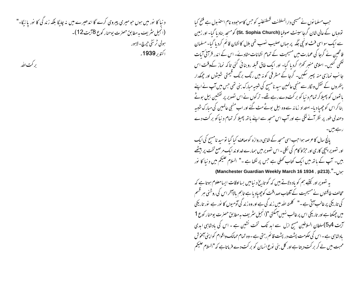حب مسلما نوں نے مسیحی دارالسلطنت قسطنطنیہ کو حس کاموحبودہ نام استنسول ہے فتح کیا تووہاں کے عالی شان گرجاسینٹ صوفیا (St. Sophia Church) کو مسجد بنادیا گیا۔ اور زمین سے ایک سو اسی فٹ اونچی جگہ پر حہاں صلیب نصب تھی بلال کا نشان قائم کردیا گیا۔ مسلمان فاتحین نے گرجا کی عمارت میں مسیحیت کے تمام نشانات مٹادئے۔ اس کے اندر قرآنی آیات لکھی گئیں۔ اسلامی منسر کھڑا کرد یا گیا- اور ایک طاق قبلہ رو بنائی گئی تاکہ نماز کےوقت اس حانب نمازی منہ پھیر سکیں۔ گرحا کے مشرقی کو نہ میں رنگ برنگ قیمتی شیشوں اور حِمکدار پتھروں کے نقش و نگار سے منیجی عالمین سید نامسح کی شبیہ مبارک بنی تھی جس میں آپ نے اپنے باتھوں کو پھیلاکر تمام د نیا کو بر کت دے رہے تھے۔ تر کوں نے اس تصویر پر نقشین بیل بوٹے بنا کر اس کو چھپا دیا۔ امتداد زمانہ سے وہ بیل بوٹے مٹ گئے اور اب منھی عالمین کی مبارک شبیہ دھندلی طور پر نظر آنے لگی ہے اور آپ اس مسجد سے اپنے پاتھ پھیلا کر تمام د نیا کو بر کت دے ر ہے، پیس پانچ سال کاعرصہ ہوا جب اسی مسجد کے شایبی دروازہ کوصاف کیا گیا توسید نامسح کی ایک اور نصویر پیچی کاری اور حِرْاؤ کام کی لَکلی ۔اس نصویر میں ہمارے خداو ند ایک مرصع تخت پر بیٹھے ہیں۔ آپ کے ہاتھ میں ایک کتاب کھلی ہے جس پر لکھا ہے ۔" السلام علیکم میں د نیا کا نور (Manchester Guardian Weekly March 16 1934 , p213). "بول-" بہ تصویر اور کتبے ہم کو باد دلاتے ہیں کہ گو تاریخ د نیامیں بسا اوقات ایسامعلوم ہوتا ہے کہ مخالف طاقنوں نے مسیحیت کے آفتاب صداقت کوچھبادیا ہے تاہم بالاآخراس کی روشنی ہر قسم کی تاریکی پر غالب آقی ہے۔" سمحکمتہ اللہ میں زند گی ہے اور وہ زند گی آدمیوں کا نور ہے نور تاریکی ' میں جِمکتا ہے اور تاریکی اس پر غالب نہیں اسمکتی "(انجیل سٹریف یہ مطابق حصرت یوحنا رکوع 1 آیت 4و<sup>5</sup>)سلطان السلاطین مسح ازل سے اید تک تخت نشین ہے - اس کی بادشاہی ایدی بادشاہی ہے ۔اس کی حکومت پشت در پشت قائم رہتی ہے ۔وہ تمام ممالک واقوام کواپنی آعوْش محبت میں لے کر بر کت دیتا ہے اور کل بنی نوع انسان کو بر کت دے فرماتاہے کہ"السلام علیکم

د نبا کا نور میں ہوں حبو میری پیروی کرے گا اندھیرے میں نہ چلیگا بلکہ زندگی کا نور پائیگا-" (انجيل سثريف به مطابق حصرت يوحنار كوع 18يت 12)-ہولی ٹرنٹی حمرچ۔لاہور اكتوبر 1939ء بركت التٰد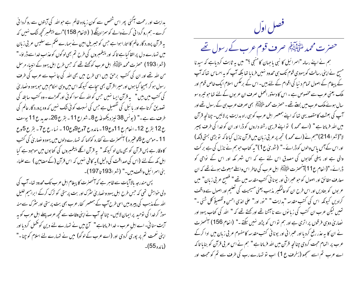ہدایت اور رحمت آگئی پھر اس شخص سے کون زیادہ ظالم ہے حواللہ کی آیتوں سے روگردا فی کرے۔ہم روگردانی کرنےوالے کوسمزادینگے ( (الانعام 158)"اے پیغمبر کجھ ننگ نہیں کہ یہ قرآن پرورد گار عالم کا اتارا ہوا ہے جس کو حبیریل امین نے ہمارے حکم سے سلیس عربی زبان میں تہارے دل پر القا کیاہے تا کہ اور پیغمبروں کی طرح تم بھی لوگوں کوعذاب خداسے ڈراؤ-" (شعرا 193) حصرت محمد متَّاثِيَّةٌ، اہل عرب کو کھتے تھے کہ حس طرح اہل یہود کے انبیاء مرسل من اللہ تھے اور ان کی کتب برحق بیں اسی طرح میں بھی اللہ کی جانب سے عرب کی طرف رسول ہو کر بھیجا گیا ہوں اور میرا قرآن بھی سجاہے کیونکہ اس میں وہی احکام بیں حویہود و نصار پیٰ کی کتب میں بیں " پہ قرآن ایسا نہیں جس کواللہ کے سوا کوئی اورٹھڑے -وہ کتب سابقہ کی تصدیق کرتا ہے اور پائبل کی تفصیل ہے جس کی نسبت کوئی شک نہیں کہ وہ پرورد گار عالم کی طرف سے ہے۔" (یونس 38 نیز دیکھوطہ ع8۔شعراع11۔بقرع26۔حدید ع11 یوسف ع 12 بقرع 12- انعام ع 11وع19- مائده ع 7وع9وع10 - نساء ع ح7- بقرع 5وع 11 ۔مومن ع 6وعنیرہ ) آنحصرت نے کفارہ کو <sub>ک</sub>ما کہ تہارے دلوں میں یہودو نصار <sub>ک</sub>ی کو کتب کاوقار ہے پس قرآن کو بھی مان لو کیونکہ " یہ قرآن اگلے پیغمبروں کی کتابوں میں موحود ہے کیا اہل مکہ کےلئے (اس کی صداقت کی دلیل ) یہ کافی نہیں کہ اس قرآن (کے مضامین ) سے علماء بني اسمرائيل واقف بيس-" (شعرا193 تا 197)-

پس مندرجہ بالاآبات سے ظاہر ہے کہ آنحصرت کا پیغام اہل عرب تک محدود تیا۔آپ کی دلی خواہش تھی کہ جس طرح اہل یہود و نصاریٰ سثرک اور بت پرستی کو ترک کرکے ابراہیم خلیل الٹد کے مذہب کی پیروہیں اسی طرح آپ کے ہمعصر کفار عرب بھی بت پرستی اور ستُرک سے منہ موڑ کرخدا کی توحید پر ایمان لائیں۔ چنانچہ آپ نے اپنی وفات سے کچھ عرصہ پہلے اہل عرب کو بہ آیت سنا ئی۔ اے اہل عرب۔ خدا فرماتاہے " آج میں نے تہارے لئے دین کو پممل کردیا اور اپنی نعمت تم پر پوری کردی اور (اے عرب کے لوگو) میں نے تہارے لئے اسلام کو چنا۔"  $-(55, x)$ 



حصرت محمد ملتجلِيلَهُم صرف قوم عرب کے رسول تھے ہم نے اپنے رسالہ "اسمرائیل کا نبی یا جہان کا منجی ؟" میں یہ ثابت کردیاہے کہ سیدنا مسج نے اپنی رسالت کو یہودی قوم تک ہی محدود نہیں فرمایا تھا بلکہ آپ کو یہ احساس تھا کہ آپ کے پیغام کے اصول تمام د نیا کی اقوام کے لئے ہیں۔ اس کے برعکس اسلام ایک خاص قوم اور ملک یعنی عرب سے مخصوص ہے ۔ اس کا دستور العمل صرف ان عربوں کے لئے تھاحو تیرہ سو سال ہوئے ملک عرب میں بستے تھے۔حصرت محمد طلطیلیکشی صرف عرب ہی کے رسول تھے اور آپ کی بعثت کامقصدیهی تھا کہ اپنے ہمعصر اہل عرب کوہی راہ ہدایت پرلائیں- چنانچہ قرآن میں اللہ فرماتا ہے " (اے محمد ) نو اپنے قریبی رشتہ داروں کو ڈرا اور ان کو خدا کی طرف پھیر لا"(شعرا 214)"ہم نے (اے محمد ) تجھ پر عربی زبان میں قرآن نازل کیا تا کہ تو بڑی بستی (کمہ) اور اس کے آس پاس والوں کو ڈرائے۔" (شوریٰ ع1)" یہ کتاب حبو ہم نے نازل کی ہے بر کت والی ہے اور پہلی کتابوں کی مصدق اس لئے ہے کہ اس شہر مکہ اور اس کے نواحی کو دُّرائے۔"(انعام ع11)آنتھنرت ملتی ایم اہل عرب کی خاطر اس واسطے مبعوث ہوئے تھے کہ ان معارف حقائق اور اصول کو حو عبرا فی اور یونا فی کتب مقدسہ میں تھے " قصیح عربی زبان" میں عر بوں کو بتادیں اور اس طرح ان کو عالمگیر مذہب یعنی مسیحیت کی تعلیم اور اصول سے واقف كراديں كيونكہ اس كى كتب مقدسہ "بدايت " " نور اور" على الذي احسن وتفصيلاً كل شئى -" تحييں ليكن عرب ان كتب كى زبا نوں سے ناآشنا تھے اور كھتے تھے كہ " اللہ كى كتاب يہود اور نصاریٰ دوہی فرقوں پر اتری ہے اور ہم تو اس کو پڑھ نہیں سکتے ۔" (انعام 156) سنحصرت نے ان کا یہ عذر رفع کردیا اور عبرا نی اور یونا نی کتب مقدسہ کامفهوم عربی زبان میں ادا کرکے عرب پر اتمام حجت کردی چنانچہ قرآن میں اللہ فرماتا ہے " ہم نے اس عربی قرآن کو بنایا تا کہ اے عرب تم اسے سمجھو (زخرف ع 1) اب تو تہارے رب کی طرف سے تم کو حجت اور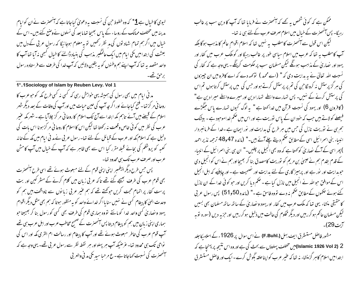لیوی کاخیال ہے <u>1</u>\* کہ وہ خطوط حن کی نسبت پہ دعویٰ کیاجاتا ہے کہ آنمحضرت نے ان کوایام مدینہ میں مختلف ممالک کے روساء کے پاس بھیجا تھاما بعد کی نسلوں نے وصنع کئے بیں۔ اس کے خیال میں اگر ہم تمام شاد توں کی مد نظر رکھیں تو یہ معلوم ہوجائیگا کہ رسول عربی کے دل میں بعثت کی ابتدامیں مکی ایام میں ایک عالمگیر مذہب کی بنیاد ڈالنے کاخیال کبھی نہ آیا تھا آپ کا واحد مقصد بہ تھا کہ آپ اپنے ہم وطنوں کو بہ یقین دلائیں کہ آپ خدا کی طرف سے فرستادہ رسول برحن تھے۔

1\*-1Sociology of Islam by Reuben Levy. Vol 1

مد فی ایام میں بھی رسول کی ہمیشہ یہی خواہش رہی کہ کسی نہ کسی طرح مکہ کو حوعرب کا روحا ٹی مر کز تھا۔ فتیح کیاجائے اور اگر جہ آپ کی حین حبات میں اور آپ کی وفات کے بعد دیگر شہر اسلام کے قبضے میں آئے تاہم مکہ ابتدا سے آج تک اسلام کا روحا نی مر کز چلاآیا ہے ۔ شہر مکہ عنیر عرب کی نظر میں کوئی خاص وقعت نہ رکھتا تھا لیکن اس کا اسلام کاروحا فی مر کز ہونا اس بات کی دلیل ہے کہ اسلام مکہ اور عرب کے قبائل کے لئے تھا۔ رسول عربی نے مد فی ایام میں مکہ کے خانہ کعبہ کو یروشکم کی بجائے قبلہ مقرر کیا اس سے بھی ظاہر ہے کہ آپ کے خیال میں آپ کا مش عرب اور صرف عرب تک ہی محدود تھا۔ پس جس طرح دیگر پیغمبر اپنی اپنی قوم کے لئے مبعوث ہوئے تھے اسی طرح آنٹھنرت

بھی قوم عرب کی طرف بھیجے گئے تھے تاکہ عربی زبان میں کلام کرنے کے مشر کین اور بت پرست کفار پر اتمام حجت کریں حوکھتے تھے کہ ہم عنیر عربی زبانوں سے ناواقف ہیں ہم کو وحدت الهیٰ کا پیغام کسی نے نہیں سنایااگر خدائے واحد کو بہ منظور ہوتا کہ ہم بھی مثل دیگر اقوام یهود و نصاریٰ کسی واحد خدا کومانتے نووہ ہماری قوم کی طرف بھی کسی کو رسول بنا کر بھیجتا حو ہماری اپنی زبان میں ہم کو پیغام دیتا پس آنھھنرت کے ضجیح مخاطب عرب اور اہل عرب ہی تھے آپ قوم عرب کی خاطر مبعوث ہوئے تھے اور آپ کا پیغام اور رسالت ام القری مکہ اور اس کی نواحی تک ہی محدود تھا۔غرضیکہ آپ ہر پہلواور ہر نقطہ نظر سے رسول عربی تھے۔ یہی وجہ ہے کہ آنحصرت کی نسبت <sub>ک</sub>ماجاتا ہے۔ع مرحبا سید مکی مد فی وا<sub>لعر</sub> بی ممکن ہے کہ کوئی شخص یہ بھے کہ آنحصرت نے فرمایا تھا کہ آپ کا دین سب پر غالب رہیگا- پس آنحصرت کے خیال میں اسلام صرف عرب کے لئے ہی نہ تھا-لیکن اس قول سے آنھھنرت کا مطلب پہ نہیں تھا کہ اسلام اقوام عالم کا مذہب ہوگا بلکہ آپ کامطلب ہہ تھا کہ عرب میں اسلام سیاسی طور پر غالب رہیگا اور گو ملک عرب میں کفار اور یہود اور نصاریٰ کے مذاہب ہوئگے لیکن مسلمان سب پر حکومت کرینگے ۔ یہی وجہ ہے کہ کفار کی نسبت اللہ تعالیٰ نے بہ ہدایت دی کہ " (اے محمد ) توکہہ دے کہ اے کافرومیں ان جیمزوں کی ہر گز پرستش نہ کرو نگاحن کی تم پر پرستش کرتے ہواور حس کی میں پرستش کرتا ہوں تم اس کی پرستش کرنے کے نہیں۔ پس تہارے واسطے تہارا دین اور میرے واسطے میرا دین ہے" (کافرون 6) اور یہود کی نسبت قرآن میں خداکھتا ہے " بہ لوگ کیوں تہارے پاس حبکڑے فیصلے کولاتے ہیں جب کہ خود ان کے پاس نوریت ہے اور اس میں حکم خداموحود ہے ۔ بیٹنگ ہم ہی نے توریت نازل کی حس میں ہر طرح کی ہدایت اور نور ایمان ہے۔خدا کے فرمانسردار انبیاء بنی اسرائیل اسی کے مطابق حکم دیتے چلے آئے ہیں۔" (مائدہ 47و48 ترجمہ نذیر احمد ) پھر اسی کے آگے نصاریٰ کو کھتا ہے کہ وہ بھی انجیل پر چلیں۔" ان ہی بنی اسمرا ئیل کے انبیاء کے قدم بقدم ہم نے عیسیٰ بن مریم کو نوریت کامصدق بنا کر بھیجا اور ہم نے اس کو انجیل دی حویدایت اور نور ہے اور پرہمیز گاری کے لئے بدایت اور نصحیت ہے۔ اور چاہئیے کہ اہل انجیل اس کے موافق حبو اللہ نے انجیل میں نازل کیا ہے ۔حکم دیا کریں اور حبو کو ٹی خدا کے ان نازل کئے ہوئے صحموں کےمطابق صحم نہ دے تووہ فاسق ہے ۔" (مائدہ 50و51) پس رسول عربی کا حقیقی منشاء یہی تھا کہ ملک عرب میں کفار اور یہود و نصاریٰ کے ساتھ ساتھ مسلمان بھی بسیں لیکن مسلمان حاکم ہو کر رہیں اور دیگر محکوم کی حالت میں ذلیل ہو کر رہیں اور حزبہ دیں (سورہ توبہ آئت29)

مشور فاصل مستسرَّق ایف بہل (.F.Buhl) نے اس سوال پر 1926ء کے اسلامہ کا جلد 2 (Islamic 1926 Vol 2)میں مختلف پہلوؤں سے بحث کی ہے اور وہ اس نتیجہ پر بہنجا ہے کہ ابتدامیں اسلام کامبر گزمنشاء نہ تھا کہ عنیر عرب کواپناحلقہ بگوش کرے۔ایک اور فاصل مستنشرق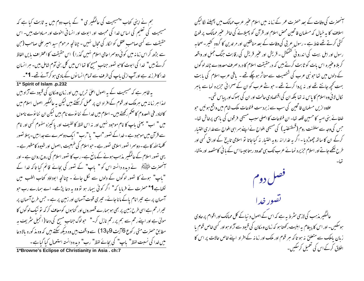ہم نے اپنی کتاب "مسیحیت کی عالمگیر ی " کے باب دوم میں یہ ثابت کیا ہے کہ مسیحیت کی تعلیم کی اساس خدا کی محبت اور ابوت اور انسا فی احوت اور میاوات بین- اس حقیقت سے کسی صاحب عقل کو ا<sub>لکار</sub> کی مجال نہیں - چنانچہ مرحوم سید امیر علی صاحب (<sup>ح</sup>ن سے بڑھ کر اس زمانہ میں کوئی دوسمراحامی اسلام نہیں گذرا ) اس حقیقت کا اعتراف پایں الفاظ کرتے ہیں" خدا کی ابوت کاحو نصور جناب مسیح کا تھا اس میں کل بنی آدم شامل ہیں۔ ہر انسان خدا کا فرزند ہے اور آپ ازلی باپ کی طرف سے تمام انسا نوں کے بادی ہو کر آئے تھے۔ **1**\*۔ 1\* Spirit of Islam .p.232 یہ ظاہر ہے کہ مسیحیت کے یہ اصول اعلیٰ تریں بیں اور زمان ورکان کی قیود سے آزاد بیں لہذا ہر زمانہ میں ہرملک اور قوم کےافراد ان پر عمل کرسکتے ہیں لیکن بہ عالمگیر اصول اسلام میں کالنادر فی المعدوم کا ضخم رکھتے ہیں۔اسلام میں خدا کے ننا نوے نام بیں لیکن ان ننا نوے ناموں میں " اب" یعنی پاپ کا نام موجود نہیں اور نہ اس لفظ کا لطیف اور پا کمیزہ مفهوم کسی اور نام سے قرآن میں موحود ہے ۔خدا کے نصور "اب" یا "رب" ایک دوسمرے سے جدابیں۔ پہلا نصور کلمۃ اللہ کا ہے ۔ دوسمر ا تصور اسلامی نصور ہے ۔ حبواسلام کی طبعیت ،اصول اور شیوہ کامظہر ہے ۔ یہی تصور اسلام کے عالمگیر مذہب ہونے کے مانع ہے۔ رب کا تصور اسلام کی روح روان ہے ۔ اور آنحصرت التَّالِيَّةُ } لے دیدہ دانستہ اس کو " باپ" کے تصور کی بجائے قائم کیا تاکہ خدا کے "ماپ" ہونے کا تصور لوگوں کے دلوں سے نکل جائے ۔ چنانچہ ابوداؤد کتاب الطب میں لکھاہے 1\* حصرت نے فرمایا کہ" اگر کوئی بیمار ہو تووہ بہ دعا پڑھے- اسے ہمارے رب حبو آسمان پر ہے تیرانام پاکے مانا جائے۔ تیری قوت آسمان اور زمین پر ہے ۔ جس طرح آسمان پر تبیرارحم ہے اسی طرح زمین پر بھی ہو ہمارے قصوروں اور گناہوں کومعاف کر کہ تو نیک لوگوں کا مولیٰ ہے اور اپنے رحم سے ہم پر رحم نازل کر۔" حبولوگ جناب مسح کی دعا ( انجیل سٹریف ہہ مطابق حصرت متی رکوع 6آیت 9 تا13) سے واقف بیں وہ دیکھ سکتے ہیں کہ وہ مذکورہ بالا دعا میں خدا کی نسبت لفظ" پاپ" کی بجائے لفظ" رب" دیدہ دانستہ استعمال کیا گیاہے۔

1\*Browne's Eclipse of Christianity in Asia . ch:7

آنحصرت کی وفات کے بعد حصرت عمر کے زمانہ میں اسلام عنیر عرب ممالک میں پھیلنے لگا لیکن اسلاف کا بہ خیال کہ مسلمان فاتحین محض اسلام اور قرآن کو پھیلانے کی خاطر عنیر ممالک پر فوج کشی کرتے تھے علط ہے ۔رسول ِ عربی کی وفات کے بعد منافقین اور مر تدین کا گروہ کشیر۔صحابہ رسول اور اہل بہت کی اندرو ٹی کشمکش ۔ قریش اور عنیر قریش کی رقابت جنگ جمل اور واقعہ کر بلا وعنیرہ اس بات کو ثابت کرتے ہیں کہ درحقیقت اسلام کا درد صرف معدودے چند لوگوں کے دلوں میں تھا حو نبی عرب کی شخصیت سے متاثر ہوچکے تھے ۔ یاقی عرب اسلام کی بابت بہت کھچھ جانتے تھے اور نہ پروا کرتے تھے ۔ حبو شے عرب کو ان کے صحرائی حزیرہ نما سے باہر لکال لائی وہ اسلام کا پاس نہ تھا بلکہ ان کی اقتصادی حالت اور ان کی بھوک اور پیاس تھی۔ علاہ ازیں مسلمان فاتحین کی سب سے زبردست فتوحات ملک شام میں واقع ہوئیں حو خلفائے بنی امیہ کا حسین قلعہ تھا- ان فتوحات کا اصلی سبب مسیحی فرقوں کی باہمی پرخاش تھا-حبں کی وجہ سے سلطنت روم (قسطنطنبہ) کی مسیحی افواج نے اپنے ہمراہی افواج سےغداری اختیار کرکے ان کا ساتھ چھوڑدیا - اگر یہ عدارانہ رویہ اختیار نہ کیاجاتا تو اسلامی تاریخ کے اوراق کسی اور طرح لکھے جاتے اور اسلام حزیرہ نمانے عرب تک ہی محدود رہتا جیسا اس کے بانی کامقصد اور منشاء



عالمگیر مذہب کی لازمی سٹر ط یہ ہے کہ اس کے اصول دینیا کے کل ممالک اور اقوام پر حاوی ہوسکیں۔ اور اس کا پیغام یہ اہلیت رکھتا ہو کہ زمان ومکان کی قبیود سے آزاد ہو اور کسی خاص قوم یا زبان یاملک سے متعلیق نہ ہو تا کہ ہر قوم اور ملک اور زمانہ کےافراد اپنے خاص حالات پر اس کا اطلاق کرکے اس کی تعمیل کرسکیں۔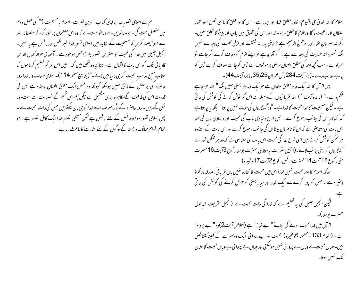ہم نے اسلامی تصور خدا پر اپنی کتاب " دین فطرت -اسلام یامسیحیت ؟" کی فصل دوم میں مفصل بحث کی ہے - ناظرین سے درخواست ہے کہ وہ اس مصنمون پر عوْر کرکے منصفانہ نظر سے خود فیصلہ کریں کہ مسیحیت کےمقابلہ میں اسلامی تصور خداعنیر مکمل اور ناقص ہے یا نہیں۔ انجیل جلیل میں خدا کی محبت کا بہترین تصور بطرز احسن موحبود ہے ۔ آنھہا نی حوالہ کھال الدین قادیا فی تک کواس بات کااقبال ہے - چنانچہ وہ ککھتے ہیں کہ " میں اس امر کو تسلیم کرتا ہوں کہ جناب مسح مذہب محبت کو ہی د نیامیں لائے۔"(پنا بسیج صفحہ 114)۔ اسلامی صفات والاخدا دور حاصرہ کی پرستش کے لائق نہیں ہوسکتا کیونکہ وہ محص ایک مطلق العنان بادشاہ ہے جس کی قدرت اس کی طاقت کےمظاہرہ پر ہی مشتمل ہے لیکن ہم اس قسم کے تصورات سے بہت دور لکل گئے بیں۔ دور حاصرہ کے لوگ صرف ایسے خدا کو سی مان سکتے بیں حس کی ذات محبت ہے ۔ پس اسلامی تصور موجودہ نسل کے لئے ناقص ہے لیکن مسیحی تصور خداایک کامل تصور ہے ۔ حبو تمام اقوام ممالک وازمنہ کے لوگوں کے لئے بشارت کا باعث رہاہے ۔

اسلام کا اللہ تعالیٰ حی القیوم۔ قادر مطلق قہار اور حبار ہے۔ اس کا اور خلق کا پاہمی تعلق خود محمّار سلطان اور رعیت ،آقا اور علام کا تعلق ہے۔خدا اور اس کی مخلوق میں باپ اور بیٹے کا تعلق نہیں۔ ا گراہٹیہ مہر بان عفار اور الرحمنٰ الرحیم ہے تو اپنی پدرا نہ شفقت اور ازلی محبت کی وجہ سے نہیں بلکہ خسرو انہ عنایت کی وجہ سے ہے ۔ اگر آقا چاہے تو اپنے علام کو معاف کرے اگر چاہے تو سمزادے۔سب کحچھ اللہ کی مطلق العنان مرضی پر موقوف ہے جس کو چاہے معاف کرے جس کو چاہے عذاب دے۔ (بقرآیت 284، آل عمران 25و35، مائدہ آیت 44)۔

بس قرآن کا اللہ ایک قادرمطلق سلطان ہے حوایک ذمہ وار ہستی نہیں بلکہ " اللہ حوجاہے حکم دے۔" (مائدہ آیت 1) لہذا قربا نیوں کےوسیلہ سےاس کوحوش کرنے کی کوشش کی جاتی ہے ۔لیکن مسیحیت کاخدا محبت کاخدا ہے۔"وہ گنہگاروں کی موت نہیں چاہتا" بلکہ بہ چاہتاہے کہ گنہگار اس کی جانب رحوع کرے ۔ حس طرح د نیاوی باپ کی محبت اور د نیاوی ماں کی ممتا اس بات کی متقاصٰی ہے کہ ان کا نا فرمان بیٹاان کی جانب رحوع کرے اور اس بات کے لئے وہ ہر ممکن کوشش کرتے ہیں اسی طرح خدا کی محبت اس بات کی متقاصی ہے کہ وہ ہر ممکن طور سے گنهگاروں کواپنی جانب لائے۔(انجیل سثریف یہ مطابق حصرت یوحنار کوع 3 آیت 16 حصرت متى ركوع 18 آيت 14 حصرت مرقس ركوع 2آيت 17وغيره)-

حیونکه اسلام کا الله محبت نهبیں لہذا اس میں محبت کا کفارہ نہیں بال قریا فی ،صدقہ ،ز کواۃ وعنیرہ ہے ۔ حس کو پورا کرنےسے ایک قہار اور حبار ہستی کو حوش کرنے کی کوشش کی جاتی

لیکن انجیل جلیل کی یہ تعلیم ہے کہ غدا کی ذات محبت ہے (انجیل سٹریف خط اول حصرت بوحنا )۔

قرآن میں خدا محبت ہونے کی بجائے" بے نباز" ہے (اخلاص آیت2)وہ" بے پرواہ" ہے ۔ (انعام 133۔ ممتحنہ 6وعنیرہ) محبت اور بے پروائی ایک دوسرے کے کلیتۂَ متناقض بیں۔ جہاں محبت ہے وہاں بے پروائی نہیں ہوسکتی اور حہاں بے پروائی ہے وہاں محبت کا نشان تک نہیں ہوتا۔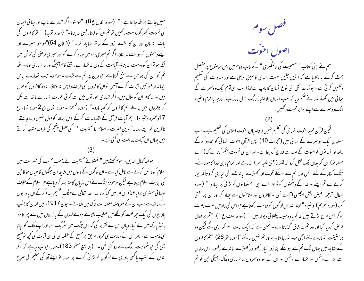نہیں جانتے پر اللہ جا نتاہے ۔" (سورہ انفال ع 8)۔"مومنو۔اگر تہارے پاپ اور سِائی ایمان كي نسبت كفر كودوست ركھيں تو تم ان كواپنا رفيق نہ بناؤ-" (سورہ توبہ ) " تو كافروں كي بات نہ مان اور ان کا بڑے زور کے ساتھ مقابلہ کر -" (فرقان 54)"مومنو میرے اور اپنےدشمنوں کو دوست نہ بناؤ۔اگر تم میری راہ میں جہاد کرنے کو اور میری مرضی کی تلاش میں لکلے ہو نوان کودوست نہ بناؤ- قبامت کے دن نہ تہارے رشتے کام آئینگے اور نہ تہاری اولاد-اللہ تم کو ان کی دوستی سے منع کرتا ہے جو دین پر تم سے لڑے ۔مومنو۔ جب تہارے پاس ایماندار عور تیں ہجرت کرکے آئیں توان کافروں کی طرف واپس نہ لوٹاؤ۔ نہ وہ کافروں کو حلال بیں اور نہ کافر ان کوحلال بیں۔ اگر تہاری عور نوں میں سے کوئی عورت تہارے ہاتھ سے لکل کر کافروں میں جا ملے تم کافروں کو تھیا مارو۔" (سورہ ممتحنہ - سورہ انفال ع 2 سورہ نسا ء ع 17وعنیرہ وعنیرہ) ہم آبات قرآنی کے اقتیاسات کرکے اس رسالہ کوطول نہیں دینا چاہتے۔ ناظرین کواپنے رسالہ" دین فطرت - اسلام یامسیحیت ؟" کی فصل بسجم کی طرف متوجہ کرتے بیں جہاں ان آیات پر بحث کی گئی ہے۔

خواصر محمال الدین مرحوم کہتے ہیں " فصلائے مسیحیت نے مذہب محبت کی فہرست میں اسلام کو داخل کرنے سے تامل کیا ہے ۔ ان لو گوں کے دلوں میں شاید ان جنگوں کا خیال ہو گا حن کی اجازت اسلام دیتا ہے لیکن موحبودہ جنگ نے اس بذیان کامنہ بند کردیا ہے حبواسلام کے خلاف عیسا ئی مشغری پرایاعنڈااس امر میں کیا کرتا تھا- خدا تعالیٰ نے جنگ عظیم پیدا کرکے ان یادر یوں کے ہاتھ سے سب ان کے مفروضہ معتقدات خاک میں ملادئے ۔ حبون 1917ء میں لندن کا بشپ یادر یوں کی ایک حماعت کو گلے میں صلیب لٹکائے ہوئے لندن کے بازاروں میں سے پھر تا ہوا پائیڈ پارک میں لے گیا- وہاں اس نے تقریر کی کہ اس جنگ میں سٹریک ہونااور اپنے ملک کو بچانا ہی مذہب ہے ۔ پھر اس نے نہایت ہی کھرور طریق پر مسیح کے خطبہ ہی کی ان آیات کی تحچھ توضیح بھی کی حو شمولیت جنگ سے روکتی تھی۔" (ینا بیچ صفحہ 183)۔ہمارا حواب یہ ہے کہ اگر لندن کے بشپ یا کسی پادری نے لوگوں کو لڑائی کرنے پر اس<sub>حا</sub>را تو اپنے آقا کی تعلیم کی صریح



مسلمان ایک دوسرے کے ہیائی بیں (حجرات 10) پس قرآن اخوت انسانی کو محدود کرکے لاتعداد انسانوں کواحوت کے حلقہ سے خارج کردیتا ہے۔اور ان کی نسبت صحم کرتاہے کہ ( اے مسلمانو) ان کو بہاں تک قتل کرو کہ فتنہ (یعنی علیہ کفر ) نہ رہے اور تمام دین غدا کا ہوجائے۔ جنگ کفار کے لئے حبں قدر تم سے ہوسکے قوت اور گھوڑے ہاندھنے کی تیاری کرو تاکہ ایسا کرنے سے تم اپنے اور خدا کے دشمنوں کو ڈراؤ۔ اے نبی ۔مسلمانوں کولڑائی پر اسارو۔" (سورہ انفال ترحمہ فیض بخش ایجنسی)"اے نبی - کافروں اور منافقوں سے حہاد کر اور ان پر سختی کر۔(سورہ تحریم ) وعنیرہ "البتہ اللہ ان لوگوں کو دوست رکھتا ہے حبواس کی راہ میں صف بصف ہو کر اس طرح لڑتے ہیں کہ گوباوہ سیسہ پچھلائی دیوار ہیں۔" (سورہ صف ع 1)۔"تم پر قعال فر ص کردیا گیا اور وہ تم پر شاق گذرتا ہے ۔ ممکن ہے کہ ایک بات تم کو بری لگے لیکن وہ درحقیقت تہارے لئے اچھی ہو۔ اللہ جا نتا ہے اور تم نہیں جانتے "(سورہ بقر 26) "تم کافروں کے مقابلہ میں جہاں تک تم سے ہو سکے اپنا زور تیار رکھو اور گھوڑے پاندھے رکھو۔ اس سامان سے اللہ کے دشمن اور تہارے دشمن اور ان کے سوا دوسروں پر تہاری دھاک رہیگی جن کو تم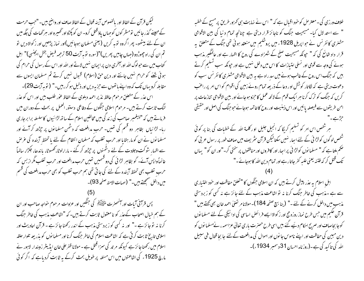لیکن قرآن کے الفاظ اور بالخصوص آیئہ قتال کے الفاظ صاف اور واضح ہیں۔ "حب حرمت کے مہینے گذر جائیں تومشر کوں کوجہاں یاؤقتل کرو- ان کو پکڑواور گھیرواور ہر گھات کی جگہ میں ان کے لئے بیٹھو۔ پھر اگروہ توبہ کریں (یعنی مسلمان ہوجائیں)اور نماز پڑھیں اور زکواۃ دیں تو تم ان کی راہ چھوڑ دو (ہماں چاہیں پھریں)"(سورہ توبہ آیت 50 ترجمہ فیض بخش ایجنسی)" اہل کتاب میں سے حولوگ اللہ اور آخری دن پر ایمان نہیں لاتے اور اللہ اور اس کے رسول کی حرام کی ہوئی شئے کو حرام نہیں جانتے اور دین حق (اسلام) قبول نہیں کرتے تم مسلمان ایسوں سے مقابلہ کروپہاں تک کہ وہ اپنے ہاتھوں سے حزبہ دیں اور ذلیل ہو کررہیں۔" ( توبیرآیت 29)۔ اس عذر کے متعلق مرحوم حافظ نذیر احمد دہلوی کے الفاظ عور طلب ہیں اور اس کو عذر لنگ ثابت کرتے ہیں۔ مرحوم اسلامی جنگوں کے دفاعی دستور العمل پر بحث کے دوران میں ۔ فرماتے ہیں کہ "پیغمبر صاحب کی زند کی میں مخالفین اسلام کے ساتھ لڑا <sub>کنی</sub>وں کاسلسلہ برا برجاری رہا۔ لڑائیاں بظاہر ۔دو قسم کی تھیں۔ حرب مدافعت کہ دشمن مسلمانوں پر چڑھ کر آئے اور مسلمانوں نے ان کو مار ہٹایا اور حرب تغلب کہ مسلمان انتقام کے لئے یا تحفظ آیندہ کی عرص سے اظہار شو کت وجلادت کے لئے دشمنوں پر جیڑھ کر گئے - مارا،لوٹا،محصوٹا، باندھا، جکڑا، سالماً غانماً واپس آئے۔ گو بظاہر لڑا ئی کی دو قسمیں تھیں حرب مدافعت اور حرب تغلب مگر از بس کہ حرب تغلب بھی تحفظ آیندہ کے لئے کی جاتی تھی ہم حرب تغلب کو بھی حرب مدافعت کی قسم ميں داخل سمجھتے ہيں۔" (امہات الامتہ صفحہ 93)۔

پس قرآنی آبات اور آنحصرت السیسی آنکی جنگیں اور عزوات مرحوم حواصہ صاحب اور ان کے ہم خیال اصحاب کےعذر کو نامعقول ثابت کرتے ہیں۔کہ "اشاعت مذہب کی عاطر جنگ کرنا نہ توجائز ہے ۔" اور نہ کسی کو زبردستی مذہب کے اندر رکھنا جائز ہے ۔ قرآن احادیث اور اسلامی تاریخ ثا بت کر تی ہے کہ اشاعت اسلام کی خاطر جنگ کرنا اور مسلما نوں کو بذریعہ تلوار حلقہ اسلام میں رکھنا جائز ہے کیونکہ مرتد کی سزا قتل ہے - مولاناظفرعلی خان ایڈیٹر زمیندار لاہور نے مارچ 1925ء کی اشاعتوں میں اس مسئلہ پر طویل بحث کرکے یہ ثابت کردیاہے کہ اگر کوئی

خلاف ورزی کی ۔معتر ص کو خود اقسال ہے کہ " اس نے نہایت ہی کمرور طریق پر مسح کے خطبہ " سے استد لال کیا۔ مسیحیت جنگ کو ناجائز قرار دیتی ہے چنانچہ تمام دنیا کی بین الاقوامی مشنری کانفرنس نے حواپریل 1928ء میں یروشکیم میں منعقد ہوئی تھی جنگ کے متعلق پہ قرار داد شائع کی کہ " حیونکہ مسیحیت صلح کے شہزادے کی روح کا اظہار ہے اور عالمگیر مذہب ہونے کی وجہ سے قومی اور نسلی امتیازات کا اس میں دخل نہیں ہے اور حیونکہ سب نسلیم کرتے ہیں کہ جنگ اس روح کے غالب ہونے میں سد راہ ہے یہ بین الاقوامی مشنری کا نفر نس سب کو دعوت دیتی ہے کہ لگاتار کوشش اور دعا کے ذریعہ تمام روئے زمین کی اقوام کو اس امر پر راعب کریں کہ جنگ کو ترک کرنا ہر ایک قوم کے لائحہ عمل کا حزو ہوجائے اور بین الاقوامی تنازعات پر امن طریقوں سے فیصلہ پائیں اور اس ذہنیت اور روح کا خاتمہ ہوجائے حبو جنگ کی اصل اور حقیقی ہر شخص اس امر کو تسلیم کریگا کہ انجیل جلیل او رکلمة اللہ کے خطبات کی بنا پر کوئی شخص لوگوں کولڑا ئی کے لئے اسار نہیں سکتالیکن قرآن سٹریف میں صاف طور پر رسول عربی کو صحم ملتا ہے کہ " مسلما نوں کولڑا ئی پر اسار اور کافروں اور منافقوں پر سختی کر۔"اور ان کو" یہاں کیک قتل کر کہ فتنہ یعنی علیہ کفر جاتارہے اور تمام دین اللہ کا ہوجائے۔"

ابل اسلام به عذر پیش کرتے ہیں کہ ان اسلامی جنگوں کا "تعلق حفاظت اور خود اختیاری سے ہے ۔مذہب کی خاطر جنگ کرنا نہ تو اشاعت مذہب کے لئے جائز ہے نہ کسی کو زبردستی مذہب میں داخل کرنے کے لئے ۔" (پنا بسیج صفحہ 184)۔ مولانا مر تضنیٰ احمد خان بھی کھتے ہیں " قرآن حکیم میں حس طرح نماز روزہ حج اور زکواۃ ایسے فرائض اساسی کی ادائیگی کے لئے مسلمانوں کوجا بحاصاف اور صریح احکام دیئیے گئے بیں اسی طرح حصرت باری تعالیٰ عزاسمہ ، نےمسلمانوں کو دین مبین کی حفاظت اور اپنے ناموس جانوں اور اموال کی مدافعت کے لئے جا بحا قتال فی سبیل الله کی تاکید کی ہے۔(روزنامہ احسان 31 دسمبر 1934ء)۔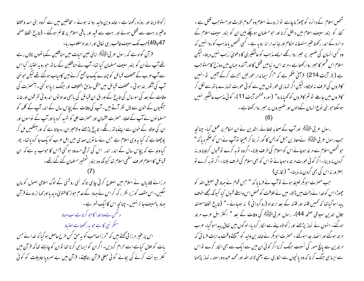ز کواۃ دینا اور روزہ رکھنا ہے ۔ خالد و بن ولید روانہ ہوئے ۔ مخالفین میں سے گروہ بنی اسد وعطفا وعنیرہ بہت سے قتل ہوئے اور بہت سے قبد اور یاقی اسلام پر قائم ہوگئے ۔ (تاریخ الخلفا صفحہ 47 تا49) حب تک سیف غالب رسی نفاق اور ار تداد مغلوب ربا-قرآن گواہ ہے کہ رسول عربی التَّخَيْتَہِمْ اپنی حین حیات میں منافقین کے باتھوں نالاں رہے تھے آپ نے ان کو بزور سیف مسلمان کیا تھا۔ آپ نے منافقین کے ساتھ حبورو بہ اختیار کیا اس

سے آپ عرب کے مختلف قسائل کو چندے بک جا جمع کرنے میں کامیاب ہوگئے تھے لیکن حونهی آپ کی آنکھ بند ہوئی ۔ مختلف قبائل میں مثل سابق اختلاف اور جنگ بریا ہو گئی ۔آنھھزت کی وفات کے بعد کی سوسال کی تاریخ کے اوراق ان قبائل کی باہمی عداو توں اندرو فی تفرقوں اور خانہ جنگیوں کے حون سے لال نظر آتے ہیں۔آپ کی وفات کے پچاس سال کے اندر آپ کے کلمہ گو مسلما نوں نے آپ کے خلفاء حصرت عثیمان اور حصرت علی کو شہید کردیا اور آپ کے نواسوں اور ان کی اولاد کے حون سے اپنےباتھ رکھُے۔ تاریخ پڑھنے والاحبیران رہ جاتا ہے کہ اور آنکھیں مل کر پوچھتا ہے کہ کیا یہ وہی اسلام ہے جس نے سا تویں صدی میں اہل عرب کو یک جا کردیا تھا۔ پھر کیا وجہ ہے کہ پچاس سال کے اندر اندر اس کی ترقی مسدود ہو گئی ؟اس کا حبواب ہہ ہے کہ ان قبائل کااسلام صرف سطحی اسلام تھا کیونکہ وہ بزور شمشیر مسلمان کئے گئے تھے۔

مرزائے قادیان نے اسلام میں اصلاح کرنی چاہی تاکہ نئی روشنی کے لوگ اسلامی اصول کو مان سکیں۔اس مقصد کو زیر نظر رکھ کر اس نے جہاد کے عدم حواز کا فتویٰ دید یا اور <sub>ک</sub>ما ازرونے قرآن جہاد پالسیف جائز نہیں۔چنانچہ اس کاایک شعر ہے۔ دشمن ہےوہ خدا کاحو کرتاہے اب جہاد منکر نبی کاہے حبوبہ رکھتاہے اعتیاد اس پر عنیر مرزا ٹی تھتے ہیں کہ "مرزاصاحب کو بہ حق کس طرح حاصل ہو گیا کہ خدا نے جس بات کوحلال کیاہے اسے حرام کردیں۔ اگر ان کو ایسا ہی کرنا تھا نوان کو چاہئے تھاکہ قرآن میں کتر بیونت کرنے کی بجائے کوئی جعلی قرآن بناییتے۔ قرآن میں بے سرویا تاویلات کو کوئی

شخص اسلام کے دائرہ کو چھوڑنا چاہے تو ازرونے اسلام وہ محروم الارث اورمستوحب قتل ہے ۔ کفار کو بزور سیف اسلام میں داخل کرنا اور حبو مسلمان ہو چکے ہیں ان کو بزور سیف اسلام کے دائرہ کے اندر رکھناعنیر منصفانہ احکام اور جا نیدار انہ رویہ ہے ۔ کسی شخص یامذہب کوروا نہیں کہ وہ کسی انسان کی ضمیر پر حبیر روارکھے ایسے مذہب کوعالمگیر ی کا دعویٰ زیب نہیں دیتا۔ لیکن اسلام اس قسم کا حبیر روارکھتاہے۔مر تد اس د نیا میں قتل کا اور آئندہ حہان میں دوزخ کامستوجب ہے (بقر آیت 214) قرآنی حکم ہے کہ "اگر ایماندار عورتیں ہجرت کرکے آتیں ۔ تو انہیں کافروں کی طرف نہ لوٹاؤ۔ لیکن اگر تہاری عور نوں میں سے کوئی عورت نہارے باتھ سے نکل کر ہوسکتاحو بنی نوع انسان کےدلوں اور ضمیروں پر حبیر روارکھتاہے۔

رسول عربی ملٹی ایکم اور آپ کے صحابہ خلفائے راشدین نے ان احکام پر عمل کیا۔ چنانچہ حب رسول عربی م<del>لمَّاْیَ</del>کَیْلَمْ نےمعاذ بن حبل کویمن کا گور نر بنا کر بھیجا توآپ نے اس کو ضمم دیا کہ " حبوشخص اسلام سے مر تد ہوجائے اس کو اسلام کی طرف بلانا۔ اگروہ توبہ کرے تو قبول کراپنا ور نہ گردن ماردینا - اگر کوئی عورت مر تد ہ ہوجائے تواس کو بھی اسلام کی طرف بلانا - اگر توبہ کرے تو بهتر ور نه اس کی بھی گردن ماردینا-" (بخاری)

حب حصرت ابوبکر خلیفہ ہوئے توآپ نے فرمایا کہ " حس قوم نے جہاد فی سبیل اللہ کو چھوڑا اس کو خدا نے ذلت میں ڈالا۔ میں نے خلافت کو محض اس واسطے قسول کیا کیونکہ مجھے حوف پیدا ہوگیاتھا کہ کھمیں فتنہ اور فتنہ کے بعد ارتداد (روگردا فی ) نہ ہوجائے -" (تاریخ الخلفامصنفہ جلال الدین سیوطی صفحہ 44)۔ رسول عربی التَّقَيْلَةِ کی وفات کے بعد " اکثر اہل عرب مرتد ہوگئے۔انہوں نے نماز پڑھنے اور زکواۃ دینے سے انکار کردیا۔لوگوں میں نفاق پیداہوگیا۔عرب مر تد ہوگئے اور انصار جدا ہوگئے ۔ حصرت ابوبکر نے خالد بن ولید کو بھیجتے وقت ہدایت فرما ٹی کہ مر تدین سے پانچ امور کی نسبت جنگ کرنااگر کو ئی ان میں سے ایک سے بھی انکار کرے تو اس سے ایسا ہی جنگ کرنا کہ وہ یانچوں سے انکاری ہے یعنی لاالہ اللہ اور محمد عبدہ ورسولہ ، نماز پڑھنا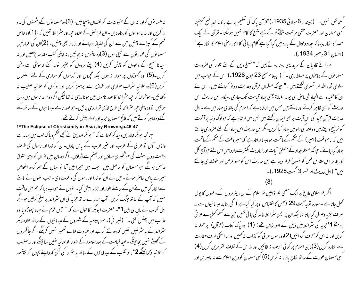گنجائش نهيں۔" (زميندار 6 حولائی 1935ء)"قرآن پاک کی تعليم پر بے ماکانہ خط نسخ تھينيجنا کسی مسلمان اور حصرت ختمی مرتبت ملتی ہیں کے بچے متسع کا کام نہیں ہوسکتا - قرآن کے ایک حصہ کا اکار جیسا کہ جہاد وقتال کے بارہ میں کیا گیا ہے کلام ریا ٹی کا اکار یعنی اسلام کا اکار ہے " (احسان 31دسمبر 1934ء)۔

مرزائے قادیان کے مریدیہی رونا روتے ہیں کہ "تبلیغ دین کے لئے تلوار کی صرورت مسلمانوں کے دماعوں پر مسلط رہی ۔" ( پیغام صلح 23 حون 1928ء) اس کے حواب میں مولوی ثناء اللہ امر تسری لکھتے ہیں ۔" حیونکہ مسلمان قرآن وحدیث دو نو کومانتے ہیں۔ اس لئے ان کاعقیدہ ہے الحجاد فی ماص الی یومہ القیامة یعنی حہاد قیامت تک جاری رہیگا- اہل حدیث اس حدیث کو بھی ظاہر کرتے اور مانتے ہیں جس میں ارشاد ہے کہ اسلام کی بلندی جہاد میں ہے۔ اہل حدیث قرآن مجید کی اس آیت پر بھی ایمان رکھتے ہیں جس میں ارشاد ہے کہ حولوگ د نیا پرآخرت کو ترجیح دیتے بیں وہ اللہ کی راہ میں حہاد کیا کریں۔مگراہل حدیث اس حہاد کے لئے صروری جانتے بیں کہ امام وقت (امیر ) کے حکم کے ماتحت ہو جیساارشاد ہے کہ امیر وقت کے حکم کے ماتحت جہاد کیاجائے ۔ حیونکہ مسئلہ جہاد کے متعلق آبات اور احادیث بکشرت وارد بیں اس لئے حوآج کل کار پفامر اس مقدس فعل کو منسوخ قرار دیتا ہے اہل حدیث اس کو خود عرص اور حوشامدی جانتے بين" (ابل حديث امر تسر 3اڭست1928ء)۔

ا گرہم اسلامی تاریخ پر ایک سطحی نظر ڈالیں تو اسلام کے ان ریفر مروں کے دعووں کا پول تحصل جاتا ہے ۔ سورہ نوبہ آیت 29 (جس کا اقتساس اوپر کیا گیا ہے ) کی بنا پر عیسا ئیوں سے نہ صر ف حزبہ وصول کیاجاتا تھا بلکہ ان پر ایسی سٹر ائط عائد کی جا تی تھیں حن سے تھلم تھلی بے عز تی ہومثلاً 1\*حزبہ کی سٹرائط میں ذیل کے امورشامل تھے: (1) وہ پاک کتاب (قرآن) پر حملہ نہ کریں اور نہ اس کومحر**ت** گردانیں (2)وہ رسول عربی کو کذاب نہ <sup>کھ</sup>یں اور نہ اسکی طرف حقارت سے اشارہ کریں(3)دین اسلام پر کوئی حرف نہ لگائیں اور نہ اس کے خلاف تقریریں کریں(4) کسی مسلمان عورت کے ساتھ لکاح یا زنا نہ کریں(5) کسی مسلمان کو دین اسلام سے نہ پھیریں اور

نہ ملسما نوں کواور نہ ان کے مقبوضات کو نقصان پہنچائیں۔ (6)وہ مسلما نوں کےدشمنوں کی مدد نہ کریں اور نہ جاسوسوں کو پناہ دیں۔ ان فرائض کے علاوہ حیجہ اور سٹرائط تھیں کہ :(1)وہ خاص قسم کے کپڑے پہنیں حن سے ان کی امتیاز ہوجائے اور زنا ر بھی پہنیں۔ (2)ان کی عمار تیں مسلمانوں کی عمار توں سے نیچی ہوں (3)وہ ناقوس نہ بحائیں، نہ اپنی کتب مقدسہ پڑھیں اور نہ سیدنا مسح کے دعووں کو پیش کریں (4)اپنے مردوں کو بغیر یوجہ کئے خاموشی سے دفن کریں۔(5) وہ تھوڑوں پر سوار نہ ہوں بلکہ خچروں اور گدھوں کو سواری کے لئے استعمال کریں(6)وہ علانیہ سثراب خواری اور خنازیر سے پرہیز کریں اور لوگوں کو علانیہ صلیب نہ د کھائیں۔موخرالذ کر حیھ سٹرائطہ کا عہد ناموں میں ہونا لازمی یہ تھالیکن اگروہ عہد ناموں میں درج ہوتیں ۔ تووہ پہلی حیے مثر ائط کی طرح لازمی قرار دی جاتیں۔حبوعہد نامے عیسائیوں کے ساتھ کئے گئےوہ ظاہر کرتے ہیں کہ فاتح مسلمان جزیہ اور تلوار پیش کرتے تھے۔<br>The Eclipse of Christianity in Asia ,by Browne,p.46-47

چنانچہ ابوبکر خالد بن ولید کو کھتاہے کہ "ابوبکر صدیق نےمجھے حکم دیا کہ حب میں یماہ سے واپس آؤں تو عراق کے عرب اور عنیر عرب کے پاس جاؤں-ان کو خدا اور رسول کی طرف دعوت دوں بہثت کی خوشخبری سناؤں اور جہنم سے ڈراؤں- اگروہ مان لیں تو ان کو وہی حقوق حاصل ہوگئے جو مسلمان کو حاصل ہیں۔ جب میں حسرا میں آیا تو وہاں کے سر کردہ اشخاص میرے پاس حاصر ہوئے۔میں نے ان کو خدا اور رسول کی دعوت دی۔حب انہوں نے ماننے سے انکار کیامیں نے ان کے سامنے تلوار اور حزبہ پیش کیا۔انہوں نے حبواب دیا کہ ہم میں طاقت نہیں کہ آپ کے ساتھ جنگ کریں۔ آپ ہمار سے ساتھ جزبہ کی ان سٹرائط پر صلح کرلیں حود یگر اہل کتاب نے مان لی ہیں 1\*۔ حصرت ابوبکر کا قول ہے کہ " حس قوم نے جہاد چھوڑ دیا وہ عذاب میں پینس کئی ۔" (طبرانی)۔ مسو پوتامیہ کے شہروں کےعیسائیوں کے ساتھ علاوہ دیگر یثرائط کے بہ مثر طیں تھیں کہ وہ نئے گرجے اور عمادت خانے تعمیر نہیں کرینگے۔ گر جاٹھروں کے گھنٹے نہیں بجائینگے۔عبد قیامت کے بعد سوموار کے نہوار کوعلانیہ نہیں منائینگے اور نہ صلیب کوعلانیہ دکھائینگ**ے 2**\* بنو تغلب کے عیسا یئوں کے ساتھ یہ سٹرط کی گئی کہ واپنے بچوں کو بپتسمہ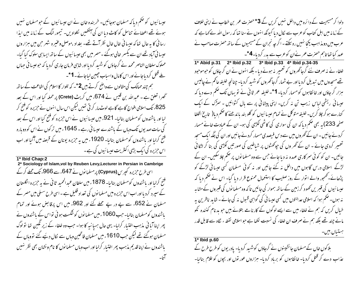عیسائیوں کو ضم دیا کہ مسلمان ہوجائیں۔ خربندہ خان نے ان عیسائیوں کے حومسلمان نہیں ہوئے تھے اعضائے تناسل کو کاٹ دیا ان کی آنکھیں لکلوادیں۔ تیمور لنگ کے زمانہ میں ابذا رسا فی کا بہ حال تھا کہ عیسا ئی حال خال نظر آتے تھے۔ بغداد ،موصل وعنیرہ شہر حن میں ہزار وں عیسا ئی آماد تھے ان سے یکسر خالی ہوگئے ۔مصر میں بھی عیسا ئیوں کے ساتھ ایسا ہی سلوک کیا گیا۔ مملوک سلطان الناصر محمد نے گرجاؤں کو شہید کردیا اور شاہی فرمان جاری کردیا کہ حوعیسا ئی جہاں طع قتل کردیاجائے اور اس کامال واسیاب جیمین لباجائے **- 1**\*۔ ہم چند ممالک کی مثالوں سے واضح کرتے ہیں 2\*۔ کہ تلوار کا اسلام کی اشاعت کے ساتھ ٹھرا تعلق ہے ۔ عہداللہ بن قبیں نے 674ء میں کریٹ **(Crete)** پر حملہ کیا اور اس کے بعد 825ء تک اسلامی افواج گاہے گاہے لوٹ مار کر ٹی تھیں لیکن اس سال انہوں نے حزیرہ کو فتح کر لیا اور پاشندوں کومسلمان بنالیا۔ 921ء میں عیسائیوں نے اس حزیرہ کو فتیح کیا اور اس کے بعد کی سات صدیوں تک وباں کے باشندے عیسائی رہے ۔ 1645ء میں تر کوں نے اس کو دوبارہ فتیح کرلبا اور باشندوں کو مسلمان بنالیا۔ 1920ء میں یہ حزیرہ یونان کے قبصہ میں آگیا اور اب اس حزیرہ کی ایک بڑی اکثریت عیسائیوں کی ہے۔

1\* Ibid Chap:2<br>2\* Sociology of Islam,vol by Reuben Levy,Lecturer in Persian in Cambrige اسی طرح جزیرہ کیپرس **(Cyprus)** پر مسلمانوں نے 647ء سے 966ء تک حملے کر کے فتح کرلیا اور پاشندوں کومسلمان بنالیا۔ 1878ء میں سلطان عبدالحمید ٹا فی نے بہ حزیرہ انگلسان کے سپرد کردیا اور اب اس حزیرہ میں مسلمانوں کی تعداد قلیل ہے ۔اسی طرح سسلی میں مصر کے مسلمان نے 652ء سے پے در پے حملے کئے اور 962ء میں اس پرقابض ہوئے اور تمام پاشندوں کومسلمان بنالیا۔جب 1060ءمیں مسلمانوں کوشکست ہوئی تواس کے پاشندوں نے پھر اپنا آیا ئی مذہب اختیار کرلیا۔ یہی حال ہسیا نہیے کا ہوا۔ حب وہ خلفاء کے زیر نگین تھا تو لوگ مسلمان ہوگئے تھے لیکن جب 1610ء میں مسلمان فاتحین وہاں سے لکال دیئیے گئے تووہاں کے باشندوں نے اپنا قدیم مذہب پھر اختیار کرلیا اور اب وہاں مسلما نوں کا نام و نشان بھی نظر نہیں

دلوا کر مسیحیت کے دائرہ میں داخل ہنیں کریں گ**ے 3\***حصرت عمر بن خطاب نے اپنی خلاف کے زمانہ میں اہل کتاب کو عرب سے لکال دیا کیونکہ انہوں نے سنا تھا کہ رسول اللہ لے کہا ہے کہ عرب میں دو مذاہب یکجا نہیں رہ سکتے ۔ اگر جہ نجران کے مسیحیوں کے ساتھ حصرت صاحب نے عہد کیا تھاتاہم حصرت عمر نےان کوعرب سے بدر کردیا۔**4**\*۔

1\* Abid p.31 2\* Ibid p.32 3\* Ibid p.33 4\* Ibid p.34-35 خلفاء نے نہ صرف نئے گرجاگھروں کو تعمیر نہ ہونے دیا۔ بلکہ انہوں نے ان گر جاؤں کو حبوموحبود تھے مسجدوں میں تبدیل کردیا اور بے شمار گرجاگھروں کو شہید کردیا- چنانچہ خلیفہ حاکم نے چالیس ہزار گر جاؤں اور خا نقاہوں کو مسمار کردیا**۔ 1**\*۔ خلیفہ عمر ثا فی نے نویہاں تک حکم دے دیا کہ عیسائی ریشی لباس زیب تن نہ کریں- اپنی پیشانی پر سے مال کٹوائیں ۔ سرگ کے ایک کنارے ہو کر چلا کریں۔خلیفہ متو کل نے تمام عیسا ئیوں کو گلو بند یا ندھنے کا ضکم دیا( تاریخ الخلفا صفحہ 233) ہہ بھی صحم دیا کہ ان کی سواری کی کاٹھی لکڑی کی ہو۔ ان کے عبادت خانے مسمار کرد ئے جائیں - ان کے گھروں میں سے دیں فیصدی مسمار کردئے جائیں اور ان کی جگہ ایک مسجد تعمیر کردی جائے - ان کے ٹھر وں کی حپوٹھٹوں پر شیاطین کی صورتیں لکڑی کی بنا کر لٹکائی جائیں۔ ان کو کوئی سمر کاری عہدہ نہ دیا جائے جس سے وہ مسلمانوں پر حکم چلا سکیں۔ ان کے لڑکے اسلامی درس گاہوں میں داخل نہ کئے جائیں اور نہ کوئی مسلمان کسی عیسائی لڑکے کو پڑھانے۔گھمجور والے اتوار کے روز صلیب کا استعمال ممنوع قرار دیا گیا۔ اس نے صحم دیا کہ عیسا ئیوں کی قبریں کھود کر زمین کے ساتھ ہموار کی جائیں تا کہ وہ مسلمانوں کی قبروں کے مشاہہ نہ ہوں۔ صحم ہوا کہ اسلامی عدالتوں میں کسی عیسا ئی کی گواہی قسول نہ کی جائے - شاید ناظرین یہ خیال کریں کہ ہم نے خلفاء میں سے ایسے لوگوں کے کارنامے بتلائے ہیں حو بد نام کذندہ نکو مانے چند تھے بلکہ ہم نے صرف ان خلفاء کی نسبت لکھا ہے حو اسلامی نقطہ ء لگاہ سے قابل قدر

 $1*$  Ibid p.60 بلاکوں خاں کے مسلمان جانشینوں نے گرجاؤں کوشہید کردیا- یادر یوں کو طرح طرح کے عذاب دے کر قتل کردیا- خا نقاہوں کو برباد کردیا- ہزاروں عور نوں اور بجوں کو علام بنالیا-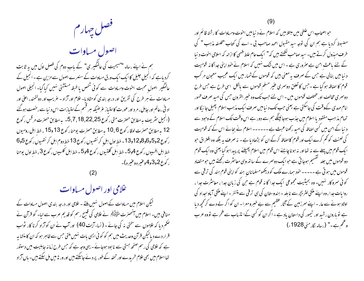فصل چهارم

اصول مباوات ہم نے اپنے رسالہ "مسیحیت کی عالمگیر ی" کے باب دوم کی فصل اوّل میں یہ ثابت کردیاہے کہ انجیل جلیل کا ایک ایک ورق میاوات کے سنہرے اصول سے مزین ہے ۔ انجیل کے عالمگیر اصول محبت احنوت ومیاوات سے کوئی شخص یا طبقہ مستشنیٰ نہیں کیا گیا۔ انجیلی اصول مساوات نے ہر طرح کی تفریق اور درجہ بندی کومطادیا- علام اور آزاد - عریب اور دولشمند، اعلیٰ اور اد ٹی ،عالم اور جاہل ، مرد اور عورت کا امتیاز عرصیکہ سر قسم کے امتیازات اس د نیا سے رخصت ہوگئے (انجیل سثریف به مطابق حصرت متی رکوع 25,22,25 ـ 7,7,18 به مطابق حصرت مرقس رکوع 12 به مطابق حصرت لوقار كوع 6 ،10 به مطابق حصرت يوحنار كوع 13 و15 ، خط ابل روميوں ر کوع 2و5و6و12و12و13-خط اول اہل کر نتھیوں رکوع 13خط دوم اہل کر نتھیوں رکوع 5و6 خط اہل افسپوں رکوع 4و<sup>5</sup> - خط اہل گلتیوں رکوع 4و<sup>5</sup> - خط اہل کلسپوں رکوع 3 ، خط اول یوحنا ر کوع2و3و4وعنپره وغیره)۔

## غلامی اور اصول میاوات

لیکن اسلام میں مساوات کےاصول ہنیں ملتے۔ علامی اور درجہ بندی اصول مساوات کے منافی ہیں۔ اسلام میں آنحصرت ملٹی ایک اسے علامی کی قبیح رسم کو قدیم عرب سے لیا۔ گو قرآن نے حکم دیا کہ علاموں سے سختی نہ کی جائے ۔ (نساء آیت 40) اور آپ نے ان کوآزاد کرنا کار نواب قرار دے دیالیکن قرآن وحدیث میں ہم کو کوئی ایسی بات نہیں ملتی حس سے ظاہر ہو کہ ان کا منشا یہ ہے کہ علامی کی رسم صفحہ ہستی سے نا بود ہوجائے - یہی وجہ ہے کہ حس طرح زمانہ جاہلیت میں دستور تھا اسلام میں بھی علام خریدے اور تحفہ کے طور پر دئے جاسکتے ہیں اور ور نہ میں مل سکتے ہیں۔ بال آزاد

حواصحاب اس علطی میں مبتلا ہیں کہ اسلام نے دنیا میں اخوت ومساوات کا رشتہ قائم اور مصْبوط کردیا ہے ہم ان کی توجہ سید مقبول احمد صاحب بی ۔ اے کی کتاب "فلسفہ مذہب " کی طرف مبذول کرتے ہیں۔ سید صاحب ککھتے ہیں کہ" ایک عام علط فہمی کا ازالہ کہ اسلامی احوت د نیا کے لئے باعث امن ہے صروری ہے ۔ اس میں شک نہیں کہ اسلام نے خود اپنی جداگانہ قومیت د نیا میں بنالی ہے جس کے صرف یہ معنی ہیں کہ قوموں کےشمار میں ایک عجیب معجون مر کب قوم کا اصافہ ہو گیا ہے -جس کا تعلق دوسری عنیر مسلم قوموں سے بالکل اسی طرح ہے جس طرح دوسری مخالف اور مختلف قوموں میں - اس لئے جب تک وہ خیبر القرون جس کی امید صرف ظہور امام مہدی کےوقت کی جاسکتی ہے یعنی حب تک دنیا میں صرف ایک مذہب اسلام پھیل جائیگا اور تمام مذاہب مفقود یا اسلام میں جذب ہوجائینگے ہم سے دور ہے اس وقت تک اسلام کے وجود سے د نیا کے امن میں کسی اضافہ کی امید رکھنا عبث ہے۔۔۔۔۔۔ اسلام نے بجائے اس کے کہ قومیت کی لعنت کو گھ کرے ایک اور قوم کااصافہ کرکے ان کو بڑھادیا ہے - نہ صرف یہ بلکہ وہ افتراق حبو ایک قوم میں پہلے سے نہ تھا اور نہ ہوناچاہئے اس قوم میں اسلام پھیلنے پر پیدا ہو گیا یعنی وہ ایک قوم دو قوموں میں جلد گفسیم ہوجاتی ہے حوایک دوسرے کے ساتھ وہی معاسٹرت رکھتے ہیں حومتضاد قوموں میں ہو تی ہے ۔۔۔۔۔ خود سمارے ملک کو دیکھومسلمانان ہند کو اپنی قوم ہند کی ترقی سے کوئی سروکار نہیں۔ وہ بحیثیت مجموعی ایک جدا گانہ قوم ہے جن کی زبان جدا ، معامثرت جدا ، روایات جدا ، وہ اپنے ملکی لٹریچر سے نابلد - ہندوستان کی ہی ترقی سے متنفر - اپنے ملکی آباد اجداد کی اولاد ہونے سے عار ۔ اپنے سمر زمین کے آثار عظیم سے بے خبر ومعرا - ان کو اگر لے دے کر تحچیہ دیا ہے توبارون رشید اور تیمور کی داستان یاد ہے ۔اگر ان کو کسی کےا نتساب سے فخر ہے تووہ عرب وغمحم ہے۔" (رسالہ نگارمئی 1928ء)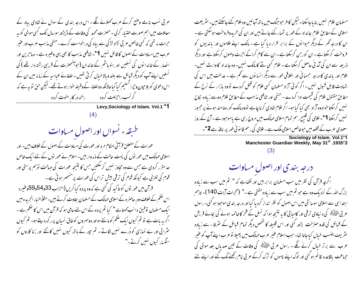عربی نسب نامے وصنع کرکے عرب کھلانے لگے ۔ اس درجہ بندی کے سوال نے شادی بیاہ کے معاملات میں اہم صورت اختیار کرلی ۔حضرت محمد کی وفات کے ڈیڑھ سوسال تک کسی موالی کو بہ حرات نہ تھی کہ کسی خالص عربی نژاد لڑکی سے بیاہ کی درخواست کرے۔حنفی مذہب عرب اور عنیر عرب میں مساوات کے اصول کا قائل نہیں 1\*۔خافعی مذہب کا بھی یہی وطیرہ ہے ۔مہاجرین اور انصار کے خاندانوں کی نسلیں اور بنو پاشم کے خاندان (حواشحصرت کے قریبی رشتہ دار تھے ) کی نسلیں اپنے آپ کو دیگر قبائل سے بلند و بالاخیال کر تی تھیں ۔خلفائے عماسیہ کے زمانہ میں ان کے اس دعوی کو بلاحپون وحرا تسلیم کیا گیاجالانکہ وہ خلفاء کے وظیفہ حوار ہوتے تھے۔لیکن حق نو بہ ہے کہ گرنسب راحزملت کرده په په رخنه در کار اخوت کرده

Levy, Sociology of Islam. Vol.1 \*1

طبقهء نسوال اور اصول مساوات عورات کے متعلق قرآنی احکام مر د اور عورت کی مساوات کے اصول کے خلاف بیں۔ اور اسلامی ممالک میں عور نوں کی پست حالت کے ذمہ وار بیں۔ اسلام نے عور نوں کے لئے ایک خاص حد مقرر کردی ہے جس سے وہ تحاوز نہیں کرسکتیں جس کا نتیجہ عورات کی جہالت توہم پرستی اور قوم کی تنزلی ہے کیونکہ قوم کی ترقی بیش تراس کی عورات پرمنھھر ہوتی ہے ۔ قرآن میں عور نوں کو تا کید کی گئی ہے کہ وہ پردہ کیا کریں (احزاب33و54و59وعنیرہ اس صحم کے خلاف دور حاصر ہ کے اسلامی ممالک کے مسلمان بغاوت کرتے ہیں۔مثلاً اخبار الجریدہ میں ایک مسلمان نوفین دائب کھتاہے " کیا تم پردہ کے اس لئے حامی ہو کہ قرآن میں اس کا ضحم ہے ۔ اگریہ بات ہے تو تم کیوں ایک ضخم کومانتے ہواور دوسمروں کوطاق نسان پرر کھ دیتے ہو۔ تم کیوں سٹرا بی اور بے نمازی کو دُرے نہیں لگاتے ۔ تم جور کے باتھ کیوں نہیں کاٹتے اور زنا کاروں کو سنگسار کیوں نہیں کرتے۔" مسلمان علام نہیں بنایاجاسکتا۔لیکن کا فر حوجنگ میں باتھ آجائیں وہ علام کئے جاسکتے ہیں۔سثر یعت اسلامی کے مطابق علام جائداد کے طور پر شمار کئے جاتے ہیں اور ان کی خریدوفروخت ہوسکتی ہے ۔ ان کا درجہ ٹھر کے دیگر حیوا نوں کے برابر قرار دیا گیا ہے - مالک اپنے غلاموں اور پاندیوں کو فروخت کرسکتا ہے ۔ ان کوربن کرسکتا ہے ۔ ان سے کام کراکے احرت وصول کرسکتا ہے اور دیگر ذریعہ سے ان کی آمد نی حاصل کرسکتا ہے ۔ علام کسی سنے کا مالک نہیں۔ وہ جائداد کا وارث نہیں۔ علام اور پاندی کا درجہ حسمانی اور اخلاقی طور سے دیگر انسانوں سے کم ہے ۔ عدالت میں اس کی شہادت قابل قبول نہیں ۔اگر کوئی آزاد مسلمان کسی علام کو قتل کردے تووہ بازار کے نرخ کے مطابق مقتول علام کی قیمت ادا کردے ۔ حنفی اور شافعی مذاہب کے مطابق علام دوسے زیادہ لکاح نہیں کرسکتا خواہ وہ آزاد بھی کیا گیا ہو۔ اگر علام شادی کرنا چاہے تووہ مالک کورصامند ہونے پر مجبور نہیں کرسکتا **1**\*۔ علامی کی قبیح رسم تمام اسلامی ممالک میں مروج رہی ہے یاموجود ہے ۔ آج کے روز سعودی عرب کے قطعہ میں حبو خالص اسلامی ملک ہے - علامی کی رسم قا نو فی طور پر نافذ ہے 4\*۔

Sociology of Islam. Vol.1\*1<br>Manchester Guardian Weekly, May 31st .1935\*2

درجه بندی اور اصول میاوات اگرچہ قرآن کی نظر میں سب مسلمان برابر بیں اور لکھاہے کہ " تم میں سب سے زیادہ بزرگ اللہ کے نزدیک وہ ہے حبو تم میں سب سے زیادہ مقتی ہے ۔" (حجرات آیت 140)۔ تاہم ا بتدا ہی سے اسلامی سوسائٹی میں اس اصول کو نظر انداز کردیا گیا اور درجہ بندی موجود ہو گئی۔ رسول عر بی انٹرنی کی کی د نیاوی ترقی اور کامیا بی کا یہ نتیجہ ہوا کہ نسل کے فخر کا خاتمہ ہونے کی بحائے قریش کے قبائل کی قدو منزلت بڑھ گئی اور اس قبیلہ کا شخص دیگر تمام قبائل کے سثرفاء سے زیادہ ىثريف النسب خبال كباجاتا تعا- حب اسلام عنير عرب ممالك ميں پھيلا نوعرب اپنے آپ كوعنير عرب سے برتر خیال کرنے لگے ۔ رسول عربی ملٹی پیکڑ کی وفات کے تین صدیاں بعد موالی کی حماعت پاقاعدہ قائم ہوگئی اور لوگ اپنے ناموں کو ترک کرکے عربی نام رکھنے لگ گئے اور اپنے لئے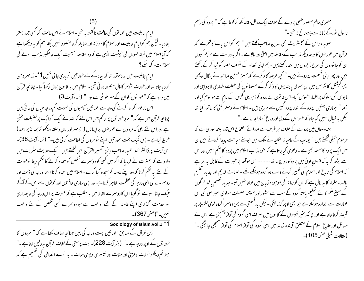ایام جاہلیت میں عور نوں کی حالت نا گفتہ ہہ تھی۔ اسلام نے اس حالت کو کسی قدر بہتر بنادیا۔ لیکن ہم کوایام جاہلیت اور اسلام کامواز نہ اور مقابلہ کرنامقصود نہیں بلکہ ہم کو یہ دیکھنا ہے کہ آیا اسلام میں طبقہ نسواں کی حیثیت ایسی ہے کہ وہ بمقابلہ مسیحیت ایک عالمگیر مذہب ہونے کی صلاحیت رکھ سکے ؟

ایام جاہلیت میں یہ دستور تھا کہ بیاہ کے لئے عور تیں خریدی جا ٹی تھیں **1\***۔زر مہر دلہن گودیا جاتا تھا اور عورت شوہر کا مال متصور ہو تی تھی۔ اسلام میں یہ قانون بحال رکھا گیا - چنانچہ قرآن میں وارد ہے کہ "عور نوں کوان کے مہر خوشی سے دو۔" (نساءآیت3)۔

اس زر مہر کو ادا کرنے کی وجہ سے عور تیں آدمیوں کی نسبت کم درجہ خیال کی جاتی ہیں ۔ چنانچہ قرآن میں ہے کہ " مرد عور توں پر حاکم بیں اس لئے کہ اللہ نے ایک کوایک پر فضیلت بخثی ہے اور اس لئے بھی کہ مردوں نے عور نوں پر اپنامال ( زرمہر اور نان و نفقہ دیکھو ترجمہ نذیر احمد ) خرچ کیاہے۔ پس نیک بخت عور تیں اپنے شوہروں کی اطاعت کرتی ہیں۔" (نساء آیت 38)۔ اس آیت پر ڈاکٹر عبدالحمید صاحب اپنی تفسیر القرآن میں لکھتے ہیں" ایک حدیث مثریف میں وارد ہے کہ حصرت نے فرمایا کہ اگر میں کسی کو دوسرے شخص کو سحدہ کرنے کا ضکم دیتا توعورت کے لئے پہ ضکم کرتا کہ وہ اپنے خاوند کو سحدہ کیا کرے ۔اسلام میں سحدہ کرنا انتہا درجہ کی ذلت اور دوسمرے کی اعلیٰ درجہ کی عظمت ظاہر کرنا ہے اور اپنی ساری طاقتوں اور قو توں سے اس کے آگے حجک جانا ہوتا ہے تو گو با اس کا دوسمرے الفاظ میں بہ مطلب ہے کہ عورت پر اس درجہ کی تا بعد ار ی اور خدمت گذاری اپنے خاوند کے لئے واجب ہے جو دوسرے کسی شخص کے لئے واجب ىنىس-"(صفحە 367)-

Sociology of Islam.vol.1 \*1

پس قرآن کے مطابق عور تیں پست درجہ کی بیں چنانچہ صاف لکھا ہے کہ " مردوں کا عور نوں کے اوپر درجہ ہے ۔" (بقر آیت 228)۔ بت پرستی کے خلاف قرآن ہہ دلیل لاتا ہے ۔" ہبلا تم دیکھو نولات وعزیٰ اور منات اور تبیسری دیوی منات - یہ نو بے انصافی کی تقسیم ہے کہ

مصری عالم منصور فہمی پردے کے خلاف ایک مدلل مقالہ لکھ کر کھتا ہے کہ " پردہ کی رسم رسول الله کے زمانہ سے پہلے رائج نہ تھی۔" صوبہ مدراس کے مجسٹریٹ ممی الدین صاحب کھتے بیں " ہم کو اس بات کافخر ہے کہ قرآن میں عور نوں کا درجہ دیگر مذاہب کےمقابلہ میں اعلیٰ اور بالا ہے ۔ اگر بہ درست ہے تو ہم کیوں ان کوجا نوروں کی طرح پنجروں میں بند رکھتے ہیں۔ ہم اپنی تعداد کے نصف حصہ کو قبد کرکے رکھتے بیں اور پھر اپنی قسمت پرروتے ہیں۔" تحچھ عرصہ کا ذکر ہے کہ مسز حسین صاحبہ نے بنگال ویمن ایجو کیشنل کا نفر نس میں ان اسلامی یا بند یوں کا ذکر کرکے مسلما نوں کی عنفلت شعاری لاپرواہی اور ما یوس کن سلوک پر اظہار افسوس کیا۔ اس خا نون نے پردہ کو زہر یلی کیس کے نام سے موسوم کیا اور اکھا " ہماری بہنیں پردہ کے اندر پردہ کیس سے مررہی ہیں۔ اسلام نے دختر کشی کا خاتمہ کیا تھا لیکن بیہ خیال نہیں کیاجاتا کہ عور توں کے دل اور دماغ کومار اجارہا ہے۔" ہندوستان میں پردے کے خلاف مبر طرف سے صدائے احتجاج اس قدر بلند ہورہی ہے کہ مرحوم شبلی لکھتے ہیں" پورپ کے عامیانہ تقلید نے ملک میں حونئے مباحث پیدا کردئے ہیں ان میں ایک پردہ کامسئلہ بھی ہے۔ دعویٰ کیاجاتا ہے کہ خود مذہب اسلام میں پردہ کا صحم نہیں اور اس سے بڑھ کر یہ کہ قرون اولیٰ میں پردہ کارواج نہ تھا۔۔۔۔۔اس موقعہ پر عبرت کے قابل یہ امر ہے کہ اسلام کی تاریخ اور اسلام کی تعبیر کرنے والے دو گروہ ہوسکتے تھے - علمائے قدیم اور جدید تعلیم بافتہ - علماء کا بہ حال ہے کہ ان کو زمانہ کی موجود ہ زبان میں بولنا نہیں آتا- جدید تعلیم یافتہ لوگوں کے مبلغ علم کا نئے تعلیم یافتہ گروہ کے سب سے مشور اور مستند مصنف مولوی امیر علی کی اس عمارت سے اندازہ ہوسکتا ہے حوابھی اوپر گذر چکی ۔ لیکن بد قسمتی سے یہی دوسمر اگروہ قومی لٹریچر پر قبصہ کرتا جاتا ہے اور حپونکہ عنیر قوموں کے کا نوں میں صرف اسی گروہ کی آواز پہنچتی ہے اس لئے مسائل اور تاریخ اسلام کے متعلق آیندہ زمانہ میں اسی گروہ کی آواز اسلام کی آواز سنجھی جائیگی -" (مقالات شبلي صفحه 105)۔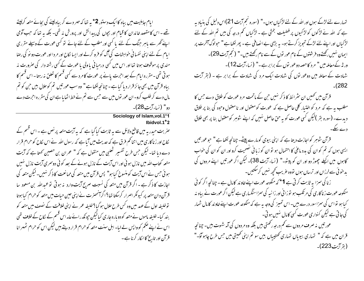ایام جابلیت میں بیاہ کاایک دستور 2\* بہ تعا کہ مہر دے کر بیاہ لینے کی بجائے متعہ کرلیتے تھے ۔اس کامقصد خاندان کا قبام اور بچوں کی پیدائش اور پرورش نہ تھی۔ بلکہ یہ تعا کہ حب آدمی اپنے گھر سے ماہر جنگ کے لئے پا کسی اور مطلب کے لئے جائے تو کسی عورت کے وسیلے مقرری ا یام کے لئے اپنی نفسا فی خواہشات کی گُل کو فرو کرلے اور ایسا لکاح اور مردا اور عورت دو نو کی رصا مندی پر موقوف ہوتا تھا اور اس میں کسی درمیا فی یا ولی یا عورت کے کسی رشتہ دار کی صرورت نہ ہوتی تھی۔مقررہ ایام کے بعد احرت یانے پر عورت کامرد سے کسی قسم کا تعلق نہ رہتا۔اس قسم کا بیاہ قرآن میں بھی جائز قرار دیا گیا ہے - چنانچہ لکھا ہے " وہ سب عور تیں تم کوحلال بیں حن کو تم مال دے کر طلب کرو۔ ان عور نوں میں سے حس سے تم نے خط اٹھا ماہے ان کی مقررہ احرت دے دو" (نساءآيت28)۔

Sociology of Islam, vol. 1\*1

حنر بت حیدر یہ میں قاطع دلائل سے یہ ثابت کیا گیا ہے کہ یہ آیت متعہ پر نص ہے ۔ اس قسم کے نکاح اور زناکاری میں اتنا کم فرق ہے کہ حدیث میں آیا ہے کہ رسول اللہ نے اس نکاح کو حرام قرار دے دیا تھا۔ لیکن جس طرح تفسیر تعلبی میں منقول ہے کہ " عمران بن حصین کھتا ہے کہ آیت متعہ کتاب اللہ میں نازل ہو ئی اور اس آیت کے نازل ہونے کے بعد کو ئی دوسری آیت نازل نہیں ہوئی جس نے اس آیت کومنسوخ کیا ہو" پس قرآن میں متعہ کی ممانعت کا ذکر نہیں۔لیکن متعہ کی اجازت کا ذکر ہے ۔ اگر قرآن میں متعہ کی نسبت صریح آیت وارد پنہ ہوتی توعبداللہ بن مسعود سا قرآن دان متعہ پر کیونکر اصرار کرسکتا تھا؟اگرا نحصرت نے اپنی حین حیات میں متعہ کوحرام کیا ہوتا توخلیفہ اول کے عہد میں وہ کس طرح حلال ہو گیا؟خلیفہ عمر نے اپنی خلافت کے نصف میں متعہ کو بند کیا۔خلیفہ ماموں نےمتعہ کو دوبارہ جاری کیالیکن حیونکہ رائے عامراس قسم کے کاح کےخلاف تھی اس نے اپنے حکم کوواپس لے لیا۔ اہل سنت متعہ کوحرام قرار دیتے ہیں لیکن اس کوحرام ٹھہرانا قرآن اور تاریخ کا انکار کرنا ہے۔ تہارے لئے لڑکے ہوں اور اللہ کے لئے لڑ کیاں ہوں۔" (سورہ نجم آیت 21)اس دلیل کی بنیادیہ ہے کہ اللہ نے لڑکوں کو لڑکیوں پر فضیلت بخشی ہے ۔ لڑکیاں تھم درجہ کی بیں تم اللہ کے لئے لڑکیاں اور اپنے لئے لڑکے تجویز کرتے ہو۔ یہ بڑی بے انصافی ہے۔ پھر لکھاہے " حوادگ آخرت پر ایمان نہیں رکھتےوہ فرشتوں کے نام عور توں کے سے نام رکھتے ہیں۔" (نجم آیت 29)۔ ور ٹہ کےمعاملہ میں " مرد کاحصہ دوعور نوں کے برابرہے۔" (نساءآیت12)۔ شہادت کے معاملہ میں دوعور توں کی شہادت ایک مرد کی شہادت کے برابر ہے ۔ (بقر آیت 282).

قرآن میں تھمیں ان سٹرائطہ کا ذکر نہیں جن کے ماتحت مرد عورت کو طلاق دے جس کا مطلب ہہ ہے کہ مرد کو اختیار کلی حاصل ہے کہ عورت کو معقول اور نامعقول وحبوہ کی بنا پر طلاق دیدے۔ (سورہ بقر )لیکن کسی عورت کو بہ حق حاصل نہیں کہ اپنے شوہر کومعقول بنا پر بھی طلاق

قرآن شوہر کو اجازت دیتا ہے کہ اپنی بیوی کومارے پیٹے۔ چنانچہ لکھا ہے " حوعور تیں ایسی ہوں کہ تم کو ان کی بدد ماغی کا احتمال ہو تو ان کو زبانی تصحیت کرو اور ان کو ان کی خواب گاہوں میں اکیلے چھوڑ دو اور ان کو پیٹو۔" (نساء آیت 38)۔ لیکن اگر عور تیں اپنے مردوں کی بدحوئی سے لرزاں اور ترساں ہوں تووہ غریب کحچھ نہیں کرسکتیں۔

زنا کی سزایہ ثابت کرتی ہے **1**\* کہ منکوحہ عورت اپنے *ف*اوند کامال ہے۔ چنانچہ اگر کوئی منکوحہ عورت زناکاری کی مرتکب ہو توزا فی اور زانبہ کی سمزاسنگساری ہے لیکن اگر عورت نے بیاہ نہ کیا ہو تواس کی سمزاسور درے ہیں۔اس تمیز کی وجہ یہ ہے کہ منکوحہ عورت اپنے خاوند کا مال شمار کی جا تی ہے لیکن کنواری عورت کسی کامال نہیں ہو تی۔

عور تیں نہ صرف مر دوں سے کم درجہ رکھتی بیں بلکہ وہ مر دوں کی آلہ شہوت ہیں۔ چنانچہ قران میں ہے کہ " تہاری بیوباں تہاری کھتیباں ہیں سو تم اپنی کھیتی میں حس طرح چاہوآؤ۔" (يقرآيت223)۔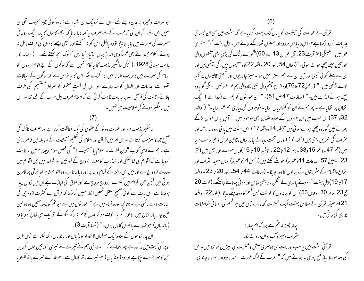حواہرات وعنیرہ پر جان دیتے تھے -ان کے نزدیک ان اشیاء سے زیادہ کوئی چیز محبوب تھی ہی نہیں اس لئے اگر ان کی ترعیب کےلئے صرف پہ کہہ دیا جاتا کہ اچھے کاموں کا بدلہ ایک روحا نی مسرت کی صورت میں پایا جائیگا نووہ بالکل اس کو نہ سمجھتے اور کبھی اچھے کاموں کی طرف مائل نہ ہوتے۔ کلام مجید نے بھی عموماً وہی انداز ببان اختبار کیا جس کولوگ سمجھ سکتے تھے۔" ( رسالہ نگار یابت حولائی 1928ء) لیکن عالمگیر مذہب کا بہ کام نہیں ہے کہ لوگوں کے بے لگام ارادوں کو الہام کی صورت میں دلفریب الفاظ میں اد اگرے بلکہ اس کا ہہ فرص ہے کہ لوگوں کے خیالات تصورات جذبات اور افعال کو سدھارے اور ان کی قوت مشخیلہ کو صراط مستقیم کی طرف چلائے۔جنت کی قرآنی تصویر بہ بات ثابت کرتی ہے کہ اسلام صرف اہل عرب کے لئے تھااور اس میں عالمگیر ہونے کی صلاحیت ہی نہیں۔

عالمگیر مذہب مرد اور عورت دو نو کے حقوق کی یکسا حفاظت کرتا ہے اور صنف نازک کی صحیح قدرومنزلت کرتا ہے ۔اس امر میں قرآن اور اسلام کی تعلیم مسیحیت کے مقابلہ میں قاصر رہتی ہے ۔ ہم نے اپنی کتاب "دین فطرت - اسلام یا مسیحیت ؟" کی فصل سوم وجہارم میں بہ ثابت کردیا ہے کہ اقوام کی شائسٹگی اور تہذیب کامعیار ازدواج کے قوانین اور قواعد بیں <sup>ح</sup>ن اقوام میں وحدت ازدواج ہے اور میں اس رشتہ کے قبام و بقا پر زور دیا جاتا ہے وہ اقوام شاہراہ ترقی پر گامزن ہوتی ہیں لیکن حن اقوام میں کثرت ازدواج مروج ہے اور طلاق کی اجازت ہے ان میں زوال پبدا ہوجاتا ہے اس بات سے کوئی صحیح العقل شخص انکار نہیں کرسکتا کہ قرآن نے کنٹرت ازدواجی کی اجازت دے رکھی ہے - چنانچہ سورہ نساء میں ہے " عور نوں میں سے حو تم کو پسند آئیں دو دو تین تین چار چار کاح میں لاؤ اور اگر یہ خوف ہو کہ عدل قائم نہ رکھ سکوٹے تو ایک ہی کاح کرو یا وہ (باندیاں) حو تہارے ہاتھوں کامال ہوں۔" (نسباءآیت3)۔

ان چار نکاحوں کے علاوہ ایک مسلمان لا تعداد لونڈیاں اور با ندیاں رکھ سکتا ہے جس طرح اوپر کی آیت میں مذکور ہے پھر لکھاہے کہ "اے نبی ہم نے تیرے لئے تیری عور تیں حلال کردیں حن کامہر نودے چکاہے اور وہ (لونڈیاں) حبو تیرے ہاتھ کامال ہے۔حبوخدا نے تیرے ہاتھ لگوادیا

قرآن نےعورات کی حیثیت کو یہاں تک پست کردیاہے کہ بہشت میں بھی ان حسمانی جذبات کوروارکھا ہے حواس د نیامیں مر دود اور مطعون شمار کئے جاتے ہیں۔اہل جنت کو" ستھری عور تيں " مكينكَي (بقر آيت 23- آل عمران 13 نساء 60)"گورے رنگ كى بڑى بڑى آئىھوں والى عور تيں جيسے چھپے ہوئے مو ٽي -"(دخان 54، طور 20، واقعہ 22)وہ "خيموں ميں ر كى بيشھى ہيں اور ان سے پہلے کوئی آدمی اور حرن ان سے ہم بستر نہیں ہوا۔ سبز چاندیوں اور قیمتی قالینوں پر تکبہ لگائے بیٹھی ہیں۔" (رحمنٰ72 تا 76)وہ فراخ چشم والی نیچی لگاہ والی ہم عمر عور تیں ہو نگی گو یاوہ چیھے ہوئے انڈے بیں۔" (صافات 47 ص 51)۔ " ان عور نوں کو ہم نے (غدا نے ) ایک اٹھان پراٹھایا ہے - پھرہم نے ان کو کنواریاں بنایا- شوہروں کی پیاری ہم عمر بنایا-" ( واقعہ 32 تا 37)اس جنت میں ان حوروں کے علاوہ علمان بھی موجود ہیں۔" آس پاس حوان لڑکے پھر تے ہیں گویاوہ چھپے ہوئےموتی بیں "(طور 24،واقعہ 17) اس بہشت میں یا فی، دودھ، شہداور سٹراب کی نہریں بہتی ہیں (محمد 17 ) وہاں تخت پیالے چاند نیاں ،قالین فرش وعنیرہ سب مہیا بيں (حجر 47 -واقعہ 15 و33 -دہر 12 تا 22 - غاشبہ 10 تا 16)وہاں میوے اور پھل ہیں (بقر 23 - يسين 57 -صافات 41 وعنيره) حوث لَتَكْتے بين (رحمنٰ 44وعنيره) وہاں سفيد سثراب اور انواع واقسام کے سٹر بتوں کے پیالوں کا دور چاپگا - (صافات 44 تا 54۔ طور 20 تا 23 - واقعہ 17 تا 19) ہل جنت کو سونے چاندی کے کنگن - ریشی لیاس اور مو ٹی پہنائے جائینگے۔(کھٹ 20 حج 23-فاطر 30- دخان 53) ان کو پر ندوں کا گوشت حس قسم کاوہ چاہینگے مایگا-(طور 22 - واقعہ 21)غرضیکہ قرآن کے مطابق بہشت ایک عشرت کدہ ہے جس میں ہر قسم کی نفسانی خواہشات یوری کی جاتی بیں۔

چہار جیپز کہ عم ہے برد کدام چہار <sup>؟</sup> ہثراب وسبز وآب روان ورونے لگار قرآنی بهشت میں بہ سب اور بہت سی دوسمری عیش وعسْرت کی چیزیں موحود بیں۔اس کی وجہ مولانا نباز فتح پوری ہہ بتاتے ہیں کہ " عرب کے لوگ عورت ، شہر ، دودھہ ، سونا ، چاندی ،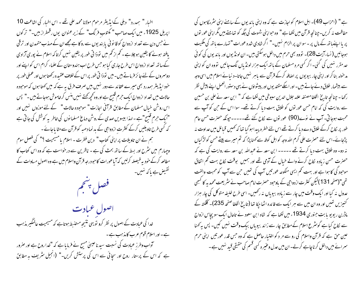اخبار " ہمدرد" دہلی کےاپڈیٹر مرحوم مولانا محمد علی تھے ۔ اس اخبار کی اشاعت 10 اپریل 1925ء میں ایک صاحب " مکتوب فرنگ" کے زیر عنوان یوں رقمطراز ہیں۔" تر کوں نے حس دن سے تعداد ازدواج کو قا نو ٹی یا بندیوں سے رو کا ہے مجھے ان کے مہذب متیمدن اور ترقنی بافتہ ہونے کا یقین ہو چلاہے۔کھم از کھم میں توذا تی طور پر یقین نہیں کرتا کہ اسلام نے پوری آزادی کےساتھ تعداد ازدواج اس طرح جاری کیا ہو جس طرح اب ہندوستان کے علماء کرام اس کو اپنے اور دوسمروں کے لئے جا ئز فرماتے بیں۔میں تو ذا تی طور پر اس کے خلاف عقیدہ رکھتا ہوں اور عملی طور پر خود ایڈیٹر ہمدرد بھی میرے عقائد سے دور نہیں بیں صرف فرق ہہ ہے کہ میں کھتا ہوں کہ موجودہ حالات میں تعداد ازدواج ایک حرم قبیح ہے اور وہ تحییہ محمتے نہیں بنس کر خاموش ہوجاتے ہیں ۔" پس اس روشْن خیال مسلمان کے مطابق قرآفی اجازت" موجودہ حالات" کے لئے موزوں نہیں اور "ایک حرم قبیح"ہے۔لہذا بیسویں صدی کے روشن دماغ مسلمانوں کی خاطر پہ کوشش کی جاتی ہے کہ کسی طرح تاویلیں کرکے کنثرت ازدواجی کے بد نمادھیہ کو قرآن سے مٹا یاجائے۔ ہم نے ان تاویلات پر اپنی کتاب " دین فطرت - اسلام یا مسیحیت ؟" کی فصل سوم وجہارم میں سٹرح اور بسط کے ساتھ بحث کی ہے ۔ ناظرین سے درخواست ہے کہ وہ اس کتاب کا مطالعہ کرکے حود پہ فیصلہ کرلیں کہ آیاعورات کا حبو درجہ قرآن واسلام میں ہے وہ اصول مساوات کے گقیض ہے پاکہ <sup>نہ</sup>یں۔ فصل پنتجم

اصول عبادت خدا کی عبادت کے اصول پر نظر کرو تو یہی نتیجہ مستنبط ہوتاہے کہ مسیحیت عالمگیر مذہب ہے۔اور اسلام قوم عرب کامذہب ہے۔ کواب وطرز عمادت کی نسبت سید ناعیسیٰ مسیح نے فرمایا ہے کہ "خدا روح ہے اور صرور ہے کہ اس کے پرستار روح اور سچائی سے اس کی پرستش کریں۔" (انجیل سثریف ہہ مطابق ہے " (احزاب 49)۔ اہل اسلام کو اجازت ہے کہ وہ اپنی باندیوں کے سامنے اپنی سثر مگاہوں کی حفاظت نہ کریں۔چنانچہ قرآن میں لکھاہے " وہ حبواپنی شہوت کی جگہ کو تعامتے ہیں مگر اپنی عور نوں پر یا اپنےباتھ کے مال پر - سوان پر الزام نہیں۔" اگر شادی شدہ عورات " تہارے ہاتھ کی ملکیت ہوجائیں ( نساء آیت 28)۔ تووہ بھی حرم میں داخل ہوسکتی ہیں۔ ان لونڈ یوں اور یا ندیوں کی کوئی حد مقرر نہیں کی گئی۔اگر کسی مرد مسلمان کے باتھ ایک ہزار لونڈیاں لگ جائیں ۔تووہ ان کو اپنی مدحنولہ بنا کر اور اپنی چار بیویوں پر اضافہ کرکے قرآن سے پاہر نہیں جاتا-د نیائے اسلام میں اسی وجہ سے بیشمار طلاق دئے جاتے ہیں۔ اور اسکے مقتد یوں اور پیشواؤں نے یہی دستور العمل اپنے پیش نظر رکھا - چنانچہ تاریخ الخلفا مصنفہ علامہ جلال الدین سیوطی میں لکھا ہے کہ " ابن سعد نے علی بن حسین سے روایت کی کہ امام حسن عور توں کو طلاق بہت دیا کرتے تھے۔ سوا اس کے حن کو آپ سے محبت ہوجاتی۔ آپ نے نوے(90) عور توں سے لکاح کئے تھے۔۔۔۔جونکہ حصرت حسن عام طور پر لکاح کرکے طلاق دے دیا کرتے تھے اس لئے خطرہ پیدا ہو گیا تھا کہ ٹھمیں قبائل میں عداوت نہ پڑجائے-اس لئے حصرت علی کرم اللہ وجہ کو اہل کوفہ سے کھنا پڑا کہ تم میرے بیٹے حسن کولڑ کیاں نہ دو- وہ طلاق بہت دیا کرتے تھے ----- ابن سعد نے عبداللہ بن سعد سے روایت کی ہے کہ حصرت حسن زیادہ نکاح کرنے والے خیال کے آدمی تھے اور ہمیں بوقت نکاح بہت کھم اتفاق موحبود گی کا ہوا ہے اور بہت کم ایسی منکوحہ عور تیں آپ کی تھیں حن سے آپ کو محبت والفت تھی"(صفحہ 131)لیکن کنٹرت ازدواجی کے باوجود حصرت امام صاحب نے نٹریعت محمدیہ کا کسجی عدول نہ کیا اور ایک وقت میں چار سے زیادہ بیوباں نہ رکھیں۔ اسی طرح خلیفہ متو کل کی چار ہزار کنیزیں تھیں اور وہ ان میں سے ہر ایک سے فائدہ اٹھا جکا تھا (تاریخ الخلفا صفحہ 235)۔ کلکتہ کے ماڈرن ریویو یا بت جنوری 1934ء میں لکھا ہے کہ شاہ ابن سعود نے تاحال ایک سو پچاس ازواج سے لکاح کیا ہے گوسٹرع اسلام کے مطابق چار سے زائد بیویاں بیک وقت نہیں کیں۔ پس بیر کھنا عین حق ہے کہ قرآن واسلام کی رو سے مر د کو اختیار حاصل ہے کہ وہ جس قدر عور تیں اپنی حرم سمرائے میں داخل کرناچاہے کرلے۔ان میں عدل وعنیرہ کسی قسم کی حقیقی قبید نہیں ہے ۔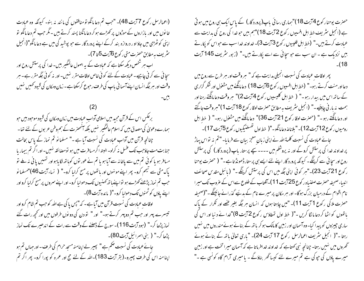حصرت یوحنار کوع 4 آیت 18)"ہماری رسائی باپ(پرورد گار) کے پاس ایک ہی روح میں ہوتی ہے (انجیل سٹریف خط اہل افسپوں رکوع 2 آیت 18)"ہم ہیں حو خدا کی روح کی ہدایت سے عبادت کرتے ہیں۔" (خط اہل فلپیوں ر کوع 3 آیت 3)۔ خداوند خداسب سے حواس کو پکارتے ہیں نزدیک ہے ۔ ان سب سے حوسچائی سے اسے پکارتے ہیں۔" (زبور سٹریف 145 آیت

پھر اوقات عمادت کی نسبت انجیلی بدایت ہے کہ " ہر وقت اور ہر طرح سے روح میں دعا اور منت کرتے رہو۔" (خط اہل افسیوں رکوع 6آیت 18) دعا مانگنے میں مشغول اور شکر گزاری کے ساتھ اس میں بیدار رہو ۔" ( خط اہل کلیسیوں رکوع 74یت 2)" ہر وقت دعا مانگتے رہنا اور بہت نہ ہار ٹی چاہئیے۔" (انجیل سٹریف بہ مطابق حصرت لوقار کوع 18 آیت 1)"ہر وقت جاگتے اور دعا مانگَتے رہو -" (حصرت لوقا رکوع 21 آیت 36)" دعا مانگَنے میں مشغول رہو-" ( خط اہل روميوں ر كوع 12 آيت 12)- "بلاناعہْ دعامانگو-"( خط اول تھسلنيكيوں ر كوع 5آيت 17)-جائے عمادت کی نسبت کلمۃ اللہ نے اپنی زبان معمِز ببان سے فرمایا- "تم نہ تواس پہاڑ پر خداوند خدا کی پرستش کرو گے اور نہ یروشلم میں ۔۔۔۔ سچے پرستار باپ (پرورد گار) کی پرستش روح اور سچائی سے کرینگے۔ کیونکہ پرورد گار اپنے لئے ایسے ہی پرستار ڈھونڈ تاہے۔" ( حصرت یوحنا ر کوع 21 آیت 23)۔"ہر کوئی اپنی جگہ میں اس کی پرستش کرینگے۔" (بائبل مقدس صحائف انبیاء صحیفہ حصرت صفنیاہ رکوع 25 آیت 11)۔آفتاب کے طلوع سےاس کے عروب تک میرا نام اقوام کے درمیان بزرگ ہوگا- اور ہر مکان پر میرے نام کے ہدئیے گذرانے جائینگے -"(صحیفہ حصرت ملاکی رکوع 1 آیت 11)۔ "میں چاہتا ہوں کہ انسان ہر جگہ بغیر عضے اور تکرار کے پاک باتھوں کو اٹھا کر دعا ما نگا کریں ۔"( خط اول تمطاؤس رکوع 2 آیت 8)"خدا نے دنیا اور اس کی ساری چییزوں کو پیدا کیا۔ وہ آسمان اور زمین کا مالک ہو کر ہاتھ کے بنائے ہوئے مندروں میں نہیں رہتا ۔"( انجیل سٹریف اعمالرسل رکوع 17 آیت 24)۔ "باری تعالیٰ باتھ کے بنائے ہوئے گھروں میں نہیں رہتا۔ چنانچہ نبی کھتاہے کہ خداوند خدافرماتا ہے کہ آسمان میرا تخت ہے اور زمین میرے پاؤں کی جو کی ہے تم میرے لئے کیساٹھر بناؤگے - یا میری آرام گاہ کونسی ہے -"

(اعمالرسل رکوع 77يت 48)۔ "حب تم دعا مانگو تو منافقوں کی مانند نہ بنو۔ کيونکہ وہ عمادت خانوں میں اور بازاروں کے موڑوں پر کھڑے ہو کر دعا مانگنا پسند کرتے ہیں ۔ مگر حب تم دعا مانگو نو اپنی کو ٹھڑی میں جاؤ او ر دروازہ بند کرکے اپنے پرورد گار سے حو پوشید کی میں ہے دعا مانگو"(انجیل ىنىرىف بەمطابق حصرت متى ركوع 6آيت 5 تا 7)۔ اب ہر شخص دیکھ سکتا ہے کہ عمادت کے بہ اصول عالمگیر بیں۔خدا کی پرستش روح اور سچائی سے کر ٹی چاہیے ۔عمادت کے لئے کوئی خاص اوقات مقرر نہیں۔اور نہ کوئی جگہ مقرر ہے ۔ ہر وقت اور سر جگہ انسان اپنے آسما فی باپ کی طرف رحوع کرسکتا ہے - زمان ومکان کی قیود تھمیں نہیں بىن -

برعکس اس کے قرآن مجید میں اسلامی آداب عبادت میں زمان ورکان کی قیود موجود بیں حبو ہمارے دعویٰ کی مصدق بیں کہ اسلام عالمگیر نہیں بلکہ آنھھنرت کے ہم وطن عربوں کے لئے تھا۔ چنانچہ قرآن میں آداب عبادت کی نسبت آیا ہے ۔" مسلمانو تم نماز کے پاس بحالت جنا بت مت جاؤجب تک عسل نہ کرلو۔البتہ اگر مسافرت میں ہو تومصا ئقہ نہیں۔اور اگر تم بیمار یا مسافر ہو یا کوئی تم میں سے یاخا نہ سے آیا ہو یا تم نے عور توں کوہاتھ لگا یاہواور تہیں یا ٹی نہ ملے تو یاک مٹی سے تیمم کرو۔ پھر اپنے مونہوں اور ہاتھوں پر مسح کرایا کرو۔" ( نساء آیت 46)"مسلما نو جب تم نماز پڑھنے *کھڑے ہ*و تواپنےپاتھ کھنیوں تک دھولیا کرو- اور اپنے سمروں پر مسح کرلیا کرواور اپنے یاؤں کو ٹحنوں تک دھولیا کرو-"( مائدہ آیت8)۔ اوقات عبادت کی نسبت قرآن میں آیاہے۔ کہ" پس یا کی ہے اللہ کو جب تم شام کرواور تیسرے پہر اور حب تم دوپہر کرتے ہو۔" اور " تو دن کی دو نوں طرفوں میں اور تحچھ رات گئے نماز پڑھا کر۔" (ہود آیت 116)۔ سورج کے ڈھلنے کے وقت سے رات کے اندھیرے تک نماز پڑھا کر۔" (بنی اسرائیل آیت 80)۔ جائے عمادت کی نسبت حکم ہے " پھیر لے اپنامنہ مسجد حرام کی طرف۔اور جہاں تم ہو اپنا منہ اس کی طرف بھیرو-(بقر آیت 183)۔اللہ کے لئے حج اور عمرہ کو پورا کرو۔ پھر اگر تم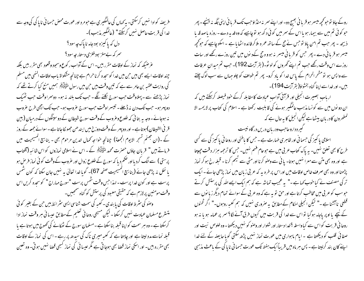فریصنہ کوادا نہیں کرسکتی۔ بی<sub>ک</sub>ھاں کی عالمگیری ہے حبومرد اور عورت محص حسمانی نایا کی کی و*جہ س*ے خدا کی قربت حاصل نهیں کرسکتے" (عالمگیر مذہب)۔ دل که پاکیزه بودجامه ناپاک *چه س*ود <sup>۹</sup> سمر که بےمغز بود فغزی دستار چه سود ؟ عرضیکہ کہ نماز کے اوقات مقرر بیں۔ اس کے آداب ر کوع وسجود وقعود بھی مقرر بیں بلکہ چند اوقات ایسے بھی بیں حن میں خدا کوسحدہ کرناحرام ہے چنانچہ مشکواۃ باب اوقات النھی میں مسلم کی روایت عقیبہ بن عامر سے ہے کہ تین وقت ہیں حن میں رسول ایٹی تیم ہیں منع کیا کرتے تھے کہ نماز پڑھنے سے ۔پہلاوقت حب سورج نکلنے لگے ۔ حب تک بلند یہ ہو۔ دوسمراوقت حب ٹھیک دوپہر ہو۔ جب تک دن نہ ڈھلے۔ تیسراوقت حب سورج عروب ہو۔ جب تک اچھی طرح عروب نہ ہوجائے - وجہ بہ بتا ئی کہ طلوع وعروب کے وقت سورج شیطان کے دو سینگوں کے درمیان (بین قر فی الشیطان) ہوتاہے - اور دو پہر کے وقت دوزخ میں ایند ھن جھولکا جاتا ہے - سوائے جمعہ کے روز کے ۔(ان حجسم تسجر الایوم الجمعة) چنانچہ خوا صر محمال الدین مرحوم بھی ۔ بنا بہج المسیحیت میں خرماتے ہیں " قربان جاؤں حصرت محمد منتھ یہ اپنے کے ۔اس نے اسلامی نمازوں کو اس شائیہ (آفتاب پرستی ) سے الگ کردیا اور ضم دیا کہ سورج کے طلوع زوال اور عروب کے وقت کو ئی نماز فر ص ہو یا نفل نہ پڑھی جائے (پنا بہیج المسیحیت صفحہ 67)۔ گویا خدا تعالیٰ یہ نہیں جان سکتا کہ کون شمس پرست ہے اور کون خدا پرست - لہذا حس وقت شمس پرست "سورج مہاراج" کوسجدہ کریں اس وقت مومنین پرلازم ہے کہ حقیقی معبود کی پرستش کو گناہ سمجیں۔ وصنو کی سٹر ط اوقات کی پابندی ۔ کعبہ کی سمت شناسی ایسی سٹر ائط ہیں حن کے بغیر کوئی متسترع مسلمان عمادت نهبیں کرسکتا - لیکن مسیحی روحانی تعلیم کے مطابق عیسائی ہر وقت نماز ادا کرسکتا ہے ۔ وہ ہر سمت کو اپنا قبلہ بناسکتا ہے ۔مسلمان سورج کے ٹھکانے کی کھوج میں ہوتا ہے یا قبلہ نماسے مدد لپتا ہے اور چاہتا ہے کہ کعبہ میری ناک کی سیدھ پر رہے ۔ اس کی نماز کے اوقات بھی مقررہ بیں۔ اور اسکی نماز قصا بھی ہوجا تی ہے مگر عیسا ئی کی نماز کسجی قصا نہیں ہو تی۔ وہ تعین

روکے جاؤ توحو محچھ میسر ہو قریا ٹی بھیج دو- اور اپنے سمر یہ منڈاؤ حب تک قریا ٹی اپنی جگہ یہ بہنیچے۔ پھر حو کوئی تم میں سے بیمار ہو یا اس کے سمر میں کوئی د کھ ہو تو چاہیے کہ وہ فدیہ دے۔روزہ یاصدقہ یا ذبیحہ - پھر حب تم امن یاؤ تو حس نے حج کے ساتھ عمر ہ ملاکر فائدہ اٹھایا ہے - اسکو چاہیے کہ حوکحچھ میسر ہو قربانی دے ۔پھر حس کو قربانی میسر نہ ہووہ حج کےدیوں میں تین روزے رکھے اور سات روزے اس وقت رکھے جب تم اپنے گھروں کولو ٹو۔(بقر آیت 192)۔ جب تم میدان عرفات سے واپس ہو تو مشحر الحرام کے پاس خدا کو یاد کرو۔ پھر تم طواف کو چلو جہاں سے سب لوگ چلتے ہیں۔اور خدا سے اپنا گناہ بخشواؤ( بقر آیت 194)۔ ار ماب بصیرت انجیلی اور قرآنی آداب عمادت کا مقابلہ کرکے خود فیصلہ کرسکتے ہیں کہ ان دو نوں میں سے کو نسا مذہب عالمگیر ہونے کی قابلیت رکھتا ہے - اسلام کی کتاب پر لا یمسہ الا گمطھرون کا دربان بیٹھاہے لیکن انجیل کا بیہ حال ہے کہ گیر دداروحاجب ودربان دریں در گاه نیست اسلامی یا کمیز گی حسما فی اور ظاہری طہارت ہے ۔حس کا باطنی اور روحا فی یا کمیز گی سے کسی طرح کا بھی تعلق نہیں۔ یہ پاک کتاب عربی میں ہے حوعام فہم نہیں۔ جس کا ترجمہ ہزار دقت چیپتا ہے اور وہ بھی متن سے معرا نہیں ہوتا۔ یا نی سے وصو کرنا اور مٹی سے تیمم کرنا۔ قبلہ رخ ہوکر نماز پڑھنا اور وہ بھی صرف خاص اوقات میں اوراس پر طرہ یہ کہ عربی زبان میں نماز پڑھی جائے ۔ایک تر کی مصنف نے کیا حوب کہا ہے ۔" یہ عجیب تماشہ ہے کہ ہم ایک ایسے اللہ کی پرستش کرتے حوسب کوعر ٹی میں مخاطب کرتا ہے اور حق تو بہ ہے کہ وہ عربی کے سوائے تمام دیگر زیا نوں سے قطعی ناآشنا ہے -" لیکن انجیلی احکام کے مطابق یہ صروری نہیں کہ ہم کعبہ روہوں-" اگر ٹحنوں کے نیچے یا اوپر پاجامہ ہوگیا تواس سے خدا کی قربت میں کیوں فرق آنے لگا؟ سمر پر عمامہ ہو یا نہ ہو روحا فی قربت کواس سے کیاواسطہ ؟خدا دستار اور شلوار اور وصنو کو نہیں دیکھتا۔وہ خلوص نیت اور صفا ئی قلب کو دیکھتا ہے ۔ ایام ماہواری میں عورت نماز نہیں پڑھ سکتی گویا جا پھنہ کے لئے خدا اپنے کان بند کرلیتاہے - پس ہر ماہ میں قریباًایک ہفتہ تک عورت حسمانی ناپا کی کے باعث مذہبی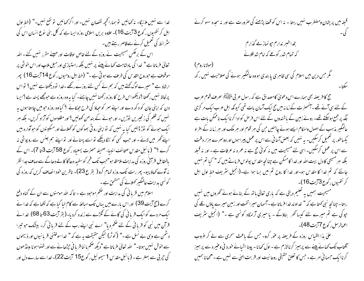خدا سے نہیں ملائیگا- نہ کھائیں تو ہمارا کحچھ نقصان نہیں- اور اگر کھائیں تو نفع نہیں۔" (خط اول اہل کر نتھیوں رکوع 3 آیت 16)۔ علاوہ بریں اسلامی روزہ ایسا ہے کہ کل بنی نوع انسان اس کی ینٹرائط کی تعمیل کرنے سےقاصر رہتے ہیں۔ اس کے برعکس مسیحیت نے روزہ کے لئے خاص اوقات اور مہینے مقرر نہیں گئے ۔اللہ تعالیٰ فرماتا ہے " خدا کی بادشاہت کھانے پینے پر نہیں بلکہ راستیازی اور میل ملاپ اور اس خوشی پر موقوف ہے حبوروح القدس کی طرف سے ہوتی ہے ۔" (خط اہل رومیوں ر کوع 14 آیت 16) پھر ارشاد ہے " میرے لوگ کھتے ہیں کہ ہم نے کس لئے روزے رکھے ۔خدا تو دیکھتا ہے نہیں؟ تواس پرلحاظ نہیں رکھتا ؟دیکھواس طرح کاروزہ رکھنا نہیں چاہئے۔ کیا یہ وہ روزہ ہے حبومجھے پسند ہے؟ایسا دن کہ اپنی جان کو دکھ دے اور اپنے سمر کو حیاؤ کی طرح حیےکائے ؟ کیا وہ روزہ حبو میں چاہتا ہوں ہہ نہیں کہ ظلم کی زنجیریں نوڑیں۔اور حبوبےٗ کے بندھن کھولیں ؟اور مظلوموں کوآزاد کریں۔ بلکہ ہر ایک حویےٗ کو نوڑ ڈالیں کیا یہ نہیں کہ تواپنی رو ٹی بھوکوں کو کھلائے اور مسکینوں کو حوآوارہ ہیں اپنے گھر میں لائے ۔ اور حب کسی کو ننگا دیکھے تو اسے پہنانے اور تو اپنے ہم جنس سے روپوشی نہ کرے ؟" (یا ئبل مقدس صحائف انبیاء صحیفہ حصرت یسعیاہ رکوع 58 آیت 3 تا 7)۔ اس کے بالمقابل قرآنی روزہ کی بدایت ملاحظہ ہو"حب تک فنجر کوسفید دھاگا کالے دھاگے سے صاف جدا نظر نہ آوے کھاؤ پہیو۔ پھر رات تک روزہ تمام کرو ( بقرع 23)۔ ناظرین حود انصاف کریں کہ روزہ کی کونسی بدایت عالمگیر کہلانے کی مشحق ہے ۔ اسلام میں قریا ٹی کی ہدایت اور ضحم موحبود ہے ۔ تا کہ اللہ مومنوں سے ان کے گناہ دفع کرے (حج آیت 39) اور اس مارے میں یہاں تک مبالغہ سے کام لیا گیا ہے کہ لکھا ہے کہ خدا نے ایک مردے کوایک قربانی کی گائے کے گڑے سے زندہ کردیا۔(بقرآیت 63 تا 68) خد انے

قرآن میں نبی کو قربانی کے لئے صکم دیا" اے نبی اپنے رب کے لئے قربانی کر۔ بیٹنک حو تیرا

دشمن ہے وہی بے نسل ہے۔" (کوثر) لیکن حقیقت یہ ہے کہ" خداسوختنی قربانیوں اور ذبیحوں

سے حوش نہیں ہوتا۔" اللہ تعالیٰ فرماتاہے "دیکھ حکم ما ننا قریا فی حیڑھانے سے اور شنوا ہونا مینڈھوں

کی جربی سے بہتر ہے ۔ ( پائبل مقدس 1 سیموئیل رکوع15 آیت 22)۔ خدا سے سارے دل اور

قبلہ میں پریشان ومضطرب نہیں رہتا - نہ اس کو قضا پڑھنے کی صرورت ہے اور نہ سحدہ سہو کرنے بخداخبر ندارم حیونمازمے گذارم کہ تمام شدر کومے کہ امام شد فلانے

(مولاناروم) گھر جس دین میں اسلام کی سی ظاہری پا بندی ہووہ عالمگیر ہونے کی صلاحیت نہیں رکھ

حج کا فریضہ بھی ہمارے اس دعویٰ کامصداق ہے کہ رسول عربی ﷺ صرف قوم عرب کے لئے ہی آئے تھے۔آنھھزت کے زمانہ میں حج ایک آسان بات تھی کیونکہ اہل عرب ایک مر کزی جگہ پر جمع ہوسکتے تھے۔روئے زمین کے باشندوں کے لئے اس فرص کوادا کرناایک ناممکن بات ہے عالمگیر مذہب کے اصول واحکام ایسے ہونے چاہئیں حن کی ہر قوم اور ہر ملک اور ہر زمانہ کے افراد یکساطور پر تعمیل کرسکیں۔ بہ نہیں کہ بعض آسا فی سے اس پر عمل پیر اہوں اور دوسرے ہزار دقت سے اس پر عمل کرسکیں۔ اسی لئے مسیحیت میں نہ کوئی حج ہے نہ عمرہ نہ عرفات ہے ۔ اور نہ قبلہ بلکہ ہر مسیحی کا دل بیت اللہ اور خدا کامسکن ہے چنانچہ مقدس پولوس فرماتے ہیں کہ " کیا تم نہیں جانتے کہ تم خدا کا مقدس ہو۔اور خدا کا روح تم میں بسا ہوا ہے۔(انجیل سٹریف خط اول اہل کرنتھیوں رکوع<sup>3</sup>آیت 16)۔

مسیحیت ہمیں یہ تعلیم دیتی ہے کہ باری تعالیٰ باتھ کے بنائے ہوئے گھروں میں نہیں رہتا۔چنانچہ نبی کھتاہے کہ " خداوند خدا فرماتاہے۔آسمان میرا تخت اور زمین میرے پاؤں تلے کی حوِرگی ہے تم میرے لئے کیسا گھر بناؤگے - یا میری آرامگاہ کونسی ہے -" (الجیل سٹریف اعمالرسل رکوع 77یت 48)۔

علیٰ بذا القیاس روزہ کے فریصنہ پر عور کرو۔ جس کے باعث سحری سے لے کر عروب آفتاب تک کھانے پینے سے پرہمیز کرنالازم ہے ۔ اوّل کھانا - پینااشیائے خورد نی وعنیرہ سے پر ہمیرز کرنا ایک حسما فی امر ہے ۔حس کا تعلق حقیقی روحا نیت اور قربت الہیٰ سے نہیں ہے ۔ "محانا ہمیں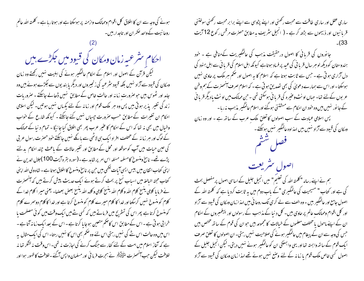ہونے کی وجہ سے ان کا اطلاق کل اقوام وممالک وازمنہ پر ہوسکتا ہے اور ہوتا ربا ہے۔ کلمتہ اللہ عالم روحا نبیت کے واحد صحمران اور تاجدار ہیں۔

احکام منٹر عیہ زمان ومکان کی قیود میں جکڑے ہیں<br>۔ لیکن قرآن کے اصول اور اسلام کے احکام عالمگیر ہونے کی اہلیت تہیں رکھتے وہ زمان ومکان کی قبود سے آزاد نہیں بلکہ قبود سرعیہ کی زنجیروں اور دیگر یا بند یوں سے جکڑے ہوئے ہیں وہ جامد اور ٹھوس بیں حو صرورت زمانہ اور حالت خاص کے مطابق نہیں ڈھالے جاسکتے ۔ صروریات زند کی تغیر پذیر ہوتی ہیں پس وہ ہر ملک قوم اور زمانہ کے لئے یکساں نہیں ہو تیں۔ لیکن اسلامی احکام ان تغیرات کے مطابق حسب صرورت جیساں نہیں گئے جاسکتے ۔ کیونکہ شارع کے خواب وخیال میں بھی نہ تھا کہ اس کے احکام کا عنیر عرب پھر بھی اطلاق کیا جائیگا - تمام د نیا کے ممالک کے لوگ اور ہر زمانہ کے مختلف افراد ایک ہی لاٹھی سے پانکے نہیں جاسکتے خود حصرت رسول عربی کی حین حیات میں آپ کو موقعہ اور محل کے مطابق اور تغیر حالات کے باعث چند احکام پدلنے پڑے تھے۔ ناسخ ومنسوخ کامسلمہ مسئلہ اس امر پر شاہد ہے۔(سورہ بقرہ آیت 100)جلال الدین نے اپنی کتاب اتقان میں بیس ایسی آبات لکھی ہیں حن پر ناسخ ومنسوخ کا اطلاق ہوتا ہے ۔ شاہ ولی اللہ اپنی کتاب حجتہ الیالغہ میں اسیاب نسخ پر بحث کرتے ہوئے ایک حدیث پیش کرتے ہیں کہ آنحصرت نے فرمایا کلامی ینسخ کلام اللہ و کلام اللہ ینسخ کلامی و کلہہ اللہ ینسخ بعض بعضعا۔ یعنی میر ا کلام خدا کے کلام کو منسوخ نہیں کرسکتا اور خدا کا کلام میرے کلام کو منسوخ کرتا ہے اور خدا کا کلام دوسمرے کلام کومنسوخ کرتاہے پھر اس کی تستریح میں فرماتے ہیں کہ کسی شے میں ایک وقت میں کوئی مصلحت ما خرا بی ہو تی ہے ۔ اس کے مطابق اس کاضکم متعین ہوجا یا کرتا ہے ۔ اس کے بعد ایک زمانہ آتا ہے ۔ اس میں وہ حالت اس شے کی نہیں رہتی اس لئے وہ ضکم بھی اس کا نہیں رہتا۔ اس کی ایک مثال ہہ ہے کہ آغاز اسلام میں امت کے لئے کفار سے جنگ کرنے کی اجازت نہ تھی۔اس وقت نہ کشکر تھا نہ خلافت لیکن حب آنمحصرت متٰقَ السِّلَيْنَ بِمَسْتِ ہجرت فرما ئی اور مسلمان واپس آگئے ۔خلافت کا ظہور ہوا اور

ساری عقل اور ساری طاقت سے محبت رکھنی اور اپنے پڑوسی سے اپنے برابر محبت رکھنی سوختنی قربانیوں اور ذبیحوں سے بڑھ کر ہے ۔ ( انجیل سٹریف یہ مطابق حصرت مرقس رکوع 12 آیت

جا نوروں کی قربانی کا اصول در حقیقت مذہب کی عالمگیریت کےمنافی ہے ۔ خود ہندوستان کو دیکھ لو ہر سال قریا ٹی کی عبد پر فساد ہوتاہے کیونکہ اہل اسلام کی قریا ٹی سے اہل ہنود کی دل آزاری ہوتی ہے۔جس سے ثابت ہوتا ہے کہ اسلام کا یہ اصول اور حکم ہر ملک پر حاوی نہیں ہوسکتا۔اور اس سے ہمارے دعویٰ کی بھی نصدیق ہو تی ہے۔ کہ اسلام صرف آنحصرت کے ہم وطن عربوں کے لئے تھا۔ حہاں او نٹ وعنیرہ کی قریا فی ہوسکتی تھی ۔حبن ممالک میں او نٹ یادیگر قریا فی کے جا نور نہیں بیں وہ حود ان احکام سے مشتنیٰ ہوگئے اور اسلام عالمگیر مذہب نہ رہا ۔ پس اسلامی عبادت کے سب اصولوں کا تعلق ملک عرب کے ساتھ ہے ۔ اور وہ زمان ومکان کی قیود سے آزاد نہیں ہیں لہذاوہ عالمگیر نہیں ہوسکتے۔ اصول تنشر يعت ہم نے اپنے رسالہ "کلمتہ اللہ کی تعلیم" میں انجیل جلیل کے اساسی اصول پر مفصل بحث کی ہے اور کتاب " مسیحیت کی عالمگیری "کے باب دوم میں یہ ثابت کردیا ہے کہ کلمتہ اللہ کے اصول جامع اور عالمگیر بہیں ۔ وہ الصف سے لے کر ی تک روحا فی بیں لہذا زمان ومکان کی قبیود سے آزاد اور کل اقوام وممالک عالم پر حاوی بیں۔ کل د نیا کے مذاہب کے رسولوں اور پیغمبروں کے احکام ان کے اپنے ماحول یا مختلف معلموں کے خیالات کا مجموعہ بیں حوان کی قوم کے ساتھ مختص بیں جس کی وجہ سے ان کے پیغام میں عالمگیر ہونے کی صلاحیت نہیں رہتی۔ان اصولوں کا تعلق صرف ایک قوم کے ساتھ وابستہ تھا اور یہی وابسٹگی ان کو عالمگیر ہونے نہیں دیتی۔ لیکن انجیل جلیل کے اصول کسی خاص ملک قوم یا زمانہ کے لئے وضع نہیں ہوئے تھے لہذا زمان ومکان کی قبیود سے آزاد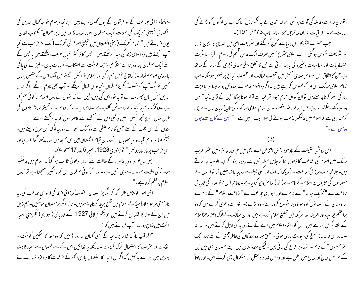وفوقتاً مرزا ئی حماعت کے دو فرقوں کے پول کھول دیتے ہیں۔ چنانچہ مرحوم حواصہ کمال الدین کی الگلسّاني تبلیغی تحریک کی نسبت ایک مسلمان اخبار مدینه بجنور میں زیر عنوان" مکتوب لندن" یوں فرماتے ہیں " تمام تحریک (یعنی انگلستان میں تبلیخ اسلام کی تحریک )ایک بڑا فریب ہے کیا آپ سمجھتے ہیں وہ اسلامی زند گی پیدا کرسکتے ہیں ۔ حس کا ڈاکٹر اقبال حواب دیکھتے ہیں یا حس کے لئے ایک مسلمان چندہ دیتا ہے مثلاً عنیر ذبیحہ گوشت سے اجتناب -طہارت بدن - کیپڑے کی پا کی یا بندی صوم صلواہ ۔ ز کواۃ حج نہیں ہم ر کن اور اسلامی فر ائض سمجھتے ہیں آپ اس کے متعلق پہاں تحمیں تولوگ آپ کو خصوصاً انگریز مسلمان دقیانوس خیال کرینگے اور آپ بھی نادم ہوگگے ۔اگر تھال الدین مش بہاں کامیاب ہے تو یہ حود اس کی بین دلیل ہے کہ انہوں نے روح اسلام پر کو ئی ظلم کیا ہے ۔ووکنگ مسجد ایک عمدہ سوشل کلب ہے ۔فائدہ ہیہ ہے کہ دوسمرے تھیٹر تمانٹہ گاہوں کی طرح وہاں خرچ کچھ نہیں۔ میں واقعی اس کے سمجھنے سے قاصر ہوں کہ یہ دیکھتے ہوئے ۔۔۔۔۔۔ لندن کے اس کلب کےلئے حس کا نام غلطی سے وو کنگ مسحد ہے رو پہ لوگ کس طرح دیتے ہیں۔ بہیٹم صاحبہ دام اقبالہ والبہ بھوپال نے دوران قبام انگلستان میں اس مسجد میں نماز پڑھنا گوارا نہ کیااور اس فریب پربار بار روئیں" 7جنوری 1928ء نمبر 5جلد 17صفحه 4)۔ پس تاریخ اور دور حاصرہ کے حالات سے ہمارا دعویٰ ثابت ہو گیا کہ اسلام میں عالمگیر ہونے کی اہلیت سمرے سے ہی نہیں ہے - اور اگر کوئی مسلمان اس کو عالمگیر سمجھتا ہے تو "روح اسلام پر ظلم کرتا ہے۔" انهی امور کو پیش نظر رکھ کر انگریزمسلمان۔ خصوصاً مرزا ئی فرقہ کی لاہوری حماعت کی ما پہ ناز ہستی مرحوم لارڈ ہیڈلے اسلام میں قطع برید کرناچاہتے ہیں۔ تاکہ انگریزمسلمان ہوسکیں۔ ہم ذیل میں ان کے خطہ کا اقتساس کرتے ہیں جو یکم حولائی 1927ء کے قادیا فی (لاہوری)انگریزی اخبار لائٹ میں شائع ہوا تھا۔ آپ فرماتے ہیں کہ : "اگر آپ مارک شائر برطانبہ کے کسی کسان پر زور ڈالیں کہ وہ سور کا نمکین گوشت -انڈے اور سٹراب کا استعمال ترک کردے - حالانکہ بہ عذائیں اس کے لئے نسلوں سے مفید ثابت ہورہی ہیں اور اسے پیر کھیں کہ اگر ان اشیاء کا استعمال جاری رکھوگے تو نجات کا دروازہ تہارے لئے

دشمنان خداسےمقابلہ کی قوت ہوگئی۔ توخدا تعالیٰ نے بیہ حکم نازل کیا کہ اب ان لوگوں کولڑنے کی اجازت ہے۔" ( آیات اللہ الکاملہ ترحمہ حجتہ البالغہ باب73صفحہ 191)۔ حبب حصرت متی ایک اس د نیا سے کوچ کر گئے اور سٹریعت الهیٰ میں تبدیلی کا امکان نہ رہا اور سٹریعت ٹھوس ہو گئی نواب اسلامی سٹرع ہمیں صرف ایک خاص قسم کی رسوم ۔طرز معاسٹر ت اقتصادیات اور سیاسیات وعنیرہ کی پابند کرتی ہے جن کا تعلق پہلی صدی ہجری کے زمانہ کے ساتھ ہے جن کا اطلاق اس بیسویں صدی مسیحی میں مختلف ممالک اور مختلف طبائع پر نہیں ہوسکتا۔ اب تمام اسلامی ممالک اس امر کومحسوس کررہے بیں کہ اگروہ اقوام عالم کے ہمدوش ہو کر چلنا اور باعزت زندگی بسر کرناچاہتے ہیں توان کوان تمام قبیود سٹرعبہ سے آزاد ہونا ہوگا "حن کے آہمنی پنجہ" میں وہ اب تک حکڑے رہے ہیں اید ھمہ اللہ بنصرہ - ان تمام اسلامی ممالک کی تاریخ زیان حال سے پکار کر <sub>ک</sub>ہ رہی ہے کہ اسلام میں عالمگیر مذہب ہونے کی صلاحیت نہیں ہے ۔" حس کے کان سننے ہوں وہ سن لے

اس روشْنِ حقیقت کے ماوحبود بعض اشخاص ایسے بھی بیں حبو دور حاصرٰہ میں عنیر عرب ممالک میں اسلام کی اشاعت کا ڈھول بجا کر جابل مسلمانوں سے روپیہ بٹور کر اپنا الوسید ھا کرتے بیں۔ چنانچہ حب مرزائی حماعت نے دیکھا کہ اب اور کسی حیلے سے روپیہ ہاتھ نہیں آتا توانہوں نے مسلمانوں کی جیسوں پر اسلام کے نام سے ڈاکہ ڈالنا سٹروع کردیا ہے - چنانچہ اس فرقہ صالہ کی قادیا نی حماعت نے "تحریک جدید" کے نام سے اور لاہور ی حماعت نے "اشاعت اسلام " کے نام سے ہندوستان کے مسلمانوں کو دھوکادینا سٹروع کردیاہے۔وہ بڑے زور شور سے دعویٰ کرتے ہیں کہ وہ براغظم یورپ اور افریقہ اور امریکہ میں تبلیغ اسلام کررہے ہیں اور ان ممالک کے لوگ دھڑا دھڑاسلام کے حلقہ بگوش ہورہے ہیں ۔ ان کو دائرہ اسلام میں لانے کے لئے روپہیہ کی اپیل کرتے ہیں ہر سالانہ جلسہ پر اس خانہ ساز تبلیغ کی رپورٹ بازی ہو تی ۔احمق چندہ دہند گان کی خاطر جمعی کے لئے چند ایک " نو مسلموں "کے نام اور تصاویر شائع کی جاتی بیں۔ لیکن ہندوستان میں ایسے مسلمان بھی بیں حن کے سمر میں دماغ اور دماغ میں عقل ہے اور وہ اس خداداد عقل کو استعمال بھی کرتے ہیں۔ اور وقتاً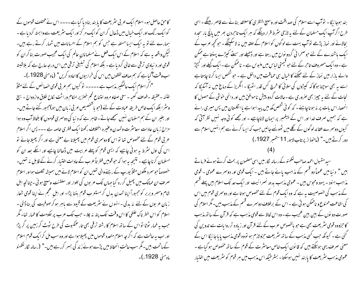کاحن حاصل ہو۔ اسلام ایک عربی سٹریعت کا پابند بناد پا گیاہے ۔۔۔۔ اس نے مختلف قوموں کے کوایک رنگ اور ایک خیال میں ڈھال کران کوایک مرکزاور ایک سٹریعت سے وابستہ کردیا ہے ۔ ہمارے لئے تو یہ ایک ایسا مسئلہ ہے جس کو ہم اسلام کے احسانات میں شمار کرتے رہے ہیں۔ لیکن واقعہ ہیہ ہے کہ اسلام کے اس ایک فعل نے مسلمانان عالم کی ایک عجیب صورت بنا کر ان کو قومی اور د نباوی ترقی سے عالی کردیا ہے - بلکہ اسلام کی تبلیغی ترقی میں اس درجہ حارج ہے کہ بلاشبتہ اب وقت آگیا ہے کہ ہم صاف لفظوں میں اس کی خرابیوں کا اعادہ کریں" (ماہ مئی 1928ء)۔ "اگر اسلام ایک عالمگیر مذہب ہے۔۔۔۔۔ تو کیوں ہم عربی قومی حصائص کے لئے مثلاً ختنه –عقیقه -طواف کعبه – سعی صفاو مروه امتناع کحم خنزیر احکام ورا ثت لکاح طلاق وازدواج – بهیج ویٹر ابلکہ ایک خاص طریقہ عمادت کے لئے (جو بالشخصیص عربی زبان میں ہو)مجبور کئے جاتے بیں۔ اور بغیر ان کے ہم مسلمان نہیں سمجھے جاتے۔ظاہر ہے کہ د نیا کی دوسمری قوموں کا بلحاظ آب وہ ہوا مزاج زبان عادات معاسثرت وتمدن وعنيره اختلاف ركھنا ايك فطري خاصه ہے --- پس اگر اسلام عر بی قوم کے لئے مخصوص تھا تو اس کا دوسری قوم میں پھیلانا بے معنی ہے اور اگر پھیلاجائے تو اس کی اول سٹرط یہ ہونی چاہیے کہ ایسی قوم کو پہلے عربیت میں ڈھالنا چاہیے اور اسکے بعد ان کو مسلمان کرناچاہیے۔ نتیجہ یہ ہوا کہ حبو قومیں فطر تأعرب کے عادات اختیار کرنے کے قابل نہ تھیں۔ خصوصاً حبو سمر د ملکوں مثلاً یورپ کے رہنے والی تھیں ان کو اسلام لانے میں ہمیشہ نکلف ہوا ور اسلام صر ف ان ممالک میں پھیل کر رہ گیا حہاں تک عربوں کی تلوار اور سلطنت وسیع ہو ئی ۔چنانچہ اہل شام ومصر و بربر کو مجبوراً اپنا تمدن بدل کر مستعرب قوم بننا پڑا۔ اور اہل عمجم نے اپنا قومی شعار زبان عربوں کے لئے یہ بدلی ۔ انہوں نے نثر یعت کے قبیود سے پاہر ہوکر صوفیت کی بنا ڈالی ۔ اسلام کو اس خطر ناک غلطی کا اس وقت تک پته نه چلا۔ حب تک عرب پر حکومت کا خمار تھا۔ مگر جب ہہ خمار پٹوٹا تو اس کے ساتھ اسلام کارشتہ ترقی بھی تار عنکبوت کی طرح پٹوٹ کر زمین پر گرپڑا اور اب بہ حالت ہے کہ اگر چہ اسلام متعدد قوموں میں پھیلا ہوا ہے اور وہ سب مل کر ایک قوم اسلام کے ماتحت بیں۔مگر سب حالت انحطاط میں پڑے ہوئے زند کی بسر کررہے بیں۔" (رسالہ لگارلکھنو ماہ مئی 1928ء)۔

بند ہوجا ئیگا - نوآپ اسے اسلام کی صداقت اور وسیع النظری کامعتقد بنانے سے قاصر رہینگے - اسی طرح اگر آپ ایک مسلمان کے لئے بہ لازمی سٹرط قرار دینگے کہ ہر ایک تاحردن بھر میں پانچ بار سجدہ بحالائے اور نماز پڑھے نوآپ بہت سے لوگوں کو اسلام کے حلقہ میں نہ لاسکینگے ۔ حو تحچھ عرب کے ایک باشندے کے لئے حبوصحرا ٹی گردو نواح میں رہتا ہے اور ڈھیلے اور سینے کپڑے پہنتا ہے ممکن ہے ۔وہ ایک مصروف تاحرکے لئے حبو قیمتی لیاس میں ملبوس ہے ۔ ناممکن ہے ۔ ایک کیلے اور کیپڑ والے بازار میں نماز کے لئے حیکنے کا خیال ہی حماقت میں داخل ہے ۔ حبو شخص ایسا کرنا چاہتاہے اسے ہہ بھی سوچنا ہو گا کہ کیپڑوں کی سلائی کا خرچ کس قدر اٹھیگا - انگریز کے دماغ میں نہ آسکیگا کہ نحات کے لئے ہہ جپیز بھی صروری ہے۔حالات گردو پیش ناموافق ہیں اور دائمی خوشی کے حصول کا انحصار اس بات پر نہ ہوناچاہئے ۔ کہ کوئی شخص مکہ میں پیدا ہوا ہے یا انگلسان میں پس میری رائے ہے کہ ہمیں صرف خدا اور اس کے پیغمبر پر ایمان لاناچاہیے - اور مجھے کوئی وجہ نہیں نظر آتی کہ کیوں دوسمرے عقائد لوگوں کے گلے میں ٹھونے جائیں جب کہ ایسا کرنے سے ہم انہیں اسلام سے دور کرتے ہیں۔" (ماخوذاز پرتاب لاہور 11 ستمبر 1927ء)

سید مقبول احمد صاحب لکھنو کے رسالہ لگار میں اسی مصنمون پر بحث کرتے ہوئے فرماتے ہیں " دنیا میں عموماً دو قسم کے مذاہب پائے جاتے ہیں ۔ ایک قومی اور دوسرے عمومی ۔ قومی مذاہب ہنود - یہود ومجوس بیں - عمومی مذہب بدھ نصرانیت اور ایک حد تک اسلام بیں پہلے قسم کے مذہب کی خصوصیت یہ ہے کہ وہ ایک قوم کے لئے مخصوص ہوتا ہے اور دوسمری قوم میں اس کی اشاعت ممنوع و ناممکن ہو تی ہے ۔اس کے برخلاف دوسرے قسم کے مذہب بیں۔گھر اسلام کی صورت دو نوں کے بین بین عجیب ہے ۔وہ اس لحاظ سے قومی مذہب ہے کہ قرآن کے ساتھ مذہب کا حمزووہ قومی سٹریعت بھی ہے حبو بالخصوص عرب کے لئے قرآن اور زیادہ تر روایات سے تدوین کی گئی ہے ۔ کیونکہ جب کسی مذہب کے ساتھ سٹریعت حزولازم ہو تووہ قومی مذہب پایاجا ئیگا اس کے معنی صرف یہی ہوسکتے ہیں کہ قانون ایک خاص معائثرت کے قوم کے ساتھ مخصوص ہوگیاہے ۔ عمومی مذہب سثر یعت کا پابند نہیں ہوسکتا۔ بسترطیکہ اس مذہب میں ہر قوم کو سثر یعت میں اختیار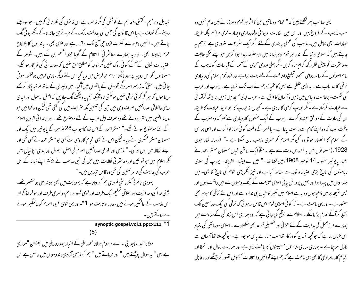تبدیل و ترمیم - کتنی دفعہ ہم نے کوشش کی مگر قاصر رہے اس قانون کی نظر ثا نی کرلیں - حوسود لینے دینے کے خلاف ہے یا اس قا نون کی جس کی بدولت مالک کے مرتے ہی جائداد کے نکے بوٹی گگ جاتے ہیں۔ انہیں وحبوہ سے کنٹرت ازدواجی آج تک برقرار ہے اور علامی بھی - پاندیوں کا بلانکاح حرم بنالینا بھی۔ او ربہ ہمارے معاسرتی انتظام کے گویا حمزو اعظم بن گئے ہیں۔ شوہر کے اختیارات طلاق کے آگے کوئی روک نہیں مگر زوجہ کو مطلق حق نہیں کہ وہ جدا ئی کی طلبگار ہوسکے۔ مسلمانوں کو اس روپسہ پرسود مانگنا حرام حو قرص میں دیا گیا اس لئے دیگر ساری قومیں دولتمند ہو تی جا تی بیں۔ حتیٰ کہ زرسمراسمر دیگر قوموں کے ہاتھوں میں آگیا۔ میں دلیمری کے ساتھ علانیہ یکار کرکھے دیتا ہوں کہ ہر گز کوئی ترقی نہیں ہوسکتی تاوقتیکہ ہم یہ دیکھنے لگ جاویں کہ اصل الاصول اور ایدی دینی واخلاقی صداقتیں صرف وہی بیں حن کی تلقین مکہ سٹریف میں کی گئی تھی لیکن و ہ قوانین حبو مدینہ النبی میں مقرر ہوئے تھے وہ صرف اہل عرب کے لئے موصوع تھے ۔ اور ابتدا ئی قرون اسلام کے لئے موصنوع ہوئے تھے۔" مسٹر احمد کے اس خط کا حواب 28 نومبر کے پایونیر میں ایک اور مسلمان مسٹر عسکری نے دیا۔ لیکن اس نے بھی انحام کار وہی ات کھی حبومسٹر احمد نے کھی تھی اور اپنے الفاظ میں یوں ادا کی۔" مذہبی اور اخلاقی صداقتیں اسلام کی اصل الاصول اور ابدی سجائیاں بیں گھر اسلام میں حبو قوانین اور معاسٹر تی نظامات بیں حبن کی نبی صاحب نے بیشتر اپنے زمانہ کے اہل عرب کی ہدایت کی خاطر تلقین کی تھی وہ قابل تبدیل ہیں۔" یہودی عالم ڈاکٹر مانٹی فیوری ہم کو بتاتاہے کہ یہودیت میں بھی بعینہ یہی دوعنصر تھے۔ یعنی خدا کی وحدا نبیت اور اخلاقی تعلیم ایک طرف اور قومی قبیود مراسم دوسمری طرف اور موخرالذ کرامر اس مذہب کے عالمگیر ہونے میں سدر راہ ثابت ہوا 1\*۔اور یہی قومی قیود اسلام کو عالمگیر ہونے سے روکتے ہیں۔

مولانا عبدالماجد بی ۔اے مرحوم مولانا محمد علی کے اخبار ہمدرد دبلی میں بعنوان "ہماری بے بسی" پہ سوال پوچھتے ہیں " اور فرماتے ہیں" ہم کومذہبی آزادی ہندوستان میں حاصل ہے اس یہی صاحب پھر لکھتے ہیں کہ " تمام وہ پاتیں حن کااثر ہر قوم وہر زمانے میں عام نہیں وہ سب مذہب کے فروغ ہیں اور اس میں احکامات دیوانی وفوجداری وجہاد -قومی مراسم بلکہ طریقہ عبادات بھی شامل ہیں۔ مذہب کی عملی یا بندی کے لئے اگر ایک سثر یعت صروری ہے تو ہم یہ چاہتے ہیں کہ اسلامی د نیا کے اندر ہر قوم وہرزمانہ میں ابو حنیفہ پیدا ہوا کریں حو اپنے مککی حالات ومعاسٹر ت کو پیش نظر رکھ کراجتہاد کریں۔مگر پہلی صدی ہجری کے آئمہ کے قیاسات کومذہب کے عام اصولوں کے ساتھ دوامی سمجھنا تبلیغ واشاعت کے لئے بہت براہے اور خود قوم اسلام کی د نیاوی ترقی کا سد پاپ ہے ۔ یہ ایسی غلطی ہے جس کا خمیازہ ہم نے اپ تک اٹھا یا ہے ۔ یورپ اور عرب کی نشست و برخاست ولیاس میں زمین وآسمان کا فرق ہے ۔ عرب اپنی مسحد میں زمین پر بیٹھ کرآسا نی سے عمادت کرسکتا ہے ۔ مگر پورپ کرسی کا عادی ہے ۔ کیوں نہ پورپ کا ابو حنیفہ عمادت کا طریقہ ان کی عادت کے موافق احتہاد کرے۔ یورپ کے ایک مشغول کاروباری سے کھو کہ وہ مغرب کے وقت حب کہ وہ اپنے کام سے راحت پاتا ہے - پاظہر کے وقت کو ٹی نماز ادا کرے اور اسی پر اس کے اسلام کا انحصار ہو تو وہ کیونکر اسلام کو فطری مذہب مان سکتا ہے ۔" (رسالہ نگار جون 1928ء)مسلمانوں میں یہ احساس مدت سے ہے ۔مثلاً ایک روشن خیال مسلمان مسٹر احمد نے اخبار پایو نیر مطبوعہ 14 نومبر 1908ءمیں لکھا تھا۔" میں نے ایشیا - افریقہ - یورپ کی اسلامی ریاستوں کی تاریخ بڑی احتیاط و توجہ سے مطالعہ کیا ہے اور نیز انگریزی قوم کی تاریخ کا بھی۔ میں ہندستان میں پیدا ہوا اور یہیں پرورش یا ئی اسلامی طبیعت کے رنگ ومیلان سے میں واقف ہوں اور جس نتیجہ پرمیں پہنچاہوں وہ یہ ہے اسلام میں تغییر کاخیال ہی ندارد ہے اور اس لئے ترقی کاحوہر بھی مفقود ہے۔اور یہی باعث ہے۔ کہ کوئی اسلامی قوم اس قابل نہ ہو ٹی کہ ترقی کی ایک حد معین تک پہنچ کرآگے قدم بڑھاسکے۔اسلام سے توقع کی جاتی ہے کہ وہ ہماری اس زند کی کے معاملات میں ہمارے طرز عمل کی ہدایت کے لئے حمز ئی اور تفصیلی قواعد بھی سکھلادے۔اسلامی سوسائٹی کی بنیاد اس خیال پر ہے کہ حوکحچہ انسان کو در کار تعاسب ہمارے پاس موحود ہے۔حوکحچہ ملنا تعااسمان سے نازل ہوجکا ہے ۔ ہماری ساری شامتوں مصیبتوں کا باعث یہی ہے اور ہمارے زوال اور انحطا اور انجام کار نامرادی کا بھی یہی باعث ہے کہ ہم اپنے قوانین وانتظامات کو کامل تصور کر بیٹھے اور ناقابل

synoptic gospel.vol.1 ppcx111. \*1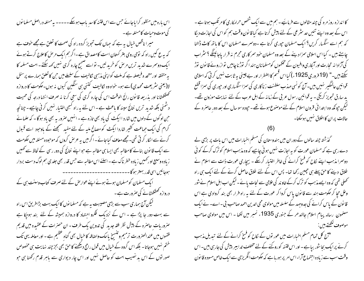اس بارہ میں منظور کرایاجائے جس سے اس فتنہ کاسد باب ہوسکے۔۔۔۔۔ یہ مسئلہ دراصل مسلمانوں کی موت وحیات کامسئلہ ہے۔ میرا ناقص خیال ہہ ہے کہ جہاں تک تجویز کردہ راہ کی صحت کا تعلق ہے مجھے خوف ہے کہ بیرع کیں راہ کہ تومی روی بتر کستان است کامصداق ہے۔اگر ہم ایک مرض کاعلاج کرتے ہوئے ایک دوسمرے شدید تریں مرص کو خرید لیں۔ تواسے صحیح چارہ گری نہیں کہہ سکتے ۔ امت مسلمہ کا بہ متفقہ اور متحد ہ فیصلہ ہے کہ ملت کواپنی مذہبی نکالیف کے سلسلے میں حن کا تعلق ہمارے پرسنل لا( یعنی سثر یعت محمدی) سے ہو۔ حواہ وہ نکالیف کتنی ہی سنگین کیوں نہ ہوں۔حکومت کا دروازہ متحفظحشانا اور پذریعہ قانون رائج الوقت اس کی چارہ گری کی سعی کرنا نہ صرف انتہا درجہ کی حمیت دشمنی بلکہ شدید تریں نتائج سیئہ کا باعث ہے۔اس لئے ہیراہ کسمی اختیار نہیں کرنی چاہیے۔چنانچہ حبن لوگوں کے دلوں میں شارد اایکٹ کی باد بھی تازہ ہے - انہیں صرور ہہ بھی باد ہوگا - کہ علمائے کرام کی ایک حماعت کثیر شاردا ایکٹ کومصالح ملیہ کے لئے مفید سمجھنے کے ماوجود اسے قبول کرنے سے الکار کر ٹی تھی۔مجھے معاف کیاجائے ۔اگرمیں یہ عرص کروں کہ موحبودہ مسئلہ میں حکومت سے ایک قانون بنانے کا مطالبہ بھی ایسا ہی مطالبہ ہے حواپنے نتائج کی دور رسی کے لحاظ سے تھمیں زیادہ وسیع اور کھیں زیادہ خطر ناک ہے ۔اسلئے اس مطالبہ سے جس قدر بھی جلدی ہم لوگ دست بردار ىبوجائىي اسى قدر بهتر ہوگا۔۔۔۔۔۔۔۔۔۔۔۔۔۔۔۔۔۔۔۔۔۔۔

ایک مسلمان کومسلمان ہوتے ہوئے اپنے عوارض کے لئے صرف کتاب وسنت ہی کے دروازہ گھٹکھٹانے کی صرورت ہے۔

گیکن آج ہماری سب سے بڑی مصیبت یہ ہے کہ مسلمانوں کاایک بہت بڑا فریق اس راہ سے بہت دور جا پڑا ہے ۔ اس کے نزدیک فکرو اجتہاد کا دروازہ ہمیشہ کے لئے بند ہوجکا ہے حنروریات حاصرہ کے پیش نظر فقہ جدید کی تدوین یک طرف - ان حصرات کے عقیدہ میں قدیم فقهوں میں عندالصرورت ترمیم وتنسیخ یاحک واصافہ کا خیال بھی گناہ عظیم ہے - اور معاملہ یہی تک ختم نہیں ہوجاتا - بلکہ اس گروہ کے خیال میں قول راحج دیکھنے کا حق بھی بجز چند نہایت ہی مخصوص صور توں کے اس بد نصیب امت کو حاصل نہیں اور اس چار دیواری سے باہر قدم رکھنا ہی حبو

کا اندازہ روز مرہ کی چند مثالوں سے فرمائیے۔ ہم میں سے ایک شخص حرامکاری کا مرتکب ہوتا ہے ۔ اس کے بعد وہ اپنے تئیں حد سٹر عی کے لئے پیش کرتا ہے کیا قانون وقت ہم کواس کی اجازت دیگا کہ ہم اسے سنگسار کریں؟ ایک مسلمان حپوری کرتا ہے ۔دوسرے مسلمان اس کا باتھ کاٹے ڈالنا چاہتے ہیں ۔ کبا اس اسلامی سمزاد پنے کے بعد وہ مسلمان حود سمر کاری مجرم نہ قرار پاجائینگے ؟ سٹراب کی آزادا نہ تحارت اور آبکاری وافیون کے محکموں کومسلمانان ہند اگر توڑنا چاہیں تو ازرونے قا نون توڑ سکتے ہیں۔" (19 فروری 1925ء) کیا اس قسم کا اصطرار اور بے چینی ہہ ثابت نہیں کر ٹی کہ اسلامی قوانین عالمگیر نهیں بیں۔آج کونسی مہذب سلطنت زناکاری کی سمزاسنگساری اور حپوری کی سمزا قطع ید سارق تجویز کریگی - به قوانین رسول عربی کے زمانہ کے اہل عرب کے لئے نہایت موزون تھے-لیکن حیونکہ وہ ابتدا ئی قرون اسلام کے لئے موصوع ہوئے تھے۔حیودہ سوسال کے بعد دورِ حاصرٰ ہ کے حالات پر ان کا اطلاق نهیں ہوسکتا۔

گذشتہ چند سالوں کے دوران میں ہندوستان کی مسلم اخبارات میں اس بات پر بڑی لے دے رہی ہے کہ مسلمان عورت کو یہ اجازت نہیں ہو نی چاہیے کہ وہ مذہب اسلام کو ترک کرکے کو ٹی دوسرا مذہب اپنے نکاح کو فسخ کرانے کی خاطر اختیار کرکے۔ بیچاری عورت ذات سے اسلام نے طلاق دینے کا حق پہلے ہی چیپن رکھا تھا۔ پس اس کے لئے طلاق حاصل کرنے کے لئے ایک ہی راہ تحصلی تھی کہ وہ ایسے مذہب کو ترک کرکے خاوند کی علامی سے نحات پائے ۔لیکن اب اہل اسلام نے نثور وغل مجا کر حکومت ہند سے قانون پاس کرواکر عورت کے لئے بیر راہ فرار بھی بند کروادی ہے اس قانون کے پاس کرانے کی جدوجہد کے سلسلہ میں مولوی محی الدین احمد صاحب بی ۔ اے۔ نے ایک مصنمون ِ رسالہ پبام اسلام جالندھر کے جنوری 1935ء نمبر میں لکھا ۔ اس میں مولوی صاحب موصوف لکھتے ہیں :

"آج کل تمام مسلم اخبارات میں عور توں کے لکاح کو فسخ کرانے کے لئے تبدیل مذہب کرنے پرایک بحاشور بیاہے۔اور اس فتنہ کوروکنے کے لئے مختلف تدابیر پیش کی جارہی ہیں۔اس وقت سب سے زیادہ اجتماع آراء اس امر پر ہورہا ہے کہ حکومت انگریزی سے ایک خاص مسودہ قا نون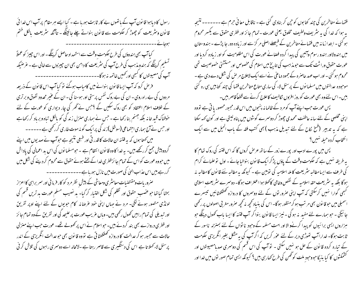رسول کا دیاہوا قانون آپ کے باتھوں بے کار ثابت ہورہا ہے ۔ کیا ایسے ہر مقام پر آپ اس خدا ئی قانون وسٹریعت کو چھوڑ کر حکومت سے قانون بنواتے چلے جائینگے - تاآنکہ سٹریعت پالکل ختم م در است که است که است که است که است که است که است که است که است که است که است که است که است که است که است که<br>مسئل است که است که است که است که است که است که است که است که است که است که است که است که است که است که است که<br>م کیاآپ بھی ہندوؤں کی طرح حکومت وقت سے استمداد حاصل کرینگے۔ اور اس جیمز کو عملاً تسلیم کرینگے کہ ہندومذہب کی طرح آپ کی سٹریعت کا دامن بھی ان چیزوں سے غالی ہے ۔ عرِّ صٰیکہ فر حس کرو کہ آپ ایسا قانون بنوانے میں کامیاب ہوگئے تو کیا آپ اس قانون کے ذریعہ مر دوں کی بے راہ روی ۔ ان کی بے روک نفس پرستی اور ہوسنا کی ۔ ان کے عنیر محدود تفوق و بر تری کے خلاف اسلام اعتقاد کو بھی روک سکیں گے ہجس نے تھر کی چار دیواری کو عورت کے لئے خوفناک قید خانہ بلکہ جہنم بنا رکھا ہے۔ حس نے ہماری منزل زند گی کو بالکل تباہ وبرباد کر رکھاہے اور حس نے آج ہماری اجتماعی (سوشل)زند کی پرایک گو نہ موت طاری کررکھی ہے۔۔۔۔۔۔ میں کھتا ہوں کہ یہ فتنہ ان حالات کا قدر تی اور طبعی نتیجہ ہے حواسب نے صدیوں میں اپنے گردو پیش جمع کر رکھے ہیں۔ یہ خدا کا وہ قانون انتقام ہے ۔حومسلمانوں کی اس بد اعمالی کی یاداش میں حبووہ عورت کواس کے تمام جائز فطری خدا کے بیٹنے ہوئے حقوق سے محروم کر دینے کی شکل میں کررہے بیں اس عذاب ال<sub>ح</sub>لٰ کی صورت میں نازل ہورہا ہے۔۔۔۔۔۔۔۔۔۔۔۔۔۔ صرور پات ومقتضیات معائشری ومعاشی کے پیش نظر مرد کو کار فرمائی اور سمر براہی کا اعزاز بحثا گبانخا حو عضب حقوق اور تظلم کی شکل اختبار کرگبا- بد نصیب مسلم عورت بد تریں قسم کی لونڈی متصور ہونے لگی۔ مرد نے جہاں اپنی حود عرصانہ کام حویوں کے لئے اپنے اوپر تفریق اور تبدیلی کی تمام راہیں کھول رکھی بیں۔وہاں غریب عورت پر علیحد گی اور تفریق کے وہ تمام جائز اور فطری دروازے بھی بند کردئے ہیں۔ حبواسلام نے اس پر کھولے تھے۔ عورت حب اپنے منزلی حالات سے مجبور ہو کر عدالت کا دروازہ کھٹکھٹا تی ہے تو وہ قانون بھی حو عدالت انگریزی کے اندر پرسنل لاء تحیلا تا ہے اس کی دستگیر ی سے قاصر رہتا ہے ۔لامحالہ اسے دوسمری راہوں کی تلاش کر نی

فقہائے متاخرین کی چند کتابوں کو حین کر بنادی گئی ہے۔ ناقابل معانی حرم ہے۔۔۔۔۔۔۔ نتیجہ بہ ہوا کہ خدا کی بہ سثر بیٹ ولطبیف مخلوق یعنی عورت ۔تمام جائز اور فطری حقوق سے یکسر محروم ہو گئی ۔ ابتدا زمانہ میں فقہائے متاخرین کے فیصلے اصلی مر کز سے اور زیادہ دور جا پڑے ۔ ہندوستان میں ہندولااور ہندو رسوم وآتین کی پیدا کردہ فصانے عورت کی اس مظلومیت کو اور زیادہ کردیا اور عورت حقوق ورا ثت تک سے حبومذاہب کی تاریخ میں اسلام کی مخصوص اور مستشنیٰ حصوصیت تھی محروم ہو گئی ۔اور اب عہد حاصر ہ کے جمود دماعی نے اسے ایک لاعلاج مر ص کی شکل دے دی ہے ۔ موحبودہ عدالتوں میں مسلما نوں کے پرسنل لاء کی ساری متاع متاخرین فقہا کی چند کتابیں ہی رہ گئی بیں۔اس لئےوہ بھی عورت کوروز افروں نکالیف کاعلاج کرنے سے قطعاً قاصر بیں۔ پس عورت حب اپنے آپ کو مر د کے ظالما نہ بنیجوں میں اس قدر مجبور محصور یا تی ہے تووہ اپنی مخلصی کے لئے سائہ عاطفت محمدی چھوڑ کر دوسرے گوشوں میں پناہ لیتی ہے اور کون کہہ سکتا ہے کہ یہ تدبیر (فسخ لکاح کے لئے تبدیل مذہب ) بھی کتب فقہ کے باب الحیل میں سے ایک انشخاب کرده حسله نهبس ؟ پس میں پورے ادب اور پورے زور کے ساتھ عرص کروں گا کہ اس فتنہ کی روک تعام کا یہ طریقہ نہیں ہے کہ حکومت وقت کے پاؤں پڑ کر ایک قانون بنوالیا جائے - اول تو علمائے کرام کی طرف سے ایسامطالبہ سٹریعت کا ملہ اسلامیہ کی توہین ہے ۔ کیونکہ یہ مطالبہ نئے قانون کامطالبہ نہ ہو گا بلکہ یہ سٹریعت حقہ اسلامیہ کے نقص وخامی کاکھلاہوا اعتراف ہو گا۔ دوسمرے سٹریعت اسلامی

گہجی گوارا نہیں کرسکتی کہ آپ اپنی صرور توں کے لئے دوسروں کا دروازہ تھٹکھٹائیں تیسرے اسمبلی میں حوقا نون بھی مرتب ہو کر منظور ہو گا۔ اس کی بنیاد تحیھ نہ تحیھ صرور مغربی اصولوں پر رکھی جائیگی - حوہمارے لئے مفید یہ ہوگی - نیز ایسا قانون بنواکر آپ فتنہ کا ایسا باب کھول دینگے حو ہزاروں ایسی برائیوں کو پیدا کرنےو الااور امت مسلمہ کے وحبود نا تواں کے لئے بمنزلہ ناسور کے ثابت ہوگا۔ غداراآپ تھوڑی دیر کے لئے عور کریں کہ اگر آپ کی یہ مشکل بغیر انگریزی حکومت کے تیارہ کردہ قانون کے حل ہو نہیں سکتی ۔ تو آپ کی اس قسم کی دوسمری صدیامصیبتوں اور گشمکشوں کا کیا بنیگاحو**وحود ملت کو گھن کی طرح <sub>کھا</sub>ر <sub>ب</sub>ی بی**ں ؟ کیونکہ ایسی تمام صور نوں میں خدا اور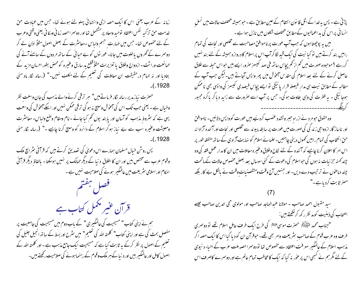زمانہ کے عرب یعنی اس کا ایک حصہ ازلی وانتہائی پہلو لئے ہوئے تھا۔ حس میں عبادت حق خدمت حق تزكيه لفس اعتقاد توحيد ومعادير مشتمل تعااور دوسراحصه زما في ومكاني يعني وقتي وعرب کے لئے مخصوص تعا۔ حس میں طہارت حجسم ولیاس ۔معائشرت کے بعض اصول مثلاً اذن لے کر دوسرے کے گھروں یا خلوت میں جانا۔ عور نوں کو بے حیائی کے ساتھ مردوں کے سامنے آنے کی ممانعت وراثت-ازدواج وطلاق با تعزیرات مثلاً قطع بد سارق وعنیره کومحض بطور احسان مزید کے بتادیا اور نہ الہام در حقیقت ان معاملات کی تعلیم کے لئے مکلف نہیں۔" (رسالہ نگار ماہ مئی  $-(.1928)$ 

حصرت نیاز مدیر رسالہ نگار فرماتے ہیں" ہر ترقی کرنے والے مذہب کی جان وسعت نظر وخیال ہے۔ یعنی حب تک اس کی آعوش وسیتے نہ ہوگی ترقی ممکن نہیں اور اسکے آعوش کی وسعت یہی ہے کہ سثروط مذہب کو آسان اور پابند یوں تھم کیا جائے - نام وہقام وصنع ولیاس- معاسثرت ومعیشت وعنیرہ سب سے بے نباز ہوکر اسلام کے دائرہ کو وسیع کرنا چاہیے ۔" (رسالہ نگار مئی  $-(.1928)$ 

پس روش خیال مسلمان ہمارے اس دعویٰ کی نصدیق کرتے ہیں کہ قرآنی سٹرایع ملک وقوم عرب سے مختص بیں اور ان کا اطلاق د نیا کے دیگر ممالک پر نہیں ہوسکتا - بالفاظ دیگر قرآنی احکام اور اسلامی سثر یعت میں عالمگیر ہونے کی صلاحیت نہیں ہے ۔ قرآن عنبر مکمل کتاب ہے

ہم نےاپنی کتاب" مسیحیت کی عالمگیری" کے باب دوم میں مسیحیت کی جامعیت پر مفصل بحث کی ہے اور اپنی کتاب" کلمتہ اللہ کی تعلیم" میں سٹرح اور بسط کے ساتھ انجیل جلیل کی تعلیم کے اصول پر نظر کرکے یہ ثابت کیا ہے کہ مسیحیت ایک جامع مذہب ہے ۔ اور کلمتہ اللہ کے اصول کامل اور عالمگیر بیں اور د نیا کے ہر ملک وقوم کے رہنما ہونے کی صلاحیت رکھتے ہیں۔

پڑتی ہے ۔ پس بیرضدا کے اٹل قا نون انتقام کے عین مطابق ہے ۔ حبو ہمیشہ مختلف حالات میں نسل انسا فی پراس کی بداعمالیوں کےمطابق مختلف شکلوں میں نازل ہواہے۔ میں یہ پوچھتا ہوں کہ حب آپ عورت پر ناموافق مصاحبت سے مخلصی اور نحات کی تمام راہیں بند کرتے ہیں تو کیا نیت کی ایک قید لگا کرآپ اس پر اسلام کا دروازہ ہمیشہ کے لئے بند نہیں کررہے ؟موحبودہ صورت میں تھم از تھم بچاس ساٹھ فی صد کیسنر صرور ایسے ہیں حبواس حیلہ سے طلاق حاصل کرنے کے لئے بعد اسلام کی مقدس آعوش میں پھر واپس آجاتے ہیں۔لیکن جب آپ کے مطالبہ کے مطابق نیت ہی مدار فیصلہ قرار یا ئیگی تو ایسے پچاس فیصدی کیسز کی واپسی بھی ناممکن ہوجا ئیگی - بہ فطرت کی وہی بغاوت ہوگی۔ حس پر آپ اسے صرورت سے زاید دیا کر یا کرہ مجبور

وہ حقوق حومر د نے ازراہ حبیر و تشدد عضب کردئیے ہیں عورت کووا پس دلائیں۔ ناموافق اور ناساز گار ازدواجی زند کی کی صورت میں عورت پر سابقہ پیوند سے مخلصی اور نحات اور آئندہ آزادا نہ حن انتخاب کی تمام راہیں تھول دینی چاہئیں۔علمائے اسلام کو نہایت آزادی کے ساتھ متفقہ طور پر اس امر کا اعلان کرنا چاہیے کہ آئندہ کے لئے لکاح وطلاق وعنیرہ معاملات میں ان کا مدار عمل فقہ کی وہ چند کھنہ حرز ئیات نہ ہوں کی حبواسلام کی دعوت کے کئی سوسال بعد بعض مخصوص حالات کے ماتحت چند دماعوں نے ترتیب دے دیں۔ اور جنہیں آج وقت ومتقصنیات وقت نے بالکل بے کار بلکہ مصر ثابت کردیاہے۔"

سید مقبول احمد صاحب - مولانا عبدالماجد صاحب اور مولوی محی الدین صاحب جیسے اصحاب کی ذہنیت کومد نظر رکھ کر لکھتے ہیں : "جناب محمد للتَّأيِّنَةُ صحفرت موسى علِيَّتَاتٍ كي طرح ايك طرف حامل اسلام تحصر للصَّوروسري طرف وہ عرب قوم کے صاحب سٹریعت وامر بھی تھے۔ حوفر آن ان کو دیا گیا اس کا ایک حصہ اگر مذہب اسلام کے عالمگیر معرفت اعتقاد سے مخصوص تھا تو دوسر احصہ ملت عرب کے احیاء د نیوی کے لئے مگر ہم نے کسجی اس پر عوٰر یہ کیا کہ ایک کامخاطب تمام عالم ہے اور دوسمرے کاصرف اس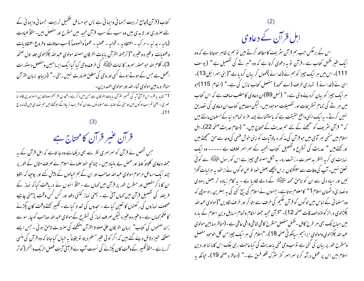کتاب (قرآن)جامع تربیت حسمانی وایمانی ہے پس حومسائل تکمیل تربیت حسمانی وایمانی کے یئے صروری اور لا بدی بیں وہ سب کے سب قرآن مجید میں مشرح اور مفصل ہیں۔ مثلاً عبادت (ماليه - بد نبه - مر كبه - اعتقاديه - قوليه - عمليه - عموماً وخصوصاً )سب معاملات وفروع اعتقاديات وعمليات وعنيره وعنيره "( ترجمته القرآن بإبات الفرقان مصنفه مولوي عبدالله جكرًالوي جلد اول صفحه 3)۔ کلام اللہ حبوحصنور سمرور کا ئنات ملٹی لیکٹر کی طرف وحی کیا گیا ایک ایسا مبین ومفصل دستورات العمل ہے حس کے ہوتے ہوئے کسی اور وحی کی مطلق صرورت نہیں رہتی ۔" (دیباجہ بربان القرآن مناظره ما بين مولوي ثناء الله اور مولوي احمد دين-

<sup>\*</sup> شايد به فقره اس قرآنی آيه کی تفسير القرآن بايات الفرقان ہے جس ميں ذکر ہے -لتحد ن اقر بھم مودة للذين امنوالدين قالوانا نصریٰ۔ یعنی تم سب لوگوں میں دوستی کے اعتبار سے مسلمانوں سے ان کو قریب تر پاؤ گے حوکھتے ہیں ہم نصار <sub>ک</sub>ی ہیں (مائدہ ع

قرآن عنیر قرآن کامحتاج ہے

جس شخص نے قرآن کو سمر سمری نظر سے بھی دیکھاہے وہ جا نتاہے کہ اہل قرآن کے بہ حملہ دعاوی کلیتہً علط اور محص بے بنیاد بیں ۔ چنانچہ حود علمائے اسلام نے صرف مثال کے طور پر چند ایک مسائل مرحوم مولوی عبداللہ صاحب اور ان کے ہم خیالوں کے پیش کئے اور پوجیا کہ بتلاؤ ان کا ذکر مفصل اور مشرح طور پر قرآن میں کھاں ہے ۔مثلاً انہو ں نے دریافت کیا کہ نماز کے فریصنہ کی تفصیل قرآن میں <sub>کھی</sub>اں آئی ہے ۔ یعنی نماز کتنی دفعہ اور کس کس وقت پڑھنی جاہیے مختلف نمازوں کی رکعتوں کا تعین کیاہے۔سجدوں کی تعداد کیاہے۔ تکبیر کھتے وقت کان پکڑنے کا حکم کہاں ہے ۔ وعنیرہ وعنیرہ لیکن صرف نماز کی تشریح کے مولوی عمداللہ صاحب کو چار سو سے زائد صفحوں کی کتاب" بربان الفرقان علیٰ صلواۃ القرآن "کھنے کی صرورت لاحق ہو ئی ۔ حس ایسے مضحکہ خیز دلائل دیئے گئے بیں کہ اگر کوئی عنیر مسلم دیتا تو یقیناً بہ خیال کیاجاتا کہ وہ قرآن کی ہنسی کررہا ہے ۔مثلاً تکبیر کے وقت کان پکڑنے کی نسبت آپ نے قرآنی آیت فصل الریک والنحر (کو ژ

 $(2)$ ابل قرآن کے دعاوی اس کے برعکس حب ہم قرآن سٹریف کامطالعہ کرتے ہیں تو ہم پر ظاہر ہوجاتا ہے کہ وہ ایک عنیر مکمل ک<sub>تا</sub>ب ہے ۔قرآن تو یہ دعویٰ کرتا ہے کہ وہ "ہر نتے کی <sup>لفص</sup>یل ہے " (یوسف 111)۔اس میں ہر ایک چیز کو ہم نے (خدانے )تھول کر بیان کردیاہے "(بنی اسرائیل 13)۔ اسی نے (غدا نے ) تہاری طرف (اے محمد) مفصل کتاب نازل کی ہے۔" (انعام 115)حبو ہرایک چیز کو بیان کردینے والی ہے۔" (نمل 89)ان دعاوی کامطلب صاف ہے کہ اس کتاب میں ہر نئے کی تمام تسٹریحات اور تفصیلات موحبود ہیں۔لیکن مضامین کتاب ان دعاوی کی نصدیق نہیں کرتے۔ یہ ایک ایسی واضح حقیقت ہے کہ باستشنائے چند افراد تمام دینا کے مسلمان مانتے ہیں کہ" قرآن سٹریف کو سمجھنے کے لئے ہم حدیث کے محتاج بیں۔" (مقام حدیث صفحہ 22)۔اہل اسلام میں مٹھی بھر آدمی بیں حوقرآن کی مذکورہ بالاآیات کواپنی حوش فہمی کی وجہ سے حق سمجھتے ہیں اور کھتے ہیں " حدیث کی تشریح و تفصیل کھاب المجید کے سمراسمر خلاف ہے ۔۔۔۔۔ وہ ایک نہایت ہی کر یہ النظر بد صورت -زشت رو- بدشکل مصنوعی جییز ہے اس کو رسول ملتی ایم سے کوئی تعلق نہیں۔آپ کی وفات سے سینکڑوں برس پیچھے بعض حود عرص لو گوں نے از حودیہ ہزلیات گھڑ لیں اور سیاہ دلی سے ان کو ناحق محمد متٰحیَّلِیٓآہم کے ذمے لگادیا ہے ۔ بہ کام زیادہ تر بعض یہودی و نصاریٰ دشمنان اسلام 1 \* کامعلوم ہوتاہے۔ جنہوں نے اسلام کی بیخ کنی کی یہ بہترین راہ سوچی کہ وہ مسلما ٹی کے لباس میں لوگوں کو قرآن حکیم کی طرف سے ہٹا کر اور طرف لگادیں"(مولوی عبداللہ چکڑالوی درالز کواۃ والصدقات صفحہ 12)۔ "قرآن مجید حملہ احکام وتمام مسایل دین اسلام کے بارہ میں مباح تک بھی ہر طرح کامل ۔ پخمل مفصل مشرح کافی شافی وافی عافی ہے۔(مناظرہ مابین مولوی عبداللہ چکڑالوی ومولوی ابراہیم سیالکو ٹی صفحہ 18)۔ "اسلام کی ہر ایک چیز من کل الوحود مفصل ومشرح طور پر بیان کی گئی ہے نواب وحی خفی یاحدیث کی کیاجاجت رہی بلک اس کاما ننااور دین اسلام میں اس پر عمل درآمد کرنا سراسر کفر سٹرک ظلم فسق ہے ۔" (مناظرہ صفحہ 19)۔ حیونکہ یہ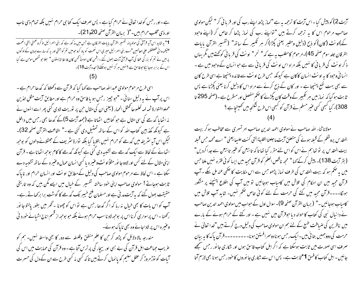ہے۔اور رحس کوخدا تعالیٰ نے حرام کیا ہے - پس صرف ایک کتا ہی حرام نہیں بلکہ تمام ذی ناب اور ذي مخلب حرام ہيں۔"( بربان القرآن صفحہ 20و21)۔

1\* میہ شاید اس آیہ قرآنی کی مولویانہ تفسیر القرآن بابات الفرقان ہے جس میں مذکور ہے کہ بنی اسرائیل اذ کرو نعمتی التی انعمت علیممہ وانی فضلعکمہ علی العالمین"اے بنی اسرائیل میری اس نعمت کو باد کروجومیں تم کو بخشی اور یہ کہ سارے حہان کے لوگوں پر میں نے تم کو بزر گی عطا کی آپ قرآنی آیت بھول گئے ۔افممن کان مومناً کممن کان فاسقا لایستون " بعلا حبو شخص مومن ہے کیا اس کے برابر ہوجائیگاجوفاس ہے ؟ نہیں ہر گز نہیں ہوسکتے (سحدہ آیت 18)۔

اسی طرح مرحوم مولوی عبداللہ صاحب سے کہا گیا کہ قرآن سے دکھلاؤ کہ گدھاحرام ہے ۔ اس پر آپ نے ہہ دلیل سنا ئی ۔ "حبو چییز رحس ہو یا فاسق وہ حرام ہے اور مطابق آیت مثل الذین حملواالنوارة ثمہ لمہ لحلموھا مَمْثل الحمار ( یعنی ان کی مثال حبن پر توریت لادی گئی پھر اسے انہوں نے نہ اٹھایا گدھے کی سی مثال ہے جو کتابیں اٹھاتا ہے (جمعہ آیت 5)کے گدھا بھی رحس میں داخل ہے کیونکہ مکذبین کتاب اللہ کو اس کے ساتھ تمثیل دی گئی ہے ۔" اشاعت القرآن صفحہ 32)۔ لیکن اس آپہ سٹریفہ میں گدھے کو حرام نہیں بتلایا گیا بلکہ توارۃ سٹریف کے جھٹلانےوالوں کو بوجھہ اٹھانے کے لحاظ سے ایک گدھے سے تشبیہ دی گئی ہے کیونکہ گدھے کا کام بوجھ اٹھانا ہے ۔ قرآن اپنی مثال کے لئے کس اور لادوجا نور مثلاً او نٹ وعنیر ہ یا کسی انسان حمال وعنیر ہ کے ساتھ تشبیہ دے سکتا ہے ۔ اس لحاظ سے مرحوم مولوی صاحب کی دلیل کے مطابق او نٹ اور انسان حرام اور ناپاک ثابت ہوجاتے! مولوی صاحب اپنی حود ساختہ تفسیر کے خیال میں ایسے مگن بیں کہ وہ تاریخی حقیقت بھول گئے کہ بہ آیت مد فی ہے اور مسلمان فتیح خیبر تک گدھے کا گوشت برابر کھاتے رہے۔ آپ کو اس بات کا بھی خیال نہ رہا کہ اگر گدھارجس ہے نو اس کو چھونا ۔گھر میں بطور پالتو جا نور رکھنا ۔اس پرسواری کرنا اس پر بوحصےلاد ناسب حرام ہوئے بلکہ حو بوحصے از قسم اناج اشیائے خورد فی وغیرہ اس پر لاداجائے وہ بھی ناپاک ہوئے۔

مندرجہ بالا دلائل کو پڑھ کر حن کا علم منطق وفلسفہ سے دور کا بھی واسطہ نہیں۔ ہم کو عریب حماعت اہل قرآن کی بے بسی اور بیچار گی پر ترین آتا ہے - وہ قرآن کی حمایت میں اس کی آبات کو توڑ مروڑ کر عقل سلیم کو پائمال کرتے ہیں تاکہ کسی نہ کسی طرح سے ان کے دل کی حسرت آیت 2) کو پیش کیا۔اس آیت کا ترحمہ یہ ہے "نماز پڑھ اپنے رب کی اور قربانی کر" لیکن مولوی صاحب مرحوم اس کا یہ ترجمہ کرتے ہیں "تواپنے رب کی نماز پڑھا کر خاص کر (اپنے وجود کے)اونٹ (کان) کو ذبح (ذلیل وحقیر یعنی پکڑا) کر ہر تکبیر کے ساتھ" (تفسیر القرآن پایات الفرقان جلد سوم صفحہ 45)۔مرحوم کامطلب بہ ہے کہ " نحر " او نٹ کی قربانی کو تھتے ہیں مگر یہاں ذکر اونٹ کی قربا ٹی کا نہیں بلکہ مراد اس اونٹ کی قربا ٹی سے ہے حبوانسان کے وحبود میں ہے ۔ انسا فی وجود کا بہ اونٹ انسان کاکان ہے کیونکہ جس طرح اونٹ سے فائدہ پہنچتا ہے اسی طرح کان سے بھی بہت نفع پہنچتا ہے - اور کان کے ذبح کرنے سے مراد اس کا ذلیل کرنا یعنی پکڑنا ہے پس ثابت ہوگیا کہ نماز میں ہر تکبیر کے وقت کان پکڑنے کا حکم مفصل اور مشرح ہے ۔(صفحہ 295 تا 308)، کیا کسجی کسی عنبر مسلم نے قرآن کو کسجی اس طرح شکنجہ میں تھینیچاہے ؟

مولانا ثناء الله صاحب نے مولوی احمد الدین صاحب امر تسری سے مخاطب ہو کر بیت المقدس يروشكم كے قىبلہ ہونے كى متعلق آيت ماجلعنا القلبة التى كنت عليھا يعنى" اے محمد حس قىبلہ ببیت المقدس پر نو تھا ہم نے اس کو اس لئے مقرر کیا تھا تا کہ تا بیعن کو عنیر تا بیعن سے جدا کردیں" (بقرآيت 138)۔ پيش كركے <sub>ك</sub>ھا" مجھ ناقص العلم كو قرآن مجيد ميں ايسا كوئى فقرہ نهيں ملتا حس میں یہ صحم ہو کہ بیت المقدس کی طرف نماز پڑھو جس سے اس حکایت کا صحمی عنہ مل سکے ۔ آپ قرآن مجید میں ان احکام کی تلاش میں کامیاب ہوجائیں تو میں آپ کی اطلاع پہنچنے پر مشکور ہولگا۔۔۔۔قرآن مجید میں کتے کی حرمت کے لئے کوئی خاص حکم نہیں۔ شاید آپ تلاش میں کامیاب ہوجائیں ۔" ( بربان القرآن صفحہ 9)۔ سوال اول کے حبواب میں مولوی احمد الدین صاحب نے دانیال نبی کی کتاب کا حوالہ دیا حوقرآن میں نہیں ہے - اور کتے کے حرام ہونے کے بارے میں ناظرین کی صیافت طبع کے لئے ہم ان مولوی صاحب کی دلیل درج کرتے ہیں "خدا تعالیٰ نے حرمت کی دووجہیں بتا ئی بیں۔ایک رجس ہونا دوسرافستن ہونا۔۔۔۔۔۔۔۔۔قرآن پاک کا یہ بیان صرف اسی صورت میں ثابت ہوسکتا ہے کہ اگر اہل کتاب فاسق ہوں اور شکاری جانور رجس سمجھے جائیں ۔اہل کتاب کافس 1 \*نابت ہے۔ پس اس سے شکاری جانوروں کا خود رحس ہونا بھی لازم آتا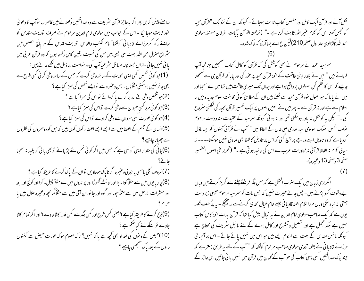سامنے پیش کریں پھر اگر بہ عاجز قرآن سٹریف سےوہ صداقتیں دکھلانے میں قاصر رہا توآپ کا دعویٰ خود ثابت ہوجا ئیگا - اس کے حواب میں مولوی امام الدین مرحوم نے صرف نوریت مقدس کو سامنے رکھ کر مرزائے قادیا نی کولکھا"امام الکتب والناس توریت مقد س کے ہر پانچ حصص میں سٹرائع منزل من اللہ بہت سی ایسی ہیں حن کی نسبت یقین کامل رکھتا ہوں کہ وہ قرآن عربی میں یا ئی نہیں جا تی۔ازاں حملہ چند مسائل سٹرعبہ آپ کی درخواست پر ذیل میں لکھے جاتے ہیں : (1)جو کوئی شخص کسی ایسی عورت کے ساتھ وطی کرے کہ جس کے ساتھ وطی کر ٹی کسی طرح سے بھی جائز نہیں ہوسکتی مثلاً ماں۔ بہن وعنیرہ سے توایسے شخص کی سمزا کیا ہے ؟ (2) حبوشخص وطی فے الد بر کرے یا کروائے نواس کی سمزا کیاہے ؟ (3) حو کوئی مرد کسی حیوان سے وطی کرے تواس کی سمزا کیا ہے ؟ (4)حو کوئی عورت کسی حیوان سےوطی کراوے نواس کی سمزا کیا ہے ؟ (5)انسان کے جسم کے اعضامیں سے ایسے ایسے اعضاء کون کون بیں کہ حبن کو دوسمروں کی نظروں سے چھیاناچاہیے ؟ (6) پانی کی مقدار ایسی کونسی ہے کہ جس میں اگر کوئی نجس شے پڑ جائے تو بھی پانی کو پلید نہ سمج<u>ا</u> حائے؟ (7)ظروف گلی یامسی یا جو بی وعنیر ہ اگر ناپاک ہوجاویں نوان کے پاک کرنے کاطریقہ کیاہے ؟ (8)چار یا یوں میں سے مثلاً کتا - بلا اور او نٹ ٹھوڑا اور پر ندوں میں سے مثلاً حییل۔ کوا اور کونج اور بط اور حسٹر ات الار حن میں سے مثلاً جوہا اور گوہ اور جا نوران آبی میں سے مثلاً کمر مجھ وعنیرہ حلال بیں یا حرام ؟ (9)ذبح کرنے کا طریقہ کیا ہے ؟ یعنی کس طرح اور کس جگہ سے کس قدر کاٹا جاوے؟ اور اگر تمام کاٹا جاوے تواسکے لئے کیا حکم ہے ؟ (10)حیض کے دیوں کی تعداد بھی کحچیہ ہے پاکہ نہیں؟ تاکہ معلوم ہوکہ عورت حیض سے کتنوں د نوں کے بعد پاک سمجھنی چاہیے ؟

نکل آئے اور قرآن ایک کامل اور مفصل کتاب ثابت ہوجائے ۔ کیونکہ ان کے نزدیک "قرآن مجید کو مجمل کھنا اس کو کلام عنیر اللہ ثابت کرنا ہے ۔" (ترجمتہ القرآن بآیات الفرقان مصنفہ مولوی عبداللہ جکڑالوی جلد اول صفحہ 210)لیکن ع اسے بساآرزو کہ خاک شدہ۔

سمرسید احمد نے مرحوم نے بھی کوشش کی کہ قرآن کو کامل کتاب سمجعیں چنانچہ آپ فرماتے ہیں " میں نے بقدر اپنی طاقت کے خود قرآن مجید پر عور کی اور چایا کہ قرآن ہی سے سمجھنا چاہیے کہ اس کا نظم کن اصولوں پر واقع ہوا ہے اور جہاں تک میری طاقت میں تعامیں نے سمجعا اور میں نے پایا کہ حواصول خود قرآن مجید سے نکلتے ہیں ان کے مطابق کو ئی مخالفت علوم جدیدہ میں نہ اسلام سے ہے اور نہ قرآن سے ۔ پھر میں نے انہیں اصول پر ایک تفسیر قرآن مجید کی لکھنی سٹروع کی ۔" لیکن ہہ کوشش نہ یاور ہوسکتی تھی اور نہ ہوئی کیونکہ سمرسید کے عقیدت منددوست مرحوم نواب الحسن الملک مولوی سید مہدی علی خال کے الفاظ میں " کہ نے قرآنی کیتوں کو ایسا ماؤل کردیا ہے کہ وہ تاویل ایسے درجے پر پہنچ کئی کہ اس پر تاویل کا لفظ بھی صادق <sup>منہی</sup>ں ہوسکتا۔۔۔۔ نہ سباق کلام نہ الفاظ قرآنی نہ محاورات عرب سے اس کی تائید ہوتی ہے ۔" (تحریر فی اصول التفسیر صفحہ 3وصفحہ13وعنیرہ)۔

انگریزی زبان میں ایک صرب المثل ہے کہ حس جگہ فرشنے چلنے سے گریز کرتے ہیں وہاں بے وقوف کودیڑتے ہیں۔ پس جائے حیرت نہیں کہ جس بات کو سمرسید مرحوم جیسی زبردست <sup>مب</sup>ستی نہ نیاہ سکی وہاں مرزا علام احمد قادیا فی جیسے *خ*ام خیال تحدی کرنےسے نہ جیجکے۔ یہ پڑلطف قصہ یوں ہے کہ ایک صاحب مولوی امام الدین نے بہ خیال پیش کیا تھا کہ قرآن بذات خود کامل کتاب نہیں ہے بلکہ مجمل ہے اور تفصیل وتسریح اور کامل ہونے کے لئے بائبل سٹریف کی محتاج ہے کیونکہ بائبل مقدس کے بہت سے احکام ایسے ہیں حواس میں نہیں پائے جاتے - اس پر آنجہا نی مرزائے قادیا ٹی نے بطور تحدی مولوی صاحب مرحوم کولکھا کہ " آپ کے لئے بہ طریق بہتر ہے کہ چند پاک صداقتیں کسی پہلی کھاب کی حواسب کے ٹھمان میں قرآن میں نہیں یا ئی جانتیں اس عاجز کے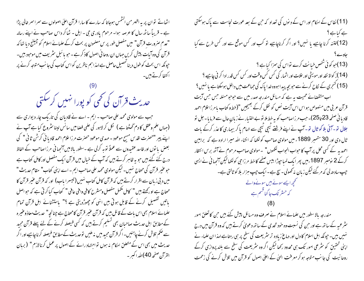اٹھاتے توان پر یہ اظہر من اکشمس ہوجاتا کہ سارے کا سارا قرآن اعلیٰ اصولوں سے سمرا سمر خالی پڑا ہے۔ قریباً ساتھ سال کا عرصہ ہوا۔ مرحوم یادری جی - ایل ۔ ٹھاکر داس صاحب نے اپنے رسالہ "عدم صرورت قرآن" میں مفصل طور پر س مصنمون پر بحث کرکے علمائے اسلام کو چیلنج دیا تھا کہ قرآن کی وہ آبات پیش کریں جہاں ان روحا نی اصول کاذ کر ہے ۔حو یا سَبل سٹریف میں موحود بیں۔ حپونکہ اس بحث کوطول دینا تحصیل حاصل ہے لہذا ہم ناظرین کواس کتاب کی جانب متوجہ کرنے پر اکتفا کرتے ہیں۔

حدیث قرآن کی کمی کو پورا نہیں کرسکتی

جب سے مولوی محمد علی صاحب - ایم - اے نے قادیان کی تاریک چار دیواری سے (جہاں علم وعقل کا دم گھٹتا ہے ) نکل کر لاہور کی علمی فصا میں سانس لینا سثروع کیا ہے آپ نے اپنے پیر "حصرت اقدس مسیح موعود - مهدی موعود حصرت مرزا علام احمد قادیا فی کرشن ثا فی " کی بعض با نوں اور فاسد عقیدوں سے عملاً تو ہہ کرلی ہے ۔سطور بالا میں آنجہا نی مرزا صاحب کے الفاظ درج کئے گئے بیں حویہ ظاہر کرتے ہیں کہ آپ کے خیال میں قرآن ایک مفصل اور کامل کتاب ہے حو عنبر قرآن کی محتاج نہیں۔ لیکن مولوی محمد علی صاحب ایم ۔ اے اپنی کتاب" مقام حدیث" میں دبی زبان سے اقرار کرتے ہیں کہ قرآن کامل کتاب نہیں (تیسرا باب) اور کہ قرآن عنیر قرآن کا محتاج ہے اور کھتے ہیں " کامل مکمل مفصل ومشرح کافی وافی عافی " کتاب کیا کرتی ہے کہ حواصل باتیں تفصیل کرنے کے قابل ہوتی ہیں اننی کو چھوڑدیتی ہے ؟" باستشنائے اہل قرآن تمام علمائے اسلام بھی اس بات کے قائل بیں کہ قرآن عنیر قرآن کامحتاج ہے چنانچہ" حدیث معاذ وعنیر ہ کے مطابق اہل حدیث صاحبان بھی تسلیم کرتے ہیں کہ کسی فیصلہ کرنے کے لئے پہلے قرآن مجید سے ضکم تلاش کرنے چاہئیں۔اگر قرآن مجید میں نہ ملیں نوحدیث کے مطابق فیصلہ کرنا چاہیے اور اگر حدیث میں بھی اس کے متعلق احکام نہ ہوں تو اجتہاد رائے کے اصول پر عمل کرنالازم " ( بربان القرآن صفحه 40)الله اكبر - (11) نفاس کے احکام اور اس کے د نوں کی تعداد کہ حن کے بعد عورت نجاست سے پاک ہوسکتی ہے کیا ہے ؟ ۔<br>(12)فننہ کرنا چاہیے یا تہیں؟ اور اگر کرناچاہیے تو کب اور کس موقع سے اور کس طرح سے کیا حاوے؟ (13)جو کوئی شخص خیانت کرے تواس کی سزا کیاہے ؟ (14) ز کواۃ نقد اور مویشی اور علات اور اثمار کی <sup>کس</sup> کس وقت اور کس کس قدر ادا کر نی چاہیے ؟ (15) کنجری کے <sub>لکا</sub>ح کرنے سے حبو بچہ پیدا ہووہ خدا پاک کی حماعت میں داخل ہوسکتا ہے یا نہیں ؟ اب متقضائے حمیت بہ ہے کہ مسائل مندرجہ صدر میں سے حوحو مسئلہ جس جس آیت قرآن عربی میں منصوص ہو اس اس آیت نص کو نقل کرکے بھیجیں "(خط و کتاب با مرزا غلام احمد قادیا فی صفحہ 23 تا25)۔ حب مرزاصاحب کو یہ خط ملا تو بے اختیار نے زبان حال سے فرمایا۔ جل تو جلال تو-آئی بلا کو ٹال تو-آپ نے اپنے فرشنے ٹیچی ٹیچی سے الہام پا کر بیماری کا عذر کرکے بات ٹال دی اور 30 ستمبر 1889ء میں مولوی صاحب کو لکھا کہ انشاء اللہ میرا ارادہ ہے کہ براہین احمد یہ کے کسی محل پر آپ کا حواب الحواب لکھوں" ۔مولوی صاحب مرحوم نے آٹھ برس انتظار کرکے 2 نومبر 1897ءمیں پھر ایک لمباحپوڑا بیس صفحے کا خط مرزاحی کولکھالیکن آنجہا فی نے ایسی حب سادھ لی کہ مر گئے لیکن زبان نہ کھولی - سچ ہے - ایک حب سزار بلا کو ٹالتی ہے-کحچھ ایسے سوئے ہیں سونے والے کہ حسٹر تک جا گنافسم ہے

مندرجہ بالا سطور میں علمائے اسلام نے صرف وہ مسائل پیش کئے بیں حن کا تعلق امور سٹر عبہ کے ساتھ ہے اور حبن کی نسبت وہ حنود تھدی کے ساتھ دعویٰ کرتے ہیں کہ وہ قرآن میں درج نہیں بیں۔ حیونکہ اہل اسلام کا دل اور دماغ زیادہ تر سثر یعت کی سطح پر ہی رہتاہے لہذا ان علماء نے اپنی تحقیق کو سٹرعی امور تک ہی محدود رکھالیکن اگر وہ سٹریعت کی سطح سے بلند پروازی کرکے روحا نبیت کی جا نب متوجہ ہو کر معرفت الہیٰ کے اعلیٰ اصول کو قرآن میں تلاش کرنے کی زحمت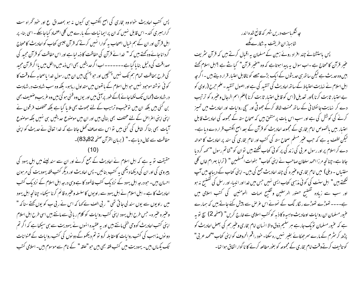پس کتب احادیث حواه وه بخاری کی اصح الکتب ہی کیوں نہ ہو بمصداق ع اور حود گھراہ ست کرارہسری کند۔ اس قابل نہیں کہ ان پر ایما نیات کے بارے میں کلی اعتماد کیاجاسکے۔اسی بناء پر اہل قرآن اور ان کے ہم خیال اصحاب بیہ گوارا نہیں کرتے کہ قرآن جیسی کتاب کو اعادیث کا محتاج گرداناجائے وہ کہتے ہیں کہ " خدا نے قرآن کی حفاظت کا ذمہ لیا ہے اور اس حفاظت کو قرآن مجید کی صداقت کی دلیل بنا پاگیاہے۔۔۔۔۔۔۔اب اگر حدیثیں بھی اس ذمہ میں داخل بیں یاا گر قرآن مجید کی طرح بحفاظت تمام ہم تک نہیں پہنچیں اور حو پہنچی ہیں ان میں رسول خدا یاصحابہ کے وقت کا کو ٹی نوشتہ موحبود نہیں حبوابل اسلام کے باتھوں میں متداول رہاہو۔ بلکہ وہ سب شہادت درشہادت در شہادت (مماں تک لکھاجائے )کے طور پر آئی بیں اور یوں وہ ظنی ہو گئ بیں وہ عریب وصعیف بھی بن کئی ہیں بلکہ ان میں توعیب و ترہیب کے لئے جھوٹ بھی ملا یا گیا ہے بلکہ مختلف فرقوں نے اپنی اپنی اعراض کے لئے مختلف بھی بنالی ہیں اور ان میں موصنوع حدیثیں ہی نہیں بلکہ موصنوع آبات بھی بناکر شامل کی گئی بیں تواس سے صاف کھل جاتا ہے کہ خدا تعالیٰ نے حدیث کو اپنی حفاظت سے نکال دیا ہے۔" (بربان القرآن صفحہ 82و83)۔

حقیقت تو یہ ہے کہ اہل اسلام نے احادیث کے جمع کرنے اور ان سے سند لینے میں اہل یہود کی پیروی کی اور ان کی دیکھا دیکھی بہ کتب بنائیں۔پس احادیث اور دیگر کتب فقہ یہودیت کی مرہون احسان ہیں۔حبو درجہ اہل یہود کے نزدیک کتب طالمود کا ہے وہی درجہ اہل اسلام کے نزدیک کتب احادیث کا ہے ۔ اہل اسلام نے اہل یہود سے راویوں کا سلسلہ وعنیر ہ قائم کرنا سیکھا۔ چنانچہ اہل یہود میں راویوں سے یوں سند لی جاتی تھی " ربی الف نے کہا کہ اس نے ربی ب کو یوں کھتے سناکہ " وعنیرہ عنیرہ۔ حس طرح اہل یہود اپنی کتب روایات کو کلام ریا ٹی سے مانتے ہیں اسی طرح اہل اسلام اپنی کتب احادیث کووحی خفی مانتے ہیں اور بہ عقیدہ انہوں نے یہودیت سے ہی سیکھاہے کہ اگر تم دو نوں مذاہب کی کتب روایات کامقابلہ کرو تو تم دیکھوگے دو نوں کی کتب روایات کےعنوانات تک پکساں ہیں۔ یہودیت میں کتب فقہ بھی ہیں حو "حلقہ" کے نام سے موسوم ہیں۔ اسلامی کتب

چه شکرباست دریں شهر که قانع شده اندر شاہبازان طریقت بہ شکار بے مکھے پس پاستشنائے چند افراد روئے زمین کے مسلمان یہ اقبال کرتے ہیں کہ قرآن سٹریف عنیر قرآن کامحتاج ہے ۔اب سوال یہ پیدا ہوتاہے کہ وہ "عنیر قرآن" کیا نئے ہے ؟اہل اسلام کھتے بیں وہ حدیث ہے لیکن ساتھ ہی حدیثوں کے ایک بڑے جصے کو ناقابل اعتیار قرار دیتے ہیں ۔اگر چہ ابل اسلام نے نہایت احتیاط کے ساتھ احادیث کی تنقید کی ہے اور اصول تنقید - علم حرح (راوی کو بے اعتیار ثابت کرنا )اور تعدیل (اس کو قابل اعتیار ثابت کرنا )علم اسم الرجال وعنیرہ کو ترتیب دے کر پہایت جانفشا فی کے ساتھ محنت شاقہ کرکے جھوٹی اور سچی روایات اور احادیث میں تمییز کرنے کی کوشش کی ہے اور سب اس بات پر متفق ہیں کہ صحاح ستہ کے مجموعہ کی احادیث قابل اعتیار بیں بالخصوص امام بخاری کے مجموعہ احادیث کو قرآن کے بعد اصح الکتب قرار دے دیا ہے۔ لیکن لطف بہ ہے کہ جب عنیر مسلم صحاح ستہ کی کتب اور امام بخاری کی سند پر احادیث کا حوالہ دے کر اسلام پر اور رسول عربی کی زند گی پر کوئی کتاب لکھتے ہیں توان کو "شاتم رسول "تحمہ کر دیا جاتا ہے۔چینانچیہ مرزا احمد سلطان صاحب نے اپنی کتاب" ہفوات المسلمین " ( ترابا بہر ام خال گلی مفتیاں ۔ دہلی) میں امام بخاری وعنیرہ کی چند اعادیث جمع کی ہیں۔ اپنی کتاب کے دیباجہ میں آپ لکھتے ہیں " اہل سنت کی کوئی مذہبی کتاب ایسی نہیں حس میں خدا اور انبیاء اور رسل کی تفضیح نہ ہو اور سب سے زیادہ تفصیح حصور الرسلین وتقبیح امہات المومنین کی کتب اسلامی میں ہے۔۔۔۔ تھوڑے تھوڑے رنگار نگ کے نمونے اس غرض سے پیش کئے جاتے ہیں کہ ہمارے غنپورمسلمان ان روایات اوجادیث واہیہ و کا ذبہ کو کتب اسلامی سے غارج کریں" (صفحہ 2) سچ تو بہ ہے کہ عنیور مسلمان توبک جارہے ہر سلیم ذوق والا ا نسان امام بخاری وعنیر ہم کی بعض احادیث کو پڑھ کر سٹرم کے مارے سمرحِھکائے بغیر نہیں رہ سکتا۔ خود راقم الحروف کو اپنی کتاب "محمد عربی" کو تالیف کرتےوقت امام بخاری کے مجموعہ کو بغور مطالعہ کرنے کا ناگوار اتفاق ہوا تھا۔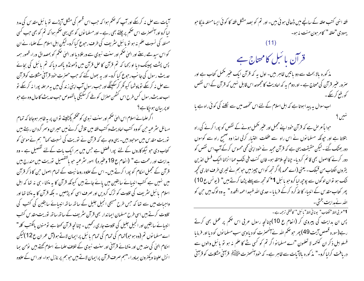آیات سے حل نہ کرسکے اور آپ کو صحم ہوا کہ حب اس قسم کی مشکل آپڑے تو یا ئبل مقد س کی مدد لبا کرو اور آنحصرت اس حکم پر چلتے بھی رہے ۔ اور مسلما نوں کو بھی یہی حکم ہوا کہ تم کو بھی جب کسی مسئلہ کی نسبت علم نہ ہو تو یا ئبل سثر بیٹ کی طرف رحوع کیا کرو۔لیکن اہل اسلام کے علماء نے ان کو اس سید ھے رہتے اور الہیٰ صحم اور سنت نبوی سے ورغلاد یا اور الہیٰ صحم کو بمصداق وراء ظھور ہمہ پس پشت پیپنک دیا او ر<sub>ک</sub>ھا کہ تم قرآن کا حل قرآن میں ڈھونڈو پا<sub>کھ</sub>ہ دیا کہ تم پائبل کی بجائے حدیث رسول کی جا نب رحوع کیا کرو- اور بہ بھول گئے کہ جب حصرت حود قرآنی مشکلات کوقرآن سے حل نہ کرسکے توماوشما کیونکر کرسکینگے اور حب رسول آپ اپنی زند گی میں بہ مرحلہ پورا نہ کرسکے تو اب حدیث رسول کس طرح اس کٹھن منزل کو طے کرسکیگی بالخصوص حب حدیث کا حال وہ ہے حبو ا**و** پر سان ہوجکا ہے؟

اگر علمائے اسلام اس الہٰیٰ حکم اور سنت نبوی کو محکم پکڑلیتے نوان پر بہ ظاہر ہوجاتا کہ تمام مسائل سٹرعبہ حن کووہ کتب احادیث وکتب فقہ میں تلاش کرنے میں حیران وسمر گردان رہتے ہیں توریت مقدس میں موحود ہیں۔ یہی وجہ ہے کہ قرآن نے نوریت کی نسبت کہا" ہم نے موسیٰ کو کتاب دی حو نیکوکاروں کے لئے پورا فصل ہے جس میں ہر ایک بات کے لئے تفصیل ہے ۔ وہ بدايت اور رحمت ہے " (انعام ع 19 وعنيره) امور سٹرعبہ حو مالتفصيل توريت ميں مندرج ہيں قرآن کے مجمل احکام کو پورا کرتے ہیں۔ اس کے علاوہ روحا نیت کے تمام اصول حن کا ذکر قرآن میں نہیں ہے کتب انبیائے سابقین میں پائے جاتے ہیں کیونکہ قرآن کا یہ منشاء ہی نہ تھا کہ اہل اسلام پائبل سثر بیٹ کی تلاوت کو ترک کردیں اور صرف اسی کو پڑھیں ۔ بلکہ قرآن کا بہ منشا تھا اور واجبات میں سے تعا کہ حس طرح مسیحی انجیل جلیل کے ساتھ ساتھ انبیائے سابقین کی کتب کی تلاوت کرتے ہیں اسی طرح مسلمان ایماندار بھی قرآن سثریف کے ساتھ ساتھ نوریت مقدس کتب انبیائے سابقین اور انجیل جلیل کی تلاوت جاری رکھیں - چنانچہ قرآن کھتا ہے تومنون پالکتب کلہ" اے مسلمانوں تم (وہ ہوجو)تمام کی تمام کی تمام پائبل پر ایمان لاتے ہو (آل عمران ع 12)لیکن احکام الہیٰ کی صد میں اور منشائے قرآنی اور سنت نبوی کے خلاف علمائے اسلام کھتے ہیں نومن بہا ا نزل علینا ویکفرون بماوراء"ہم صرف قرآن پرایمان لاتے ہیں حوہم پر نازل ہوا۔ اور اس کے علاوہ

فقہ اننی کتب حلقہ کے سانچے میں ڈھالی ہو ئی بیں۔ اور تم کو بصد مشکل فقہ کا کوئی ایسامسئلہ ملیگا حبو يهودي "حلقه" كامر ہون منت نہ ہو۔ قرآن بائبل کامحتاج ہے مذ کورہ بالا بحث سے دو باتیں ظاہر بیں- اول یہ کہ قرآن ایک عنیر مکمل کتاب ہے اور صرور عنیر قرآن کی محتاج ہے۔اور دوم یہ کہ احادیث کا مجموعہ اس قابل نہیں کہ قرآن کے اس نقص کورفع کر پیکے ۔ اب سوال یہ پیدا ہوتا ہے کہ اہل اسلام کے لئے اس مخمصہ میں سے لکلنے کی کوئی راہ ہے یا حبوا باًعرض ہے کہ قرآن حود اپنے مجمل اور عنیر مکمل ہونے کے نقص کو پورا کرنے کی راہ بتلاتا ہے اور حیونکہ مسلمانوں نے اس راہ سے عفلت اختیار کرلی لہذا وہ صحیح راہ سے کوسوں دور بھٹک گئے ۔لیکن حقیقت یہی ہے کہ قرآن مجید نے خود اپنی کمی محسوس کرکے آپ اس نقص کو دور كرنے كااصول بھى قائم كرديا- چنانچہ ملاحظہ ہو- فان كنت فى شكٍّ مما انزلنا اليك فسل الذين یقرون الکتاب من قبلک۔ یعنی (اے محمد )اگر تجھ کواس جیبر میں حبو ہم نے تیمری طرف اتاری تحچھ نَنَک ہو توان لوگوں سے پوچھ لیا کروجو بائنبل **1**\* کو تحجہ سے پہلے پڑھا کرتے ہیں" (یونس ع10) پھر کتاب مقدس کے انبیاء کا تذکرہ کرکے فرمایا - ھدی اللہ فسمدا ھمہ اقتدہ " یہ وہ لوگ ہیں حن کو التد نے بدایت بخش ۔ .<br>1\*عربي لفظ "الكتاب" يوناني لفظ" با ئبل " كالفظي ترجمه ہے -

پس ان ہدایت کی پیروی کر (انعام ع 10)چنانچہ رسول عربی اس حکم پر عمل بھی کرتے رہے(سورہ قصص آیت 49) پھر حبو حکم اللہ نے آنحصرت کو دیاوہی سب مسلما نوں کو دیا اور فرمایا فسلو اہل ذکر ان کنتمہ لا تعلمون "اے مسلما نو اگر تم کو کسی شے کا علم نہ ہو تو بائبل والوں سے دریافت کرلیا کرو-" مذکورہ بالاآیات سے ظاہر ہے۔ کہ خود آنھھنرت اٹی ایک قابل مشکلات کو قرآنی